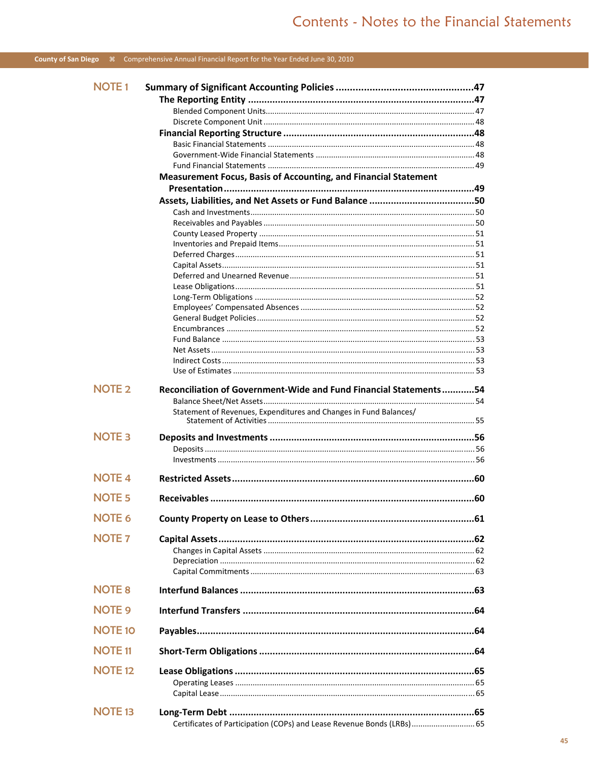### County of San Diego \R Comprehensive Annual Financial Report for the Year Ended June 30, 2010

| <b>NOTE1</b>   |                                                                                                                                        |  |
|----------------|----------------------------------------------------------------------------------------------------------------------------------------|--|
|                |                                                                                                                                        |  |
|                |                                                                                                                                        |  |
|                |                                                                                                                                        |  |
|                |                                                                                                                                        |  |
|                |                                                                                                                                        |  |
|                |                                                                                                                                        |  |
|                | Measurement Focus, Basis of Accounting, and Financial Statement                                                                        |  |
|                |                                                                                                                                        |  |
|                |                                                                                                                                        |  |
|                |                                                                                                                                        |  |
|                |                                                                                                                                        |  |
|                |                                                                                                                                        |  |
|                |                                                                                                                                        |  |
|                |                                                                                                                                        |  |
|                |                                                                                                                                        |  |
|                |                                                                                                                                        |  |
|                |                                                                                                                                        |  |
|                |                                                                                                                                        |  |
|                |                                                                                                                                        |  |
|                |                                                                                                                                        |  |
|                |                                                                                                                                        |  |
|                |                                                                                                                                        |  |
|                |                                                                                                                                        |  |
|                |                                                                                                                                        |  |
| <b>NOTE 2</b>  | Reconciliation of Government-Wide and Fund Financial Statements54<br>Statement of Revenues, Expenditures and Changes in Fund Balances/ |  |
|                |                                                                                                                                        |  |
| <b>NOTE 3</b>  |                                                                                                                                        |  |
|                |                                                                                                                                        |  |
|                |                                                                                                                                        |  |
| <b>NOTE 4</b>  |                                                                                                                                        |  |
| <b>NOTE 5</b>  |                                                                                                                                        |  |
| <b>NOTE 6</b>  |                                                                                                                                        |  |
|                |                                                                                                                                        |  |
| <b>NOTE 7</b>  |                                                                                                                                        |  |
|                |                                                                                                                                        |  |
|                |                                                                                                                                        |  |
|                |                                                                                                                                        |  |
| <b>NOTE 8</b>  |                                                                                                                                        |  |
| <b>NOTE 9</b>  |                                                                                                                                        |  |
| <b>NOTE 10</b> |                                                                                                                                        |  |
| <b>NOTE 11</b> |                                                                                                                                        |  |
| <b>NOTE 12</b> |                                                                                                                                        |  |
|                |                                                                                                                                        |  |
|                |                                                                                                                                        |  |
|                |                                                                                                                                        |  |
| <b>NOTE 13</b> |                                                                                                                                        |  |
|                | Certificates of Participation (COPs) and Lease Revenue Bonds (LRBs) 65                                                                 |  |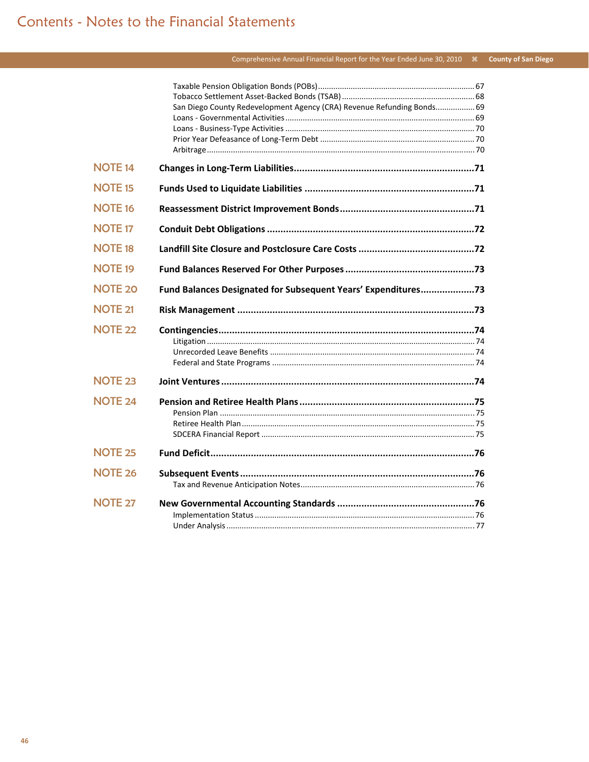### 

|                | San Diego County Redevelopment Agency (CRA) Revenue Refunding Bonds 69 |  |
|----------------|------------------------------------------------------------------------|--|
|                |                                                                        |  |
|                |                                                                        |  |
|                |                                                                        |  |
|                |                                                                        |  |
| <b>NOTE 14</b> |                                                                        |  |
| <b>NOTE 15</b> |                                                                        |  |
| <b>NOTE 16</b> |                                                                        |  |
| <b>NOTE 17</b> |                                                                        |  |
| <b>NOTE 18</b> |                                                                        |  |
| <b>NOTE 19</b> |                                                                        |  |
| <b>NOTE 20</b> | Fund Balances Designated for Subsequent Years' Expenditures73          |  |
| <b>NOTE 21</b> |                                                                        |  |
| <b>NOTE 22</b> |                                                                        |  |
|                |                                                                        |  |
|                |                                                                        |  |
| <b>NOTE 23</b> |                                                                        |  |
| <b>NOTE 24</b> |                                                                        |  |
|                |                                                                        |  |
|                |                                                                        |  |
|                |                                                                        |  |
| <b>NOTE 25</b> |                                                                        |  |
| <b>NOTE 26</b> |                                                                        |  |
|                |                                                                        |  |
| <b>NOTE 27</b> |                                                                        |  |
|                |                                                                        |  |
|                |                                                                        |  |
|                |                                                                        |  |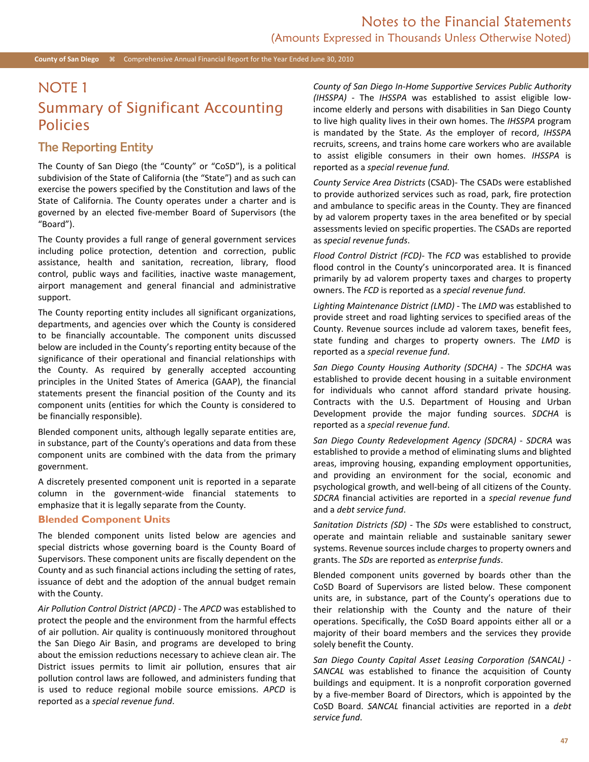# NOTE 1

# Summary of Significant Accounting Policies

### The Reporting Entity

The County of San Diego (the "County" or "CoSD"), is a political subdivision of the State of California (the "State") and as such can exercise the powers specified by the Constitution and laws of the State of California. The County operates under a charter and is governed by an elected five-member Board of Supervisors (the "Board").

The County provides a full range of general government services including police protection, detention and correction, public assistance, health and sanitation, recreation, library, flood control, public ways and facilities, inactive waste management, airport management and general financial and administrative support.

The County reporting entity includes all significant organizations, departments, and agencies over which the County is considered to be financially accountable. The component units discussed below are included in the County's reporting entity because of the significance of their operational and financial relationships with the County. As required by generally accepted accounting principles in the United States of America (GAAP), the financial statements present the financial position of the County and its component units (entities for which the County is considered to be financially responsible).

Blended component units, although legally separate entities are, in substance, part of the County's operations and data from these component units are combined with the data from the primary government.

A discretely presented component unit is reported in a separate column in the government-wide financial statements to emphasize that it is legally separate from the County.

#### **Blended Component Units**

The blended component units listed below are agencies and special districts whose governing board is the County Board of Supervisors. These component units are fiscally dependent on the County and as such financial actions including the setting of rates, issuance of debt and the adoption of the annual budget remain with the County.

*Air Pollution Control District (APCD)* - The *APCD* was established to protect the people and the environment from the harmful effects of air pollution. Air quality is continuously monitored throughout the San Diego Air Basin, and programs are developed to bring about the emission reductions necessary to achieve clean air. The District issues permits to limit air pollution, ensures that air pollution control laws are followed, and administers funding that is used to reduce regional mobile source emissions. *APCD* is reported as a *special revenue fund*.

*County of San Diego In-Home Supportive Services Public Authority (IHSSPA)* - The *IHSSPA* was established to assist eligible lowincome elderly and persons with disabilities in San Diego County to live high quality lives in their own homes. The *IHSSPA* program is mandated by the State. *As* the employer of record, *IHSSPA* recruits, screens, and trains home care workers who are available to assist eligible consumers in their own homes. *IHSSPA* is reported as a *special revenue fund.* 

*County Service Area Districts* (CSAD)- The CSADs were established to provide authorized services such as road, park, fire protection and ambulance to specific areas in the County. They are financed by ad valorem property taxes in the area benefited or by special assessments levied on specific properties. The CSADs are reported as *special revenue funds*.

*Flood Control District (FCD)*- The *FCD* was established to provide flood control in the County's unincorporated area. It is financed primarily by ad valorem property taxes and charges to property owners. The *FCD* is reported as a *special revenue fund*.

*Lighting Maintenance District (LMD)* - The *LMD* was established to provide street and road lighting services to specified areas of the County. Revenue sources include ad valorem taxes, benefit fees, state funding and charges to property owners. The *LMD* is reported as a *special revenue fund*.

*San Diego County Housing Authority (SDCHA)* - The *SDCHA* was established to provide decent housing in a suitable environment for individuals who cannot afford standard private housing. Contracts with the U.S. Department of Housing and Urban Development provide the major funding sources. *SDCHA* is reported as a *special revenue fund*.

*San Diego County Redevelopment Agency (SDCRA)* - *SDCRA* was established to provide a method of eliminating slums and blighted areas, improving housing, expanding employment opportunities, and providing an environment for the social, economic and psychological growth, and well-being of all citizens of the County. *SDCRA* financial activities are reported in a *special revenue fund* and a *debt service fund*.

*Sanitation Districts (SD)* - The *SDs* were established to construct, operate and maintain reliable and sustainable sanitary sewer systems. Revenue sources include charges to property owners and grants. The *SDs* are reported as *enterprise funds*.

Blended component units governed by boards other than the CoSD Board of Supervisors are listed below. These component units are, in substance, part of the County's operations due to their relationship with the County and the nature of their operations. Specifically, the CoSD Board appoints either all or a majority of their board members and the services they provide solely benefit the County.

*San Diego County Capital Asset Leasing Corporation (SANCAL)* - *SANCAL* was established to finance the acquisition of County buildings and equipment. It is a nonprofit corporation governed by a five-member Board of Directors, which is appointed by the CoSD Board. *SANCAL* financial activities are reported in a *debt service fund*.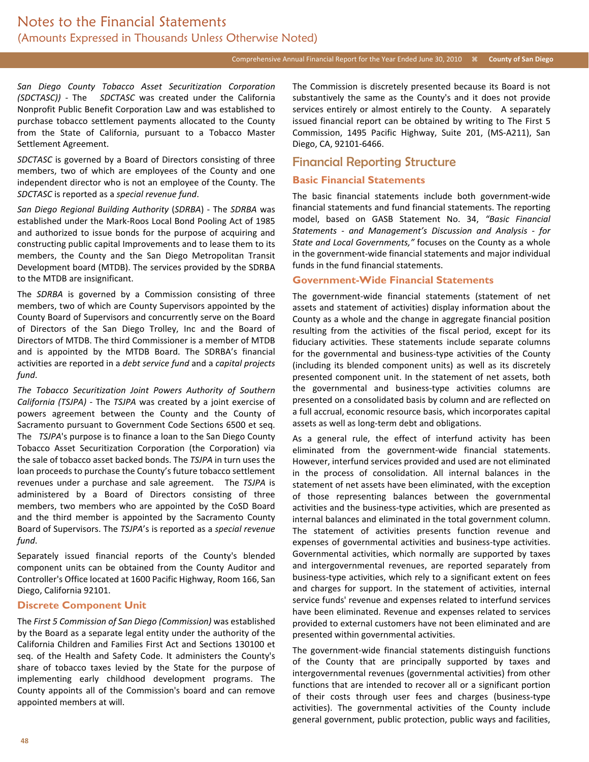### Comprehensive Annual Financial Report for the Year Ended June 30, 2010 *k* County of San Diego

*San Diego County Tobacco Asset Securitization Corporation (SDCTASC))* - The *SDCTASC* was created under the California Nonprofit Public Benefit Corporation Law and was established to purchase tobacco settlement payments allocated to the County from the State of California, pursuant to a Tobacco Master Settlement Agreement.

*SDCTASC* is governed by a Board of Directors consisting of three members, two of which are employees of the County and one independent director who is not an employee of the County. The *SDCTASC* is reported as a *special revenue fund*.

*San Diego Regional Building Authority* (*SDRBA*) - The *SDRBA* was established under the Mark-Roos Local Bond Pooling Act of 1985 and authorized to issue bonds for the purpose of acquiring and constructing public capital Improvements and to lease them to its members, the County and the San Diego Metropolitan Transit Development board (MTDB). The services provided by the SDRBA to the MTDB are insignificant.

The *SDRBA* is governed by a Commission consisting of three members, two of which are County Supervisors appointed by the County Board of Supervisors and concurrently serve on the Board of Directors of the San Diego Trolley, Inc and the Board of Directors of MTDB. The third Commissioner is a member of MTDB and is appointed by the MTDB Board. The SDRBA's financial activities are reported in a *debt service fund* and a *capital projects fund*.

*The Tobacco Securitization Joint Powers Authority of Southern California (TSJPA)* - The *TSJPA* was created by a joint exercise of powers agreement between the County and the County of Sacramento pursuant to Government Code Sections 6500 et seq. The *TSJPA*'s purpose is to finance a loan to the San Diego County Tobacco Asset Securitization Corporation (the Corporation) via the sale of tobacco asset backed bonds. The *TSJPA* in turn uses the loan proceeds to purchase the County's future tobacco settlement revenues under a purchase and sale agreement. The *TSJPA* is administered by a Board of Directors consisting of three members, two members who are appointed by the CoSD Board and the third member is appointed by the Sacramento County Board of Supervisors. The *TSJPA*'s is reported as a *special revenue fund*.

Separately issued financial reports of the County's blended component units can be obtained from the County Auditor and Controller's Office located at 1600 Pacific Highway, Room 166, San Diego, California 92101.

#### **Discrete Component Unit**

The *First 5 Commission of San Diego (Commission)* was established by the Board as a separate legal entity under the authority of the California Children and Families First Act and Sections 130100 et seq. of the Health and Safety Code. It administers the County's share of tobacco taxes levied by the State for the purpose of implementing early childhood development programs. The County appoints all of the Commission's board and can remove appointed members at will.

The Commission is discretely presented because its Board is not substantively the same as the County's and it does not provide services entirely or almost entirely to the County. A separately issued financial report can be obtained by writing to The First 5 Commission, 1495 Pacific Highway, Suite 201, (MS-A211), San Diego, CA, 92101-6466.

### Financial Reporting Structure

### **Basic Financial Statements**

The basic financial statements include both government-wide financial statements and fund financial statements. The reporting model, based on GASB Statement No. 34, *"Basic Financial Statements - and Management's Discussion and Analysis - for State and Local Governments,"* focuses on the County as a whole in the government-wide financial statements and major individual funds in the fund financial statements.

#### **Government-Wide Financial Statements**

The government-wide financial statements (statement of net assets and statement of activities) display information about the County as a whole and the change in aggregate financial position resulting from the activities of the fiscal period, except for its fiduciary activities. These statements include separate columns for the governmental and business-type activities of the County (including its blended component units) as well as its discretely presented component unit. In the statement of net assets, both the governmental and business-type activities columns are presented on a consolidated basis by column and are reflected on a full accrual, economic resource basis, which incorporates capital assets as well as long-term debt and obligations.

As a general rule, the effect of interfund activity has been eliminated from the government-wide financial statements. However, interfund services provided and used are not eliminated in the process of consolidation. All internal balances in the statement of net assets have been eliminated, with the exception of those representing balances between the governmental activities and the business-type activities, which are presented as internal balances and eliminated in the total government column. The statement of activities presents function revenue and expenses of governmental activities and business-type activities. Governmental activities, which normally are supported by taxes and intergovernmental revenues, are reported separately from business-type activities, which rely to a significant extent on fees and charges for support. In the statement of activities, internal service funds' revenue and expenses related to interfund services have been eliminated. Revenue and expenses related to services provided to external customers have not been eliminated and are presented within governmental activities.

The government-wide financial statements distinguish functions of the County that are principally supported by taxes and intergovernmental revenues (governmental activities) from other functions that are intended to recover all or a significant portion of their costs through user fees and charges (business-type activities). The governmental activities of the County include general government, public protection, public ways and facilities,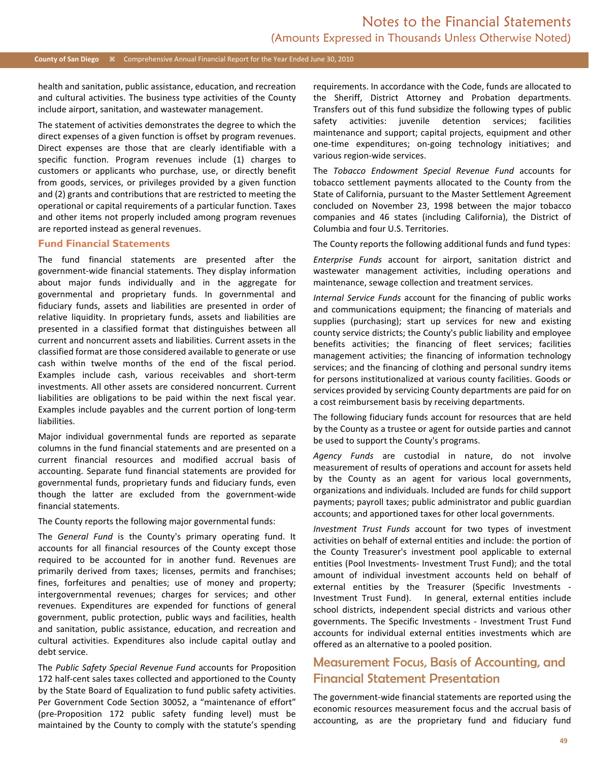health and sanitation, public assistance, education, and recreation and cultural activities. The business type activities of the County include airport, sanitation, and wastewater management.

The statement of activities demonstrates the degree to which the direct expenses of a given function is offset by program revenues. Direct expenses are those that are clearly identifiable with a specific function. Program revenues include (1) charges to customers or applicants who purchase, use, or directly benefit from goods, services, or privileges provided by a given function and (2) grants and contributions that are restricted to meeting the operational or capital requirements of a particular function. Taxes and other items not properly included among program revenues are reported instead as general revenues.

#### **Fund Financial Statements**

The fund financial statements are presented after the government-wide financial statements. They display information about major funds individually and in the aggregate for governmental and proprietary funds. In governmental and fiduciary funds, assets and liabilities are presented in order of relative liquidity. In proprietary funds, assets and liabilities are presented in a classified format that distinguishes between all current and noncurrent assets and liabilities. Current assets in the classified format are those considered available to generate or use cash within twelve months of the end of the fiscal period. Examples include cash, various receivables and short-term investments. All other assets are considered noncurrent. Current liabilities are obligations to be paid within the next fiscal year. Examples include payables and the current portion of long-term liabilities.

Major individual governmental funds are reported as separate columns in the fund financial statements and are presented on a current financial resources and modified accrual basis of accounting. Separate fund financial statements are provided for governmental funds, proprietary funds and fiduciary funds, even though the latter are excluded from the government-wide financial statements.

The County reports the following major governmental funds:

The *General Fund* is the County's primary operating fund. It accounts for all financial resources of the County except those required to be accounted for in another fund. Revenues are primarily derived from taxes; licenses, permits and franchises; fines, forfeitures and penalties; use of money and property; intergovernmental revenues; charges for services; and other revenues. Expenditures are expended for functions of general government, public protection, public ways and facilities, health and sanitation, public assistance, education, and recreation and cultural activities. Expenditures also include capital outlay and debt service.

The *Public Safety Special Revenue Fund* accounts for Proposition 172 half-cent sales taxes collected and apportioned to the County by the State Board of Equalization to fund public safety activities. Per Government Code Section 30052, a "maintenance of effort" (pre-Proposition 172 public safety funding level) must be maintained by the County to comply with the statute's spending requirements. In accordance with the Code, funds are allocated to the Sheriff, District Attorney and Probation departments. Transfers out of this fund subsidize the following types of public safety activities: juvenile detention services; facilities maintenance and support; capital projects, equipment and other one-time expenditures; on-going technology initiatives; and various region-wide services.

The *Tobacco Endowment Special Revenue Fund* accounts for tobacco settlement payments allocated to the County from the State of California, pursuant to the Master Settlement Agreement concluded on November 23, 1998 between the major tobacco companies and 46 states (including California), the District of Columbia and four U.S. Territories.

The County reports the following additional funds and fund types:

*Enterprise Funds* account for airport, sanitation district and wastewater management activities, including operations and maintenance, sewage collection and treatment services.

*Internal Service Funds* account for the financing of public works and communications equipment; the financing of materials and supplies (purchasing); start up services for new and existing county service districts; the County's public liability and employee benefits activities; the financing of fleet services; facilities management activities; the financing of information technology services; and the financing of clothing and personal sundry items for persons institutionalized at various county facilities. Goods or services provided by servicing County departments are paid for on a cost reimbursement basis by receiving departments.

The following fiduciary funds account for resources that are held by the County as a trustee or agent for outside parties and cannot be used to support the County's programs.

*Agency Funds* are custodial in nature, do not involve measurement of results of operations and account for assets held by the County as an agent for various local governments, organizations and individuals. Included are funds for child support payments; payroll taxes; public administrator and public guardian accounts; and apportioned taxes for other local governments.

*Investment Trust Funds* account for two types of investment activities on behalf of external entities and include: the portion of the County Treasurer's investment pool applicable to external entities (Pool Investments- Investment Trust Fund); and the total amount of individual investment accounts held on behalf of external entities by the Treasurer (Specific Investments - Investment Trust Fund). In general, external entities include school districts, independent special districts and various other governments. The Specific Investments - Investment Trust Fund accounts for individual external entities investments which are offered as an alternative to a pooled position.

## Measurement Focus, Basis of Accounting, and Financial Statement Presentation

The government-wide financial statements are reported using the economic resources measurement focus and the accrual basis of accounting, as are the proprietary fund and fiduciary fund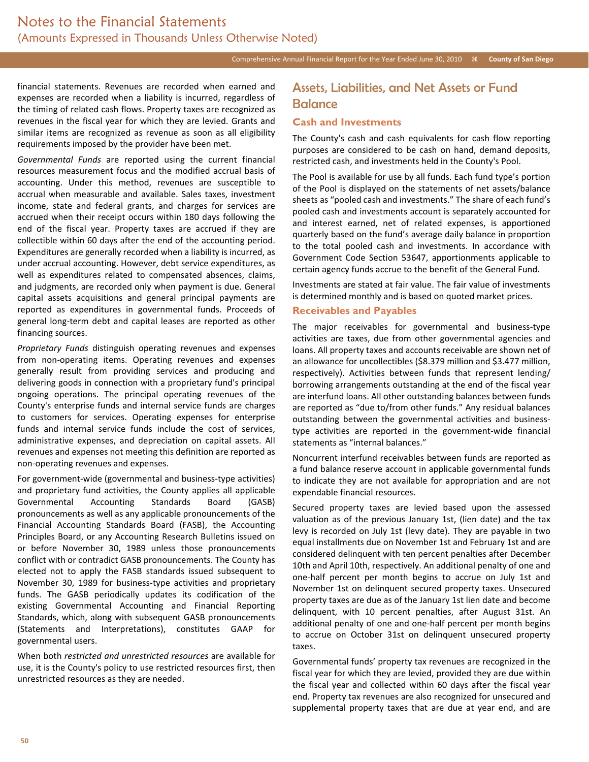financial statements. Revenues are recorded when earned and expenses are recorded when a liability is incurred, regardless of the timing of related cash flows. Property taxes are recognized as revenues in the fiscal year for which they are levied. Grants and similar items are recognized as revenue as soon as all eligibility requirements imposed by the provider have been met.

*Governmental Funds* are reported using the current financial resources measurement focus and the modified accrual basis of accounting. Under this method, revenues are susceptible to accrual when measurable and available. Sales taxes, investment income, state and federal grants, and charges for services are accrued when their receipt occurs within 180 days following the end of the fiscal year. Property taxes are accrued if they are collectible within 60 days after the end of the accounting period. Expenditures are generally recorded when a liability is incurred, as under accrual accounting. However, debt service expenditures, as well as expenditures related to compensated absences, claims, and judgments, are recorded only when payment is due. General capital assets acquisitions and general principal payments are reported as expenditures in governmental funds. Proceeds of general long-term debt and capital leases are reported as other financing sources.

*Proprietary Funds* distinguish operating revenues and expenses from non-operating items. Operating revenues and expenses generally result from providing services and producing and delivering goods in connection with a proprietary fund's principal ongoing operations. The principal operating revenues of the County's enterprise funds and internal service funds are charges to customers for services. Operating expenses for enterprise funds and internal service funds include the cost of services, administrative expenses, and depreciation on capital assets. All revenues and expenses not meeting this definition are reported as non-operating revenues and expenses.

For government-wide (governmental and business-type activities) and proprietary fund activities, the County applies all applicable Governmental Accounting Standards Board (GASB) pronouncements as well as any applicable pronouncements of the Financial Accounting Standards Board (FASB), the Accounting Principles Board, or any Accounting Research Bulletins issued on or before November 30, 1989 unless those pronouncements conflict with or contradict GASB pronouncements. The County has elected not to apply the FASB standards issued subsequent to November 30, 1989 for business-type activities and proprietary funds. The GASB periodically updates its codification of the existing Governmental Accounting and Financial Reporting Standards, which, along with subsequent GASB pronouncements (Statements and Interpretations), constitutes GAAP for governmental users.

When both *restricted and unrestricted resources* are available for use, it is the County's policy to use restricted resources first, then unrestricted resources as they are needed.

## Assets, Liabilities, and Net Assets or Fund **Balance**

#### **Cash and Investments**

The County's cash and cash equivalents for cash flow reporting purposes are considered to be cash on hand, demand deposits, restricted cash, and investments held in the County's Pool.

The Pool is available for use by all funds. Each fund type's portion of the Pool is displayed on the statements of net assets/balance sheets as "pooled cash and investments." The share of each fund's pooled cash and investments account is separately accounted for and interest earned, net of related expenses, is apportioned quarterly based on the fund's average daily balance in proportion to the total pooled cash and investments. In accordance with Government Code Section 53647, apportionments applicable to certain agency funds accrue to the benefit of the General Fund.

Investments are stated at fair value. The fair value of investments is determined monthly and is based on quoted market prices.

#### **Receivables and Payables**

The major receivables for governmental and business-type activities are taxes, due from other governmental agencies and loans. All property taxes and accounts receivable are shown net of an allowance for uncollectibles (\$8.379 million and \$3.477 million, respectively). Activities between funds that represent lending/ borrowing arrangements outstanding at the end of the fiscal year are interfund loans. All other outstanding balances between funds are reported as "due to/from other funds." Any residual balances outstanding between the governmental activities and businesstype activities are reported in the government-wide financial statements as "internal balances."

Noncurrent interfund receivables between funds are reported as a fund balance reserve account in applicable governmental funds to indicate they are not available for appropriation and are not expendable financial resources.

Secured property taxes are levied based upon the assessed valuation as of the previous January 1st, (lien date) and the tax levy is recorded on July 1st (levy date). They are payable in two equal installments due on November 1st and February 1st and are considered delinquent with ten percent penalties after December 10th and April 10th, respectively. An additional penalty of one and one-half percent per month begins to accrue on July 1st and November 1st on delinquent secured property taxes. Unsecured property taxes are due as of the January 1st lien date and become delinquent, with 10 percent penalties, after August 31st. An additional penalty of one and one-half percent per month begins to accrue on October 31st on delinquent unsecured property taxes.

Governmental funds' property tax revenues are recognized in the fiscal year for which they are levied, provided they are due within the fiscal year and collected within 60 days after the fiscal year end. Property tax revenues are also recognized for unsecured and supplemental property taxes that are due at year end, and are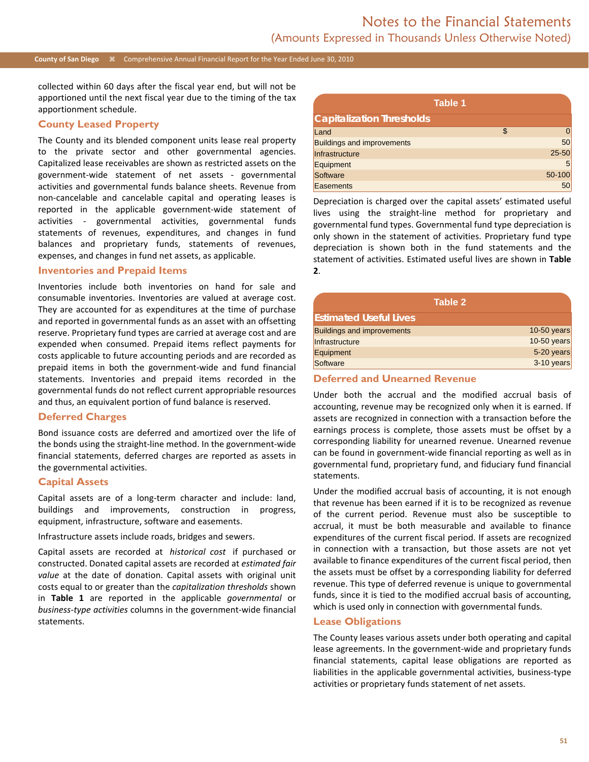#### **County of San Diego** Comprehensive Annual Financial Report for the Year Ended June 30, 2010

collected within 60 days after the fiscal year end, but will not be apportioned until the next fiscal year due to the timing of the tax apportionment schedule.

#### **County Leased Property**

The County and its blended component units lease real property to the private sector and other governmental agencies. Capitalized lease receivables are shown as restricted assets on the government-wide statement of net assets - governmental activities and governmental funds balance sheets. Revenue from non-cancelable and cancelable capital and operating leases is reported in the applicable government-wide statement of activities - governmental activities, governmental funds statements of revenues, expenditures, and changes in fund balances and proprietary funds, statements of revenues, expenses, and changes in fund net assets, as applicable.

#### **Inventories and Prepaid Items**

Inventories include both inventories on hand for sale and consumable inventories. Inventories are valued at average cost. They are accounted for as expenditures at the time of purchase and reported in governmental funds as an asset with an offsetting reserve. Proprietary fund types are carried at average cost and are expended when consumed. Prepaid items reflect payments for costs applicable to future accounting periods and are recorded as prepaid items in both the government-wide and fund financial statements. Inventories and prepaid items recorded in the governmental funds do not reflect current appropriable resources and thus, an equivalent portion of fund balance is reserved.

#### **Deferred Charges**

Bond issuance costs are deferred and amortized over the life of the bonds using the straight-line method. In the government-wide financial statements, deferred charges are reported as assets in the governmental activities.

#### **Capital Assets**

Capital assets are of a long-term character and include: land, buildings and improvements, construction in progress, equipment, infrastructure, software and easements.

#### Infrastructure assets include roads, bridges and sewers.

Capital assets are recorded at *historical cost* if purchased or constructed. Donated capital assets are recorded at *estimated fair value* at the date of donation. Capital assets with original unit costs equal to or greater than the *capitalization thresholds* shown in **Table 1** are reported in the applicable *governmental* or *business-type activities* columns in the government-wide financial statements.

| Table 1                           |           |
|-----------------------------------|-----------|
| <b>Capitalization Thresholds</b>  |           |
| Land                              | \$<br>0   |
| <b>Buildings and improvements</b> | 50        |
| Infrastructure                    | $25 - 50$ |
| Equipment                         | 5         |
| Software                          | 50-100    |
| Easements                         | 50        |

Depreciation is charged over the capital assets' estimated useful lives using the straight-line method for proprietary and governmental fund types. Governmental fund type depreciation is only shown in the statement of activities. Proprietary fund type depreciation is shown both in the fund statements and the statement of activities. Estimated useful lives are shown in **Table 2**.

| Table 2                           |             |
|-----------------------------------|-------------|
| <b>Estimated Useful Lives</b>     |             |
| <b>Buildings and improvements</b> | 10-50 years |
| Infrastructure                    | 10-50 years |
| Equipment                         | 5-20 years  |
| Software                          | 3-10 years  |

#### **Deferred and Unearned Revenue**

Under both the accrual and the modified accrual basis of accounting, revenue may be recognized only when it is earned. If assets are recognized in connection with a transaction before the earnings process is complete, those assets must be offset by a corresponding liability for unearned revenue. Unearned revenue can be found in government-wide financial reporting as well as in governmental fund, proprietary fund, and fiduciary fund financial statements.

Under the modified accrual basis of accounting, it is not enough that revenue has been earned if it is to be recognized as revenue of the current period. Revenue must also be susceptible to accrual, it must be both measurable and available to finance expenditures of the current fiscal period. If assets are recognized in connection with a transaction, but those assets are not yet available to finance expenditures of the current fiscal period, then the assets must be offset by a corresponding liability for deferred revenue. This type of deferred revenue is unique to governmental funds, since it is tied to the modified accrual basis of accounting, which is used only in connection with governmental funds.

#### **Lease Obligations**

The County leases various assets under both operating and capital lease agreements. In the government-wide and proprietary funds financial statements, capital lease obligations are reported as liabilities in the applicable governmental activities, business-type activities or proprietary funds statement of net assets.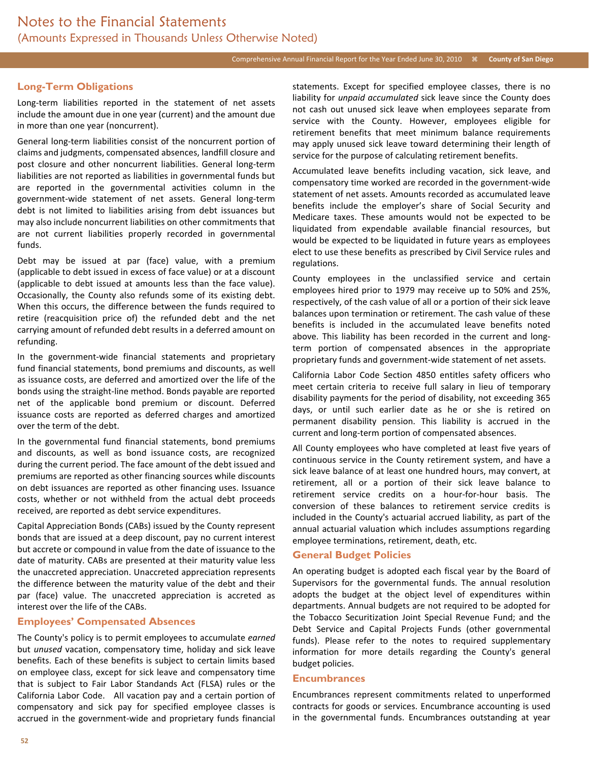### Comprehensive Annual Financial Report for the Year Ended June 30, 2010 *k* County of San Diego

### **Long-Term Obligations**

Long-term liabilities reported in the statement of net assets include the amount due in one year (current) and the amount due in more than one year (noncurrent).

General long-term liabilities consist of the noncurrent portion of claims and judgments, compensated absences, landfill closure and post closure and other noncurrent liabilities. General long-term liabilities are not reported as liabilities in governmental funds but are reported in the governmental activities column in the government-wide statement of net assets. General long-term debt is not limited to liabilities arising from debt issuances but may also include noncurrent liabilities on other commitments that are not current liabilities properly recorded in governmental funds.

Debt may be issued at par (face) value, with a premium (applicable to debt issued in excess of face value) or at a discount (applicable to debt issued at amounts less than the face value). Occasionally, the County also refunds some of its existing debt. When this occurs, the difference between the funds required to retire (reacquisition price of) the refunded debt and the net carrying amount of refunded debt results in a deferred amount on refunding.

In the government-wide financial statements and proprietary fund financial statements, bond premiums and discounts, as well as issuance costs, are deferred and amortized over the life of the bonds using the straight-line method. Bonds payable are reported net of the applicable bond premium or discount. Deferred issuance costs are reported as deferred charges and amortized over the term of the debt.

In the governmental fund financial statements, bond premiums and discounts, as well as bond issuance costs, are recognized during the current period. The face amount of the debt issued and premiums are reported as other financing sources while discounts on debt issuances are reported as other financing uses. Issuance costs, whether or not withheld from the actual debt proceeds received, are reported as debt service expenditures.

Capital Appreciation Bonds (CABs) issued by the County represent bonds that are issued at a deep discount, pay no current interest but accrete or compound in value from the date of issuance to the date of maturity. CABs are presented at their maturity value less the unaccreted appreciation. Unaccreted appreciation represents the difference between the maturity value of the debt and their par (face) value. The unaccreted appreciation is accreted as interest over the life of the CABs.

#### **Employees' Compensated Absences**

The County's policy is to permit employees to accumulate *earned* but *unused* vacation, compensatory time, holiday and sick leave benefits. Each of these benefits is subject to certain limits based on employee class, except for sick leave and compensatory time that is subject to Fair Labor Standands Act (FLSA) rules or the California Labor Code. All vacation pay and a certain portion of compensatory and sick pay for specified employee classes is accrued in the government-wide and proprietary funds financial statements. Except for specified employee classes, there is no liability for *unpaid accumulated* sick leave since the County does not cash out unused sick leave when employees separate from service with the County. However, employees eligible for retirement benefits that meet minimum balance requirements may apply unused sick leave toward determining their length of service for the purpose of calculating retirement benefits.

Accumulated leave benefits including vacation, sick leave, and compensatory time worked are recorded in the government-wide statement of net assets. Amounts recorded as accumulated leave benefits include the employer's share of Social Security and Medicare taxes. These amounts would not be expected to be liquidated from expendable available financial resources, but would be expected to be liquidated in future years as employees elect to use these benefits as prescribed by Civil Service rules and regulations.

County employees in the unclassified service and certain employees hired prior to 1979 may receive up to 50% and 25%, respectively, of the cash value of all or a portion of their sick leave balances upon termination or retirement. The cash value of these benefits is included in the accumulated leave benefits noted above. This liability has been recorded in the current and longterm portion of compensated absences in the appropriate proprietary funds and government-wide statement of net assets.

California Labor Code Section 4850 entitles safety officers who meet certain criteria to receive full salary in lieu of temporary disability payments for the period of disability, not exceeding 365 days, or until such earlier date as he or she is retired on permanent disability pension. This liability is accrued in the current and long-term portion of compensated absences.

All County employees who have completed at least five years of continuous service in the County retirement system, and have a sick leave balance of at least one hundred hours, may convert, at retirement, all or a portion of their sick leave balance to retirement service credits on a hour-for-hour basis. The conversion of these balances to retirement service credits is included in the County's actuarial accrued liability, as part of the annual actuarial valuation which includes assumptions regarding employee terminations, retirement, death, etc.

#### **General Budget Policies**

An operating budget is adopted each fiscal year by the Board of Supervisors for the governmental funds. The annual resolution adopts the budget at the object level of expenditures within departments. Annual budgets are not required to be adopted for the Tobacco Securitization Joint Special Revenue Fund; and the Debt Service and Capital Projects Funds (other governmental funds). Please refer to the notes to required supplementary information for more details regarding the County's general budget policies.

#### **Encumbrances**

Encumbrances represent commitments related to unperformed contracts for goods or services. Encumbrance accounting is used in the governmental funds. Encumbrances outstanding at year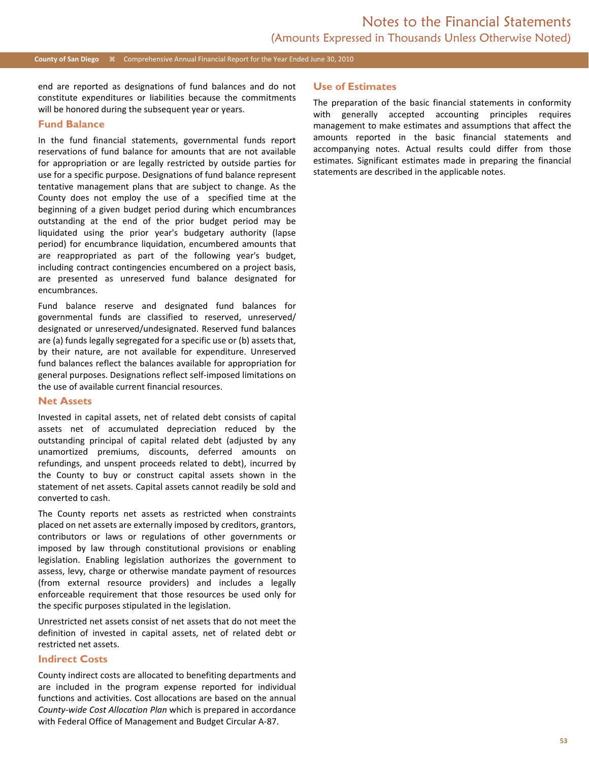#### **County of San Diego**  $\frac{1}{26}$  Comprehensive Annual Financial Report for the Year Ended June 30, 2010

end are reported as designations of fund balances and do not constitute expenditures or liabilities because the commitments will be honored during the subsequent year or years.

#### **Fund Balance**

In the fund financial statements, governmental funds report reservations of fund balance for amounts that are not available for appropriation or are legally restricted by outside parties for use for a specific purpose. Designations of fund balance represent tentative management plans that are subject to change. As the County does not employ the use of a specified time at the beginning of a given budget period during which encumbrances outstanding at the end of the prior budget period may be liquidated using the prior year's budgetary authority (lapse period) for encumbrance liquidation, encumbered amounts that are reappropriated as part of the following year's budget, including contract contingencies encumbered on a project basis, are presented as unreserved fund balance designated for encumbrances.

Fund balance reserve and designated fund balances for governmental funds are classified to reserved, unreserved/ designated or unreserved/undesignated. Reserved fund balances are (a) funds legally segregated for a specific use or (b) assets that, by their nature, are not available for expenditure. Unreserved fund balances reflect the balances available for appropriation for general purposes. Designations reflect self-imposed limitations on the use of available current financial resources.

#### **Net Assets**

Invested in capital assets, net of related debt consists of capital assets net of accumulated depreciation reduced by the outstanding principal of capital related debt (adjusted by any unamortized premiums, discounts, deferred amounts on refundings, and unspent proceeds related to debt), incurred by the County to buy or construct capital assets shown in the statement of net assets. Capital assets cannot readily be sold and converted to cash.

The County reports net assets as restricted when constraints placed on net assets are externally imposed by creditors, grantors, contributors or laws or regulations of other governments or imposed by law through constitutional provisions or enabling legislation. Enabling legislation authorizes the government to assess, levy, charge or otherwise mandate payment of resources (from external resource providers) and includes a legally enforceable requirement that those resources be used only for the specific purposes stipulated in the legislation.

Unrestricted net assets consist of net assets that do not meet the definition of invested in capital assets, net of related debt or restricted net assets.

#### **Indirect Costs**

County indirect costs are allocated to benefiting departments and are included in the program expense reported for individual functions and activities. Cost allocations are based on the annual *County-wide Cost Allocation Plan* which is prepared in accordance with Federal Office of Management and Budget Circular A-87.

#### **Use of Estimates**

The preparation of the basic financial statements in conformity with generally accepted accounting principles requires management to make estimates and assumptions that affect the amounts reported in the basic financial statements and accompanying notes. Actual results could differ from those estimates. Significant estimates made in preparing the financial statements are described in the applicable notes.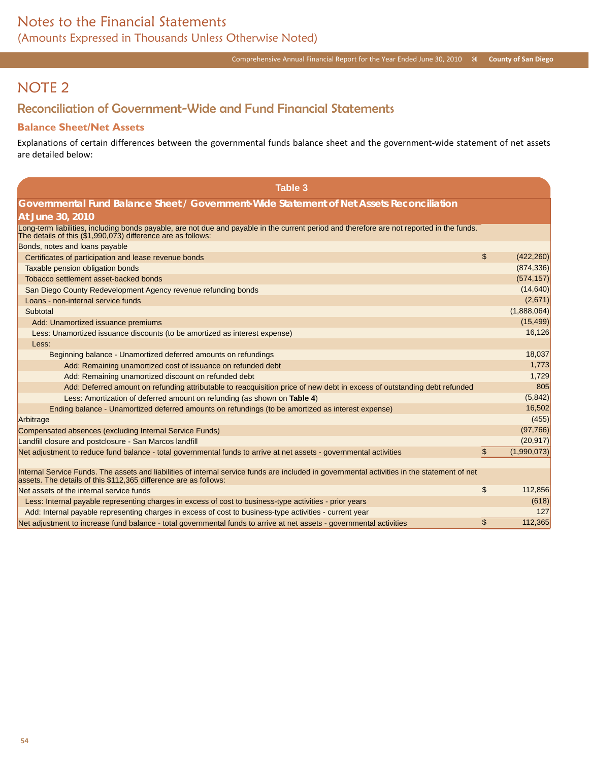# NOTE 2

## Reconciliation of Government-Wide and Fund Financial Statements

### **Balance Sheet/Net Assets**

Explanations of certain differences between the governmental funds balance sheet and the government-wide statement of net assets are detailed below:

| <b>Table 3</b>                                                                                                                                                                                                   |                   |
|------------------------------------------------------------------------------------------------------------------------------------------------------------------------------------------------------------------|-------------------|
| Governmental Fund Balance Sheet / Government-Wide Statement of Net Assets Reconciliation                                                                                                                         |                   |
| At June 30, 2010                                                                                                                                                                                                 |                   |
| Long-term liabilities, including bonds payable, are not due and payable in the current period and therefore are not reported in the funds.<br>The details of this (\$1,990,073) difference are as follows:       |                   |
| Bonds, notes and loans payable                                                                                                                                                                                   |                   |
| Certificates of participation and lease revenue bonds                                                                                                                                                            | \$<br>(422, 260)  |
| Taxable pension obligation bonds                                                                                                                                                                                 | (874, 336)        |
| Tobacco settlement asset-backed bonds                                                                                                                                                                            | (574, 157)        |
| San Diego County Redevelopment Agency revenue refunding bonds                                                                                                                                                    | (14, 640)         |
| Loans - non-internal service funds                                                                                                                                                                               | (2,671)           |
| Subtotal                                                                                                                                                                                                         | (1,888,064)       |
| Add: Unamortized issuance premiums                                                                                                                                                                               | (15, 499)         |
| Less: Unamortized issuance discounts (to be amortized as interest expense)                                                                                                                                       | 16,126            |
| Less:                                                                                                                                                                                                            |                   |
| Beginning balance - Unamortized deferred amounts on refundings                                                                                                                                                   | 18,037            |
| Add: Remaining unamortized cost of issuance on refunded debt                                                                                                                                                     | 1,773             |
| Add: Remaining unamortized discount on refunded debt                                                                                                                                                             | 1,729             |
| Add: Deferred amount on refunding attributable to reacquisition price of new debt in excess of outstanding debt refunded                                                                                         | 805               |
| Less: Amortization of deferred amount on refunding (as shown on Table 4)                                                                                                                                         | (5, 842)          |
| Ending balance - Unamortized deferred amounts on refundings (to be amortized as interest expense)                                                                                                                | 16,502            |
| Arbitrage                                                                                                                                                                                                        | (455)             |
| Compensated absences (excluding Internal Service Funds)                                                                                                                                                          | (97, 766)         |
| Landfill closure and postclosure - San Marcos landfill                                                                                                                                                           | (20, 917)         |
| Net adjustment to reduce fund balance - total governmental funds to arrive at net assets - governmental activities                                                                                               | \$<br>(1,990,073) |
|                                                                                                                                                                                                                  |                   |
| Internal Service Funds. The assets and liabilities of internal service funds are included in governmental activities in the statement of net<br>assets. The details of this \$112,365 difference are as follows: |                   |
| Net assets of the internal service funds                                                                                                                                                                         | \$<br>112,856     |
| Less: Internal payable representing charges in excess of cost to business-type activities - prior years                                                                                                          | (618)             |
| Add: Internal payable representing charges in excess of cost to business-type activities - current year                                                                                                          | 127               |
| Net adjustment to increase fund balance - total governmental funds to arrive at net assets - governmental activities                                                                                             | \$<br>112,365     |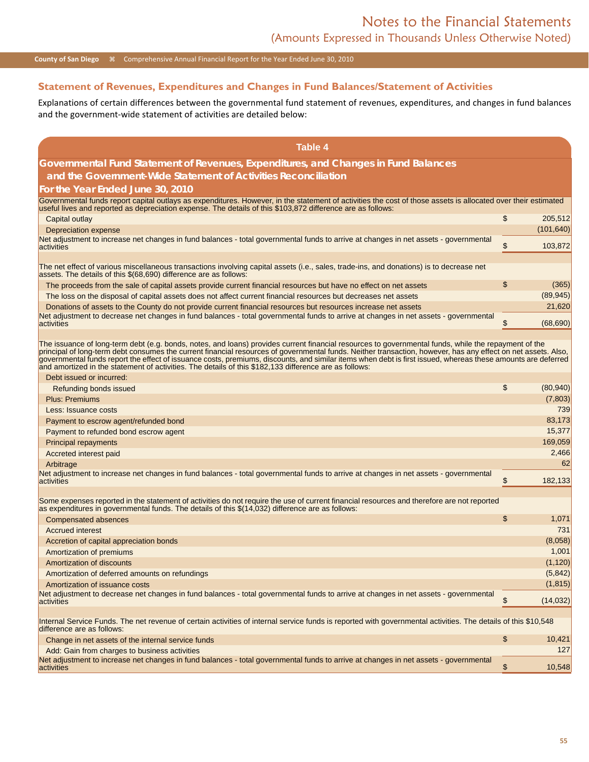### **County of San Diego**  $\#$  Comprehensive Annual Financial Report for the Year Ended June 30, 2010

### **Statement of Revenues, Expenditures and Changes in Fund Balances/Statement of Activities**

Explanations of certain differences between the governmental fund statement of revenues, expenditures, and changes in fund balances and the government-wide statement of activities are detailed below:

| <b>Table 4</b>                                                                                                                                                                                                                                                                                                                                                                                                                                                                                                                                                                                  |                 |
|-------------------------------------------------------------------------------------------------------------------------------------------------------------------------------------------------------------------------------------------------------------------------------------------------------------------------------------------------------------------------------------------------------------------------------------------------------------------------------------------------------------------------------------------------------------------------------------------------|-----------------|
| Governmental Fund Statement of Revenues, Expenditures, and Changes in Fund Balances                                                                                                                                                                                                                                                                                                                                                                                                                                                                                                             |                 |
| and the Government-Wide Statement of Activities Reconciliation                                                                                                                                                                                                                                                                                                                                                                                                                                                                                                                                  |                 |
| For the Year Ended June 30, 2010                                                                                                                                                                                                                                                                                                                                                                                                                                                                                                                                                                |                 |
| Governmental funds report capital outlays as expenditures. However, in the statement of activities the cost of those assets is allocated over their estimated<br>useful lives and reported as depreciation expense. The details of this \$103,872 difference are as follows:                                                                                                                                                                                                                                                                                                                    |                 |
| Capital outlay                                                                                                                                                                                                                                                                                                                                                                                                                                                                                                                                                                                  | \$<br>205,512   |
| Depreciation expense                                                                                                                                                                                                                                                                                                                                                                                                                                                                                                                                                                            | (101, 640)      |
| Net adjustment to increase net changes in fund balances - total governmental funds to arrive at changes in net assets - governmental<br>activities                                                                                                                                                                                                                                                                                                                                                                                                                                              | \$<br>103,872   |
|                                                                                                                                                                                                                                                                                                                                                                                                                                                                                                                                                                                                 |                 |
| The net effect of various miscellaneous transactions involving capital assets (i.e., sales, trade-ins, and donations) is to decrease net<br>assets. The details of this \$(68,690) difference are as follows:                                                                                                                                                                                                                                                                                                                                                                                   |                 |
| The proceeds from the sale of capital assets provide current financial resources but have no effect on net assets                                                                                                                                                                                                                                                                                                                                                                                                                                                                               | \$<br>(365)     |
| The loss on the disposal of capital assets does not affect current financial resources but decreases net assets                                                                                                                                                                                                                                                                                                                                                                                                                                                                                 | (89, 945)       |
| Donations of assets to the County do not provide current financial resources but resources increase net assets                                                                                                                                                                                                                                                                                                                                                                                                                                                                                  | 21,620          |
| Net adjustment to decrease net changes in fund balances - total governmental funds to arrive at changes in net assets - governmental<br>activities                                                                                                                                                                                                                                                                                                                                                                                                                                              | \$<br>(68, 690) |
|                                                                                                                                                                                                                                                                                                                                                                                                                                                                                                                                                                                                 |                 |
| The issuance of long-term debt (e.g. bonds, notes, and loans) provides current financial resources to governmental funds, while the repayment of the<br>principal of long-term debt consumes the current financial resources of governmental funds. Neither transaction, however, has any effect on net assets. Also,<br>governmental funds report the effect of issuance costs, premiums, discounts, and similar items when debt is first issued, whereas these amounts are deferred<br>and amortized in the statement of activities. The details of this \$182,133 difference are as follows: |                 |
| Debt issued or incurred:                                                                                                                                                                                                                                                                                                                                                                                                                                                                                                                                                                        |                 |
| Refunding bonds issued                                                                                                                                                                                                                                                                                                                                                                                                                                                                                                                                                                          | \$<br>(80, 940) |
| <b>Plus: Premiums</b>                                                                                                                                                                                                                                                                                                                                                                                                                                                                                                                                                                           | (7,803)         |
| Less: Issuance costs                                                                                                                                                                                                                                                                                                                                                                                                                                                                                                                                                                            | 739             |
| Payment to escrow agent/refunded bond                                                                                                                                                                                                                                                                                                                                                                                                                                                                                                                                                           | 83,173          |
| Payment to refunded bond escrow agent                                                                                                                                                                                                                                                                                                                                                                                                                                                                                                                                                           | 15,377          |
| <b>Principal repayments</b>                                                                                                                                                                                                                                                                                                                                                                                                                                                                                                                                                                     | 169,059         |
| Accreted interest paid                                                                                                                                                                                                                                                                                                                                                                                                                                                                                                                                                                          | 2,466           |
| Arbitrage                                                                                                                                                                                                                                                                                                                                                                                                                                                                                                                                                                                       | 62              |
| Net adjustment to increase net changes in fund balances - total governmental funds to arrive at changes in net assets - governmental<br>activities                                                                                                                                                                                                                                                                                                                                                                                                                                              | \$<br>182,133   |
|                                                                                                                                                                                                                                                                                                                                                                                                                                                                                                                                                                                                 |                 |
| Some expenses reported in the statement of activities do not require the use of current financial resources and therefore are not reported<br>as expenditures in governmental funds. The details of this \$(14,032) difference are as follows:                                                                                                                                                                                                                                                                                                                                                  |                 |
| <b>Compensated absences</b>                                                                                                                                                                                                                                                                                                                                                                                                                                                                                                                                                                     | \$<br>1,071     |
| <b>Accrued interest</b>                                                                                                                                                                                                                                                                                                                                                                                                                                                                                                                                                                         | 731             |
| Accretion of capital appreciation bonds                                                                                                                                                                                                                                                                                                                                                                                                                                                                                                                                                         | (8,058)         |
| Amortization of premiums                                                                                                                                                                                                                                                                                                                                                                                                                                                                                                                                                                        | 1,001           |
| Amortization of discounts                                                                                                                                                                                                                                                                                                                                                                                                                                                                                                                                                                       | (1, 120)        |
| Amortization of deferred amounts on refundings                                                                                                                                                                                                                                                                                                                                                                                                                                                                                                                                                  | (5,842)         |
| Amortization of issuance costs                                                                                                                                                                                                                                                                                                                                                                                                                                                                                                                                                                  | (1, 815)        |
| Net adjustment to decrease net changes in fund balances - total governmental funds to arrive at changes in net assets - governmental<br>activities                                                                                                                                                                                                                                                                                                                                                                                                                                              | \$<br>(14, 032) |
|                                                                                                                                                                                                                                                                                                                                                                                                                                                                                                                                                                                                 |                 |
| Internal Service Funds. The net revenue of certain activities of internal service funds is reported with governmental activities. The details of this \$10,548<br>difference are as follows:                                                                                                                                                                                                                                                                                                                                                                                                    |                 |
| Change in net assets of the internal service funds                                                                                                                                                                                                                                                                                                                                                                                                                                                                                                                                              | \$<br>10,421    |
| Add: Gain from charges to business activities<br>Net adjustment to increase net changes in fund balances - total governmental funds to arrive at changes in net assets - governmental                                                                                                                                                                                                                                                                                                                                                                                                           | 127             |
| activities                                                                                                                                                                                                                                                                                                                                                                                                                                                                                                                                                                                      | \$<br>10,548    |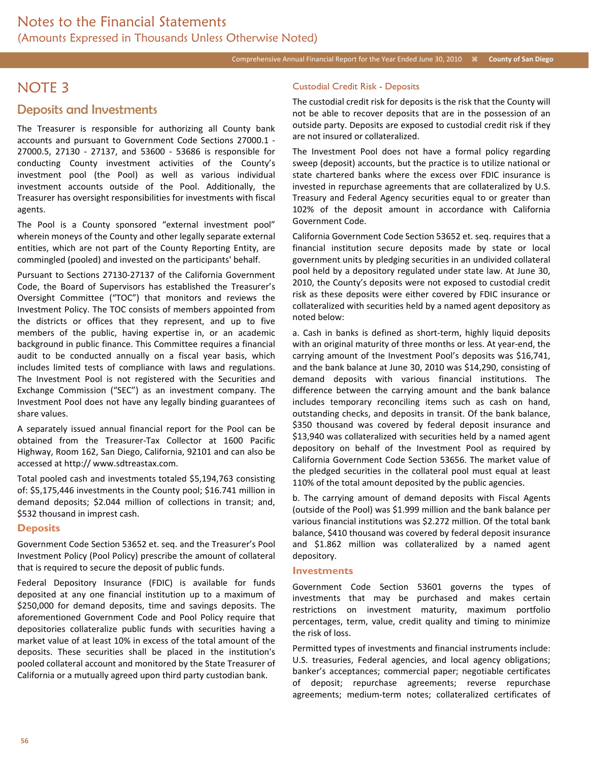## NOTE 3

### Deposits and Investments

The Treasurer is responsible for authorizing all County bank accounts and pursuant to Government Code Sections 27000.1 - 27000.5, 27130 - 27137, and 53600 - 53686 is responsible for conducting County investment activities of the County's investment pool (the Pool) as well as various individual investment accounts outside of the Pool. Additionally, the Treasurer has oversight responsibilities for investments with fiscal agents.

The Pool is a County sponsored "external investment pool" wherein moneys of the County and other legally separate external entities, which are not part of the County Reporting Entity, are commingled (pooled) and invested on the participants' behalf.

Pursuant to Sections 27130-27137 of the California Government Code, the Board of Supervisors has established the Treasurer's Oversight Committee ("TOC") that monitors and reviews the Investment Policy. The TOC consists of members appointed from the districts or offices that they represent, and up to five members of the public, having expertise in, or an academic background in public finance. This Committee requires a financial audit to be conducted annually on a fiscal year basis, which includes limited tests of compliance with laws and regulations. The Investment Pool is not registered with the Securities and Exchange Commission ("SEC") as an investment company. The Investment Pool does not have any legally binding guarantees of share values.

A separately issued annual financial report for the Pool can be obtained from the Treasurer-Tax Collector at 1600 Pacific Highway, Room 162, San Diego, California, 92101 and can also be accessed at http:// www.sdtreastax.com.

Total pooled cash and investments totaled \$5,194,763 consisting of: \$5,175,446 investments in the County pool; \$16.741 million in demand deposits; \$2.044 million of collections in transit; and, \$532 thousand in imprest cash.

#### **Deposits**

Government Code Section 53652 et. seq. and the Treasurer's Pool Investment Policy (Pool Policy) prescribe the amount of collateral that is required to secure the deposit of public funds.

Federal Depository Insurance (FDIC) is available for funds deposited at any one financial institution up to a maximum of \$250,000 for demand deposits, time and savings deposits. The aforementioned Government Code and Pool Policy require that depositories collateralize public funds with securities having a market value of at least 10% in excess of the total amount of the deposits. These securities shall be placed in the institution's pooled collateral account and monitored by the State Treasurer of California or a mutually agreed upon third party custodian bank.

#### Custodial Credit Risk - Deposits

The custodial credit risk for deposits is the risk that the County will not be able to recover deposits that are in the possession of an outside party. Deposits are exposed to custodial credit risk if they are not insured or collateralized.

The Investment Pool does not have a formal policy regarding sweep (deposit) accounts, but the practice is to utilize national or state chartered banks where the excess over FDIC insurance is invested in repurchase agreements that are collateralized by U.S. Treasury and Federal Agency securities equal to or greater than 102% of the deposit amount in accordance with California Government Code.

California Government Code Section 53652 et. seq. requires that a financial institution secure deposits made by state or local government units by pledging securities in an undivided collateral pool held by a depository regulated under state law. At June 30, 2010, the County's deposits were not exposed to custodial credit risk as these deposits were either covered by FDIC insurance or collateralized with securities held by a named agent depository as noted below:

a. Cash in banks is defined as short-term, highly liquid deposits with an original maturity of three months or less. At year-end, the carrying amount of the Investment Pool's deposits was \$16,741, and the bank balance at June 30, 2010 was \$14,290, consisting of demand deposits with various financial institutions. The difference between the carrying amount and the bank balance includes temporary reconciling items such as cash on hand, outstanding checks, and deposits in transit. Of the bank balance, \$350 thousand was covered by federal deposit insurance and \$13,940 was collateralized with securities held by a named agent depository on behalf of the Investment Pool as required by California Government Code Section 53656. The market value of the pledged securities in the collateral pool must equal at least 110% of the total amount deposited by the public agencies.

b. The carrying amount of demand deposits with Fiscal Agents (outside of the Pool) was \$1.999 million and the bank balance per various financial institutions was \$2.272 million. Of the total bank balance, \$410 thousand was covered by federal deposit insurance and \$1.862 million was collateralized by a named agent depository.

#### **Investments**

Government Code Section 53601 governs the types of investments that may be purchased and makes certain restrictions on investment maturity, maximum portfolio percentages, term, value, credit quality and timing to minimize the risk of loss.

Permitted types of investments and financial instruments include: U.S. treasuries, Federal agencies, and local agency obligations; banker's acceptances; commercial paper; negotiable certificates of deposit; repurchase agreements; reverse repurchase agreements; medium-term notes; collateralized certificates of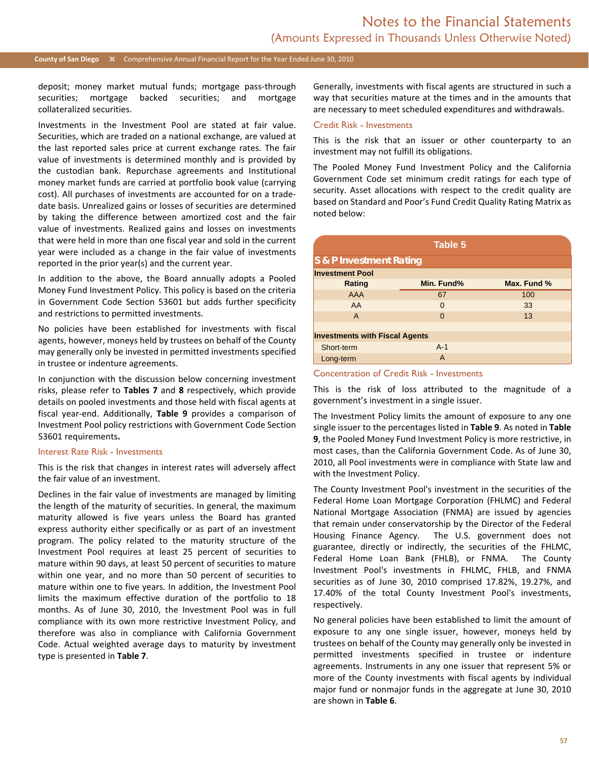#### **County of San Diego** Comprehensive Annual Financial Report for the Year Ended June 30, 2010

deposit; money market mutual funds; mortgage pass-through securities; mortgage backed securities; and mortgage collateralized securities.

Investments in the Investment Pool are stated at fair value. Securities, which are traded on a national exchange, are valued at the last reported sales price at current exchange rates. The fair value of investments is determined monthly and is provided by the custodian bank. Repurchase agreements and Institutional money market funds are carried at portfolio book value (carrying cost). All purchases of investments are accounted for on a tradedate basis. Unrealized gains or losses of securities are determined by taking the difference between amortized cost and the fair value of investments. Realized gains and losses on investments that were held in more than one fiscal year and sold in the current year were included as a change in the fair value of investments reported in the prior year(s) and the current year.

In addition to the above, the Board annually adopts a Pooled Money Fund Investment Policy. This policy is based on the criteria in Government Code Section 53601 but adds further specificity and restrictions to permitted investments.

No policies have been established for investments with fiscal agents, however, moneys held by trustees on behalf of the County may generally only be invested in permitted investments specified in trustee or indenture agreements.

In conjunction with the discussion below concerning investment risks, please refer to **Tables 7** and **8** respectively, which provide details on pooled investments and those held with fiscal agents at fiscal year-end. Additionally, **Table 9** provides a comparison of Investment Pool policy restrictions with Government Code Section 53601 requirements**.**

#### Interest Rate Risk - Investments

This is the risk that changes in interest rates will adversely affect the fair value of an investment.

Declines in the fair value of investments are managed by limiting the length of the maturity of securities. In general, the maximum maturity allowed is five years unless the Board has granted express authority either specifically or as part of an investment program. The policy related to the maturity structure of the Investment Pool requires at least 25 percent of securities to mature within 90 days, at least 50 percent of securities to mature within one year, and no more than 50 percent of securities to mature within one to five years. In addition, the Investment Pool limits the maximum effective duration of the portfolio to 18 months. As of June 30, 2010, the Investment Pool was in full compliance with its own more restrictive Investment Policy, and therefore was also in compliance with California Government Code. Actual weighted average days to maturity by investment type is presented in **Table 7**.

Generally, investments with fiscal agents are structured in such a way that securities mature at the times and in the amounts that are necessary to meet scheduled expenditures and withdrawals.

#### Credit Risk - Investments

This is the risk that an issuer or other counterparty to an investment may not fulfill its obligations.

The Pooled Money Fund Investment Policy and the California Government Code set minimum credit ratings for each type of security. Asset allocations with respect to the credit quality are based on Standard and Poor's Fund Credit Quality Rating Matrix as noted below:

| Table 5                               |            |             |  |  |  |  |  |  |
|---------------------------------------|------------|-------------|--|--|--|--|--|--|
| S & P Investment Rating               |            |             |  |  |  |  |  |  |
| <b>Investment Pool</b>                |            |             |  |  |  |  |  |  |
| Rating                                | Min. Fund% | Max. Fund % |  |  |  |  |  |  |
| <b>AAA</b>                            | 67         | 100         |  |  |  |  |  |  |
| AA                                    | $\Omega$   | 33          |  |  |  |  |  |  |
| A                                     | $\Omega$   | 13          |  |  |  |  |  |  |
|                                       |            |             |  |  |  |  |  |  |
| <b>Investments with Fiscal Agents</b> |            |             |  |  |  |  |  |  |
| Short-term                            | $A-1$      |             |  |  |  |  |  |  |
| Long-term                             | A          |             |  |  |  |  |  |  |
|                                       |            |             |  |  |  |  |  |  |

#### Concentration of Credit Risk - Investments

This is the risk of loss attributed to the magnitude of a government's investment in a single issuer.

The Investment Policy limits the amount of exposure to any one single issuer to the percentages listed in **Table 9**. As noted in **Table 9**, the Pooled Money Fund Investment Policy is more restrictive, in most cases, than the California Government Code. As of June 30, 2010, all Pool investments were in compliance with State law and with the Investment Policy.

The County Investment Pool's investment in the securities of the Federal Home Loan Mortgage Corporation (FHLMC) and Federal National Mortgage Association (FNMA) are issued by agencies that remain under conservatorship by the Director of the Federal Housing Finance Agency. The U.S. government does not guarantee, directly or indirectly, the securities of the FHLMC, Federal Home Loan Bank (FHLB), or FNMA. The County Investment Pool's investments in FHLMC, FHLB, and FNMA securities as of June 30, 2010 comprised 17.82%, 19.27%, and 17.40% of the total County Investment Pool's investments, respectively.

No general policies have been established to limit the amount of exposure to any one single issuer, however, moneys held by trustees on behalf of the County may generally only be invested in permitted investments specified in trustee or indenture agreements. Instruments in any one issuer that represent 5% or more of the County investments with fiscal agents by individual major fund or nonmajor funds in the aggregate at June 30, 2010 are shown in **Table 6**.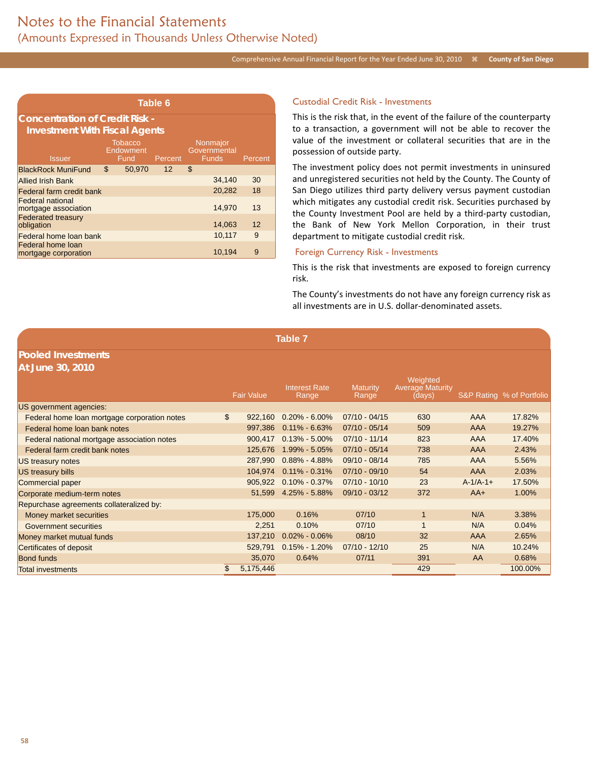#### Comprehensive Annual Financial Report for the Year Ended June 30, 2010 <sup>3</sup> County of San Diego

| Table 6                                         |    |                                       |         |                                          |         |  |  |  |
|-------------------------------------------------|----|---------------------------------------|---------|------------------------------------------|---------|--|--|--|
| <b>Concentration of Credit Risk -</b>           |    |                                       |         |                                          |         |  |  |  |
| <b>Investment With Fiscal Agents</b>            |    |                                       |         |                                          |         |  |  |  |
| <b>Issuer</b>                                   |    | <b>Tobacco</b><br>Endowment<br>Fund - | Percent | Nonmajor<br>Governmental<br><b>Funds</b> | Percent |  |  |  |
| <b>BlackRock MuniFund</b>                       | \$ | 50,970                                | 12      | \$                                       |         |  |  |  |
| <b>Allied Irish Bank</b>                        |    |                                       |         | 34,140                                   | 30      |  |  |  |
| Federal farm credit bank                        |    |                                       |         | 20,282                                   | 18      |  |  |  |
| <b>Federal national</b><br>mortgage association |    |                                       |         | 14,970                                   | 13      |  |  |  |
| <b>Federated treasury</b><br>obligation         |    |                                       |         | 14,063                                   | 12      |  |  |  |
| Federal home loan bank                          |    |                                       |         | 10,117                                   | 9       |  |  |  |
| Federal home loan<br>mortgage corporation       |    |                                       |         | 10,194                                   | 9       |  |  |  |

#### Custodial Credit Risk - Investments

This is the risk that, in the event of the failure of the counterparty to a transaction, a government will not be able to recover the value of the investment or collateral securities that are in the possession of outside party.

The investment policy does not permit investments in uninsured and unregistered securities not held by the County. The County of San Diego utilizes third party delivery versus payment custodian which mitigates any custodial credit risk. Securities purchased by the County Investment Pool are held by a third-party custodian, the Bank of New York Mellon Corporation, in their trust department to mitigate custodial credit risk.

#### Foreign Currency Risk - Investments

This is the risk that investments are exposed to foreign currency risk.

The County's investments do not have any foreign currency risk as all investments are in U.S. dollar-denominated assets.

# **Pooled Investments**

| At June 30, 2010                             |                   |                               |                          |                                               |            |                           |
|----------------------------------------------|-------------------|-------------------------------|--------------------------|-----------------------------------------------|------------|---------------------------|
|                                              | <b>Fair Value</b> | <b>Interest Rate</b><br>Range | <b>Maturity</b><br>Range | Weighted<br><b>Average Maturity</b><br>(days) |            | S&P Rating % of Portfolio |
| US government agencies:                      |                   |                               |                          |                                               |            |                           |
| Federal home loan mortgage corporation notes | \$<br>922.160     | $0.20\% - 6.00\%$             | $07/10 - 04/15$          | 630                                           | <b>AAA</b> | 17.82%                    |
| Federal home loan bank notes                 | 997,386           | $0.11\% - 6.63\%$             | $07/10 - 05/14$          | 509                                           | AAA        | 19.27%                    |
| Federal national mortgage association notes  | 900,417           | $0.13\% - 5.00\%$             | $07/10 - 11/14$          | 823                                           | <b>AAA</b> | 17.40%                    |
| Federal farm credit bank notes               | 125,676           | 1.99% - 5.05%                 | $07/10 - 05/14$          | 738                                           | <b>AAA</b> | 2.43%                     |
| US treasury notes                            | 287.990           | $0.88\% - 4.88\%$             | $09/10 - 08/14$          | 785                                           | <b>AAA</b> | 5.56%                     |
| US treasury bills                            | 104,974           | $0.11\% - 0.31\%$             | $07/10 - 09/10$          | 54                                            | AAA        | 2.03%                     |
| Commercial paper                             | 905,922           | $0.10\% - 0.37\%$             | $07/10 - 10/10$          | 23                                            | $A-1/A-1+$ | 17.50%                    |
| Corporate medium-term notes                  | 51.599            | 4.25% - 5.88%                 | $09/10 - 03/12$          | 372                                           | $AA+$      | 1.00%                     |
| Repurchase agreements collateralized by:     |                   |                               |                          |                                               |            |                           |
| Money market securities                      | 175,000           | 0.16%                         | 07/10                    | $\mathbf{1}$                                  | N/A        | 3.38%                     |
| Government securities                        | 2,251             | 0.10%                         | 07/10                    |                                               | N/A        | 0.04%                     |
| Money market mutual funds                    | 137.210           | $0.02\% - 0.06\%$             | 08/10                    | 32                                            | <b>AAA</b> | 2.65%                     |
| Certificates of deposit                      | 529.791           | $0.15\% - 1.20\%$             | $07/10 - 12/10$          | 25                                            | N/A        | 10.24%                    |
| <b>Bond funds</b>                            | 35,070            | 0.64%                         | 07/11                    | 391                                           | AA         | 0.68%                     |
| <b>Total investments</b>                     | \$<br>5,175,446   |                               |                          | 429                                           |            | 100.00%                   |

**Table 7**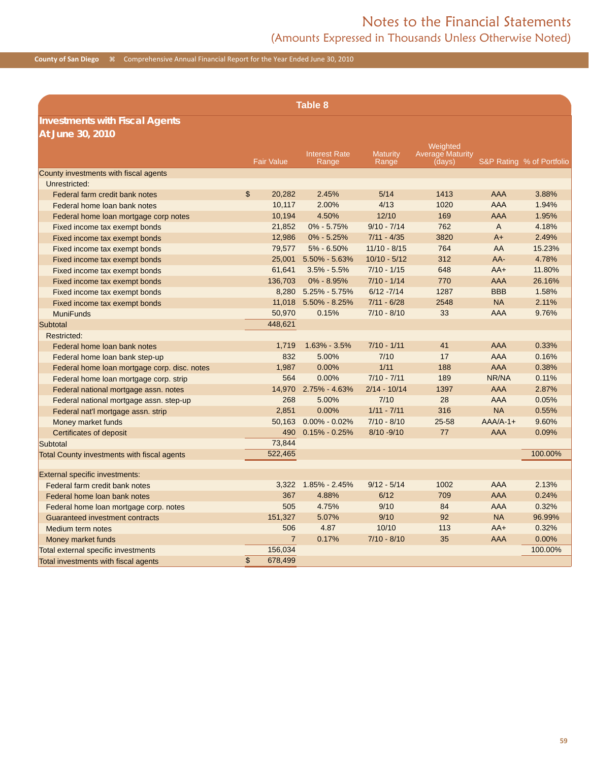## Notes to the Financial Statements (Amounts Expressed in Thousands Unless Otherwise Noted)

**County of San Diego**  $\#$  Comprehensive Annual Financial Report for the Year Ended June 30, 2010

|                                                        | <b>Table 8</b>            |                          |                |                  |              |                           |  |  |
|--------------------------------------------------------|---------------------------|--------------------------|----------------|------------------|--------------|---------------------------|--|--|
| <b>Investments with Fiscal Agents</b>                  |                           |                          |                |                  |              |                           |  |  |
| At June 30, 2010                                       |                           |                          |                |                  |              |                           |  |  |
|                                                        |                           |                          |                | Weighted         |              |                           |  |  |
|                                                        |                           | <b>Interest Rate</b>     | Maturity       | Average Maturity |              |                           |  |  |
|                                                        | <b>Fair Value</b>         | Range                    | Range          | (days)           |              | S&P Rating % of Portfolio |  |  |
| County investments with fiscal agents<br>Unrestricted: |                           |                          |                |                  |              |                           |  |  |
|                                                        | \$<br>20,282              | 2.45%                    | 5/14           | 1413             | <b>AAA</b>   | 3.88%                     |  |  |
| Federal farm credit bank notes                         | 10,117                    | 2.00%                    | 4/13           | 1020             | <b>AAA</b>   | 1.94%                     |  |  |
| Federal home loan bank notes                           | 10,194                    | 4.50%                    | 12/10          | 169              | <b>AAA</b>   | 1.95%                     |  |  |
| Federal home loan mortgage corp notes                  |                           | $0\% - 5.75\%$           | $9/10 - 7/14$  | 762              | $\mathsf{A}$ |                           |  |  |
| Fixed income tax exempt bonds                          | 21,852                    |                          | $7/11 - 4/35$  | 3820             | $A+$         | 4.18%<br>2.49%            |  |  |
| Fixed income tax exempt bonds                          | 12,986                    | $0\% - 5.25\%$           |                | 764              |              |                           |  |  |
| Fixed income tax exempt bonds                          | 79,577                    | 5% - 6.50%               | $11/10 - 8/15$ |                  | AA           | 15.23%                    |  |  |
| Fixed income tax exempt bonds                          | 25,001                    | $5.50\% - 5.63\%$        | $10/10 - 5/12$ | 312              | $AA-$        | 4.78%                     |  |  |
| Fixed income tax exempt bonds                          | 61,641                    | $3.5\% - 5.5\%$          | $7/10 - 1/15$  | 648              | $AA+$        | 11.80%                    |  |  |
| Fixed income tax exempt bonds                          | 136,703                   | $0\% - 8.95\%$           | $7/10 - 1/14$  | 770              | <b>AAA</b>   | 26.16%                    |  |  |
| Fixed income tax exempt bonds                          |                           | 8,280 5.25% - 5.75%      | $6/12 - 7/14$  | 1287             | <b>BBB</b>   | 1.58%                     |  |  |
| Fixed income tax exempt bonds                          |                           | 11,018 5.50% - 8.25%     | $7/11 - 6/28$  | 2548             | <b>NA</b>    | 2.11%                     |  |  |
| <b>MuniFunds</b>                                       | 50,970                    | 0.15%                    | $7/10 - 8/10$  | 33               | <b>AAA</b>   | 9.76%                     |  |  |
| Subtotal                                               | 448,621                   |                          |                |                  |              |                           |  |  |
| Restricted:                                            |                           |                          |                |                  |              |                           |  |  |
| Federal home loan bank notes                           | 1,719                     | $1.63\% - 3.5\%$         | $7/10 - 1/11$  | 41               | <b>AAA</b>   | 0.33%                     |  |  |
| Federal home loan bank step-up                         |                           | 5.00%<br>832             | 7/10           | 17               | <b>AAA</b>   | 0.16%                     |  |  |
| Federal home loan mortgage corp. disc. notes           | 1,987                     | 0.00%                    | 1/11           | 188              | <b>AAA</b>   | 0.38%                     |  |  |
| Federal home loan mortgage corp. strip                 |                           | 564<br>0.00%             | $7/10 - 7/11$  | 189              | NR/NA        | 0.11%                     |  |  |
| Federal national mortgage assn. notes                  | 14,970                    | $2.75\% - 4.63\%$        | $2/14 - 10/14$ | 1397             | <b>AAA</b>   | 2.87%                     |  |  |
| Federal national mortgage assn. step-up                |                           | 5.00%<br>268             | 7/10           | 28               | <b>AAA</b>   | 0.05%                     |  |  |
| Federal nat'l mortgage assn. strip                     | 2,851                     | 0.00%                    | $1/11 - 7/11$  | 316              | <b>NA</b>    | 0.55%                     |  |  |
| Money market funds                                     | 50.163                    | $0.00\% - 0.02\%$        | $7/10 - 8/10$  | 25-58            | $AA/A-1+$    | 9.60%                     |  |  |
| Certificates of deposit                                |                           | 490<br>$0.15\% - 0.25\%$ | 8/10 - 9/10    | 77               | <b>AAA</b>   | 0.09%                     |  |  |
| Subtotal                                               | 73,844                    |                          |                |                  |              |                           |  |  |
| Total County investments with fiscal agents            | 522,465                   |                          |                |                  |              | 100.00%                   |  |  |
|                                                        |                           |                          |                |                  |              |                           |  |  |
| External specific investments:                         |                           |                          |                |                  |              |                           |  |  |
| Federal farm credit bank notes                         | 3,322                     | $1.85\% - 2.45\%$        | $9/12 - 5/14$  | 1002             | <b>AAA</b>   | 2.13%                     |  |  |
| Federal home loan bank notes                           |                           | 367<br>4.88%             | 6/12           | 709              | AAA          | 0.24%                     |  |  |
| Federal home loan mortgage corp. notes                 |                           | 4.75%<br>505             | 9/10           | 84               | <b>AAA</b>   | 0.32%                     |  |  |
| Guaranteed investment contracts                        | 151,327                   | 5.07%                    | 9/10           | 92               | <b>NA</b>    | 96.99%                    |  |  |
| Medium term notes                                      |                           | 506<br>4.87              | 10/10          | 113              | $AA+$        | 0.32%                     |  |  |
| Money market funds                                     |                           | $\overline{7}$<br>0.17%  | $7/10 - 8/10$  | 35               | <b>AAA</b>   | 0.00%                     |  |  |
| Total external specific investments                    | 156,034                   |                          |                |                  |              | 100.00%                   |  |  |
| Total investments with fiscal agents                   | $\mathfrak{L}$<br>678,499 |                          |                |                  |              |                           |  |  |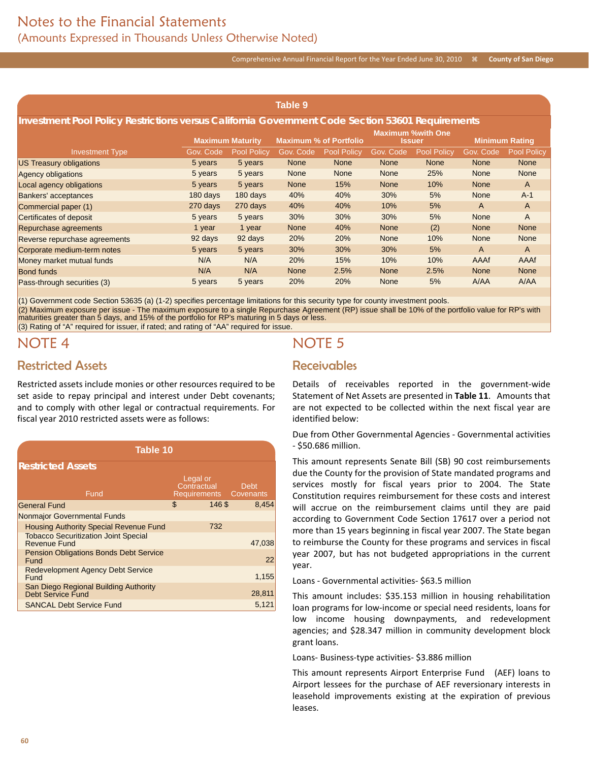#### Comprehensive Annual Financial Report for the Year Ended June 30, 2010  $\#$  County of San Diego

| <b>Table 9</b>                                                                                   |           |                         |             |                               |             |                                    |                |                       |
|--------------------------------------------------------------------------------------------------|-----------|-------------------------|-------------|-------------------------------|-------------|------------------------------------|----------------|-----------------------|
| Investment Pool Policy Restrictions versus California Government Code Section 53601 Requirements |           |                         |             |                               |             |                                    |                |                       |
|                                                                                                  |           | <b>Maximum Maturity</b> |             | <b>Maximum % of Portfolio</b> |             | <b>Maximum %with One</b><br>Issuer |                | <b>Minimum Rating</b> |
| <b>Investment Type</b>                                                                           | Gov. Code | <b>Pool Policy</b>      | Gov. Code   | <b>Pool Policy</b>            | Gov. Code   | <b>Pool Policy</b>                 | Gov. Code      | <b>Pool Policy</b>    |
| <b>US Treasury obligations</b>                                                                   | 5 years   | 5 years                 | <b>None</b> | <b>None</b>                   | <b>None</b> | <b>None</b>                        | <b>None</b>    | <b>None</b>           |
| <b>Agency obligations</b>                                                                        | 5 years   | 5 years                 | <b>None</b> | <b>None</b>                   | <b>None</b> | 25%                                | <b>None</b>    | <b>None</b>           |
| Local agency obligations                                                                         | 5 years   | 5 years                 | <b>None</b> | 15%                           | <b>None</b> | 10%                                | <b>None</b>    | $\mathsf{A}$          |
| Bankers' acceptances                                                                             | 180 days  | 180 days                | 40%         | 40%                           | 30%         | 5%                                 | <b>None</b>    | $A-1$                 |
| Commercial paper (1)                                                                             | 270 days  | 270 days                | 40%         | 40%                           | 10%         | 5%                                 | A              | $\mathsf{A}$          |
| Certificates of deposit                                                                          | 5 years   | 5 years                 | 30%         | 30%                           | 30%         | 5%                                 | <b>None</b>    | $\overline{A}$        |
| Repurchase agreements                                                                            | 1 year    | 1 year                  | <b>None</b> | 40%                           | <b>None</b> | (2)                                | <b>None</b>    | <b>None</b>           |
| Reverse repurchase agreements                                                                    | 92 days   | 92 days                 | 20%         | 20%                           | <b>None</b> | 10%                                | None           | <b>None</b>           |
| Corporate medium-term notes                                                                      | 5 years   | 5 years                 | 30%         | 30%                           | 30%         | 5%                                 | $\overline{A}$ | $\mathsf{A}$          |
| Money market mutual funds                                                                        | N/A       | N/A                     | <b>20%</b>  | 15%                           | 10%         | 10%                                | AAAf           | AAAf                  |
| <b>Bond funds</b>                                                                                | N/A       | N/A                     | <b>None</b> | 2.5%                          | <b>None</b> | 2.5%                               | <b>None</b>    | <b>None</b>           |
| Pass-through securities (3)                                                                      | 5 years   | 5 years                 | 20%         | 20%                           | <b>None</b> | 5%                                 | <b>A/AA</b>    | A/AA                  |

(1) Government code Section 53635 (a) (1-2) specifies percentage limitations for this security type for county investment pools. (2) Maximum exposure per issue - The maximum exposure to a single Repurchase Agreement (RP) issue shall be 10% of the portfolio value for RP's with maturities greater than 5 days, and 15% of the portfolio for RP's maturing in 5 days or less.

(3) Rating of "A" required for issuer, if rated; and rating of "AA" required for issue.

## NOTE 4

### Restricted Assets

Restricted assets include monies or other resources required to be set aside to repay principal and interest under Debt covenants; and to comply with other legal or contractual requirements. For fiscal year 2010 restricted assets were as follows:

| Table 10                                                           |                                                   |             |  |  |  |  |  |  |
|--------------------------------------------------------------------|---------------------------------------------------|-------------|--|--|--|--|--|--|
| <b>Restricted Assets</b>                                           |                                                   |             |  |  |  |  |  |  |
| Fund                                                               | Legal or<br>Contractual<br>Requirements Covenants | <b>Debt</b> |  |  |  |  |  |  |
| <b>General Fund</b>                                                | \$<br>146\$                                       | 8.454       |  |  |  |  |  |  |
| Nonmajor Governmental Funds                                        |                                                   |             |  |  |  |  |  |  |
| <b>Housing Authority Special Revenue Fund</b>                      | 732                                               |             |  |  |  |  |  |  |
| <b>Tobacco Securitization Joint Special</b><br><b>Revenue Fund</b> |                                                   | 47,038      |  |  |  |  |  |  |
| <b>Pension Obligations Bonds Debt Service</b><br>Fund              |                                                   | 22          |  |  |  |  |  |  |
| <b>Redevelopment Agency Debt Service</b><br>Fund                   |                                                   | 1,155       |  |  |  |  |  |  |
| San Diego Regional Building Authority<br><b>Debt Service Fund</b>  |                                                   | 28,811      |  |  |  |  |  |  |
| <b>SANCAL Debt Service Fund</b>                                    |                                                   | 5.121       |  |  |  |  |  |  |

# NOTE 5

### Receivables

Details of receivables reported in the government-wide Statement of Net Assets are presented in **Table 11**.Amounts that are not expected to be collected within the next fiscal year are identified below:

Due from Other Governmental Agencies - Governmental activities - \$50.686 million.

This amount represents Senate Bill (SB) 90 cost reimbursements due the County for the provision of State mandated programs and services mostly for fiscal years prior to 2004. The State Constitution requires reimbursement for these costs and interest will accrue on the reimbursement claims until they are paid according to Government Code Section 17617 over a period not more than 15 years beginning in fiscal year 2007. The State began to reimburse the County for these programs and services in fiscal year 2007, but has not budgeted appropriations in the current year.

Loans - Governmental activities- \$63.5 million

This amount includes: \$35.153 million in housing rehabilitation loan programs for low-income or special need residents, loans for low income housing downpayments, and redevelopment agencies; and \$28.347 million in community development block grant loans.

Loans- Business-type activities- \$3.886 million

This amount represents Airport Enterprise Fund (AEF) loans to Airport lessees for the purchase of AEF reversionary interests in leasehold improvements existing at the expiration of previous leases.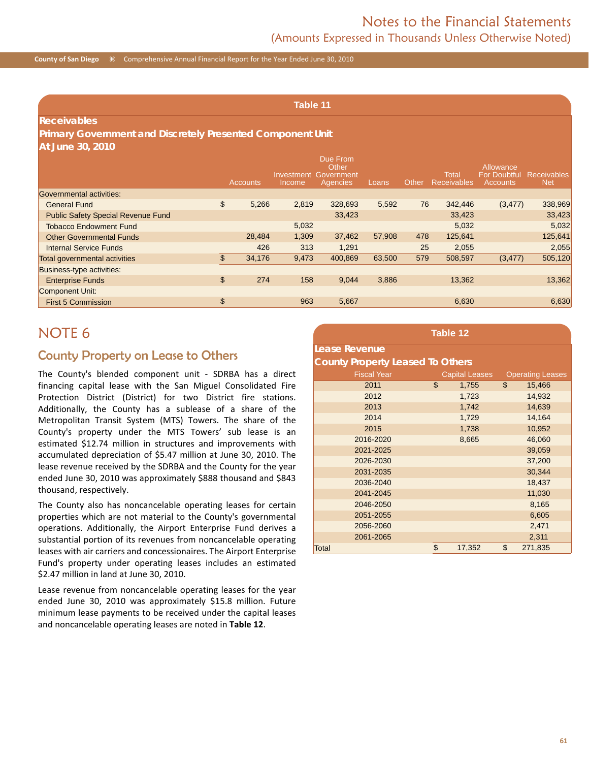**County of San Diego**  $\frac{1}{8}$  Comprehensive Annual Financial Report for the Year Ended June 30, 2010

**Table 11**

#### **Receivables**

#### **Primary Government and Discretely Presented Component Unit At June 30, 2010**

|                                           |               | Accounts | Investment<br>Income | Due From<br>Other<br>Government<br>Agencies | Loans  | Other | Total<br><b>Receivables</b> | Allowance<br><b>For Doubtful</b><br><b>Accounts</b> | Receivables<br><b>Net</b> |
|-------------------------------------------|---------------|----------|----------------------|---------------------------------------------|--------|-------|-----------------------------|-----------------------------------------------------|---------------------------|
| Governmental activities:                  |               |          |                      |                                             |        |       |                             |                                                     |                           |
| <b>General Fund</b>                       | $\frac{1}{2}$ | 5,266    | 2,819                | 328.693                                     | 5,592  | 76    | 342,446                     | (3, 477)                                            | 338,969                   |
| <b>Public Safety Special Revenue Fund</b> |               |          |                      | 33,423                                      |        |       | 33,423                      |                                                     | 33,423                    |
| <b>Tobacco Endowment Fund</b>             |               |          | 5,032                |                                             |        |       | 5,032                       |                                                     | 5,032                     |
| <b>Other Governmental Funds</b>           |               | 28,484   | 1,309                | 37,462                                      | 57,908 | 478   | 125,641                     |                                                     | 125,641                   |
| <b>Internal Service Funds</b>             |               | 426      | 313                  | 1,291                                       |        | 25    | 2,055                       |                                                     | 2,055                     |
| Total governmental activities             |               | 34,176   | 9,473                | 400.869                                     | 63,500 | 579   | 508,597                     | (3, 477)                                            | 505,120                   |
| Business-type activities:                 |               |          |                      |                                             |        |       |                             |                                                     |                           |
| <b>Enterprise Funds</b>                   | \$            | 274      | 158                  | 9,044                                       | 3,886  |       | 13,362                      |                                                     | 13,362                    |
| <b>Component Unit:</b>                    |               |          |                      |                                             |        |       |                             |                                                     |                           |
| <b>First 5 Commission</b>                 | \$            |          | 963                  | 5,667                                       |        |       | 6,630                       |                                                     | 6,630                     |

## NOTE 6

### County Property on Lease to Others

The County's blended component unit - SDRBA has a direct financing capital lease with the San Miguel Consolidated Fire Protection District (District) for two District fire stations. Additionally, the County has a sublease of a share of the Metropolitan Transit System (MTS) Towers. The share of the County's property under the MTS Towers' sub lease is an estimated \$12.74 million in structures and improvements with accumulated depreciation of \$5.47 million at June 30, 2010. The lease revenue received by the SDRBA and the County for the year ended June 30, 2010 was approximately \$888 thousand and \$843 thousand, respectively.

The County also has noncancelable operating leases for certain properties which are not material to the County's governmental operations. Additionally, the Airport Enterprise Fund derives a substantial portion of its revenues from noncancelable operating leases with air carriers and concessionaires. The Airport Enterprise Fund's property under operating leases includes an estimated \$2.47 million in land at June 30, 2010.

Lease revenue from noncancelable operating leases for the year ended June 30, 2010 was approximately \$15.8 million. Future minimum lease payments to be received under the capital leases and noncancelable operating leases are noted in **Table 12**.

|                                         | Table 12              |                         |
|-----------------------------------------|-----------------------|-------------------------|
| <b>Lease Revenue</b>                    |                       |                         |
| <b>County Property Leased To Others</b> |                       |                         |
| <b>Fiscal Year</b>                      | <b>Capital Leases</b> | <b>Operating Leases</b> |
| 2011                                    | \$<br>1,755           | \$<br>15,466            |
| 2012                                    | 1,723                 | 14,932                  |
| 2013                                    | 1,742                 | 14,639                  |
| 2014                                    | 1,729                 | 14,164                  |
| 2015                                    | 1,738                 | 10,952                  |
| 2016-2020                               | 8,665                 | 46,060                  |
| 2021-2025                               |                       | 39,059                  |
| 2026-2030                               |                       | 37,200                  |
| 2031-2035                               |                       | 30,344                  |
| 2036-2040                               |                       | 18,437                  |
| 2041-2045                               |                       | 11,030                  |
| 2046-2050                               |                       | 8,165                   |
| 2051-2055                               |                       | 6,605                   |
| 2056-2060                               |                       | 2,471                   |
| 2061-2065                               |                       | 2,311                   |
| <b>Total</b>                            | \$<br>17,352          | \$<br>271,835           |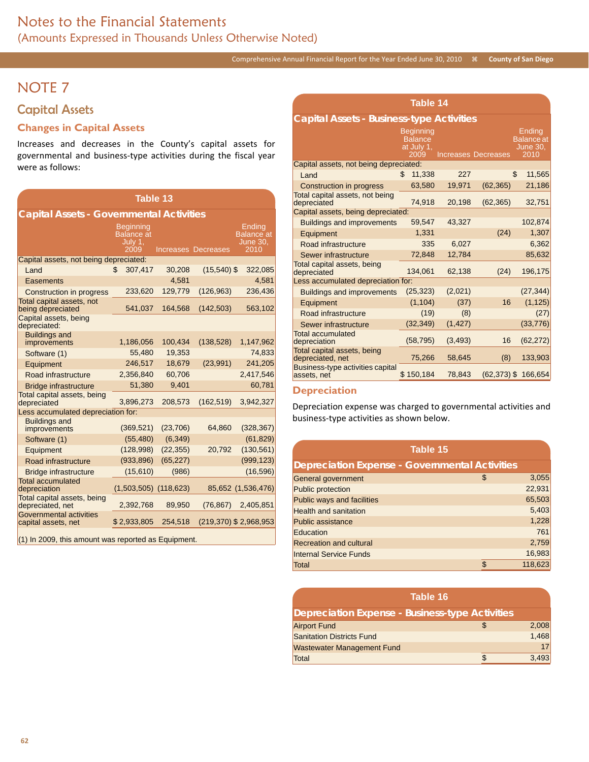# NOTE 7

## Capital Assets

### **Changes in Capital Assets**

Increases and decreases in the County's capital assets for governmental and business-type activities during the fiscal year were as follows:

| <b>Capital Assets - Governmental Activities</b><br>Beginning<br>Ending<br><b>Balance</b> at<br><b>Balance</b> at<br>July 1,<br><b>June 30,</b><br>2009<br>2010<br><b>Increases Decreases</b><br>Capital assets, not being depreciated:<br>$(15,540)$ \$<br>307,417<br>30,208<br>\$<br>322,085<br>Land<br>4,581<br>4,581<br>Easements<br>(126, 963)<br>236,436<br>233,620<br>129,779<br>Construction in progress<br>Total capital assets, not<br>541,037<br>164,568<br>(142, 503)<br>563,102<br>being depreciated<br>Capital assets, being<br>depreciated:<br><b>Buildings and</b><br>1,186,056<br>100,434<br>(138, 528)<br>1,147,962<br>improvements<br>55,480<br>19,353<br>74,833<br>Software (1)<br>246,517<br>(23, 991)<br>241,205<br>18,679<br>Equipment<br>2,356,840<br>60,706<br>2,417,546<br>Road infrastructure<br>51,380<br>9,401<br>60,781<br><b>Bridge infrastructure</b><br>Total capital assets, being<br>3,896,273<br>(162, 519)<br>208,573<br>3,942,327<br>depreciated<br>Less accumulated depreciation for:<br><b>Buildings and</b><br>(369, 521)<br>(23,706)<br>64,860<br>(328, 367)<br>improvements<br>(55, 480)<br>(6, 349)<br>(61, 829)<br>Software (1)<br>20,792<br>(130, 561)<br>(128,998)<br>(22, 355)<br>Equipment<br>(933, 896)<br>(65, 227)<br>(999, 123)<br>Road infrastructure<br>(15,610)<br>(16, 596)<br>(986)<br><b>Bridge infrastructure</b><br><b>Total accumulated</b><br>$(1,503,505)$ $(118,623)$<br>85,652 (1,536,476)<br>depreciation<br>Total capital assets, being<br>2,392,768<br>89,950<br>(76, 867)<br>2,405,851<br>depreciated, net<br>Governmental activities<br>\$2,933,805<br>254,518<br>(219,370) \$2,968,953<br>capital assets, net | Table 13 |  |  |  |  |  |  |  |  |
|--------------------------------------------------------------------------------------------------------------------------------------------------------------------------------------------------------------------------------------------------------------------------------------------------------------------------------------------------------------------------------------------------------------------------------------------------------------------------------------------------------------------------------------------------------------------------------------------------------------------------------------------------------------------------------------------------------------------------------------------------------------------------------------------------------------------------------------------------------------------------------------------------------------------------------------------------------------------------------------------------------------------------------------------------------------------------------------------------------------------------------------------------------------------------------------------------------------------------------------------------------------------------------------------------------------------------------------------------------------------------------------------------------------------------------------------------------------------------------------------------------------------------------------------------------------------------------------------------------------------------------------------------------------------------------------|----------|--|--|--|--|--|--|--|--|
|                                                                                                                                                                                                                                                                                                                                                                                                                                                                                                                                                                                                                                                                                                                                                                                                                                                                                                                                                                                                                                                                                                                                                                                                                                                                                                                                                                                                                                                                                                                                                                                                                                                                                      |          |  |  |  |  |  |  |  |  |
|                                                                                                                                                                                                                                                                                                                                                                                                                                                                                                                                                                                                                                                                                                                                                                                                                                                                                                                                                                                                                                                                                                                                                                                                                                                                                                                                                                                                                                                                                                                                                                                                                                                                                      |          |  |  |  |  |  |  |  |  |
|                                                                                                                                                                                                                                                                                                                                                                                                                                                                                                                                                                                                                                                                                                                                                                                                                                                                                                                                                                                                                                                                                                                                                                                                                                                                                                                                                                                                                                                                                                                                                                                                                                                                                      |          |  |  |  |  |  |  |  |  |
|                                                                                                                                                                                                                                                                                                                                                                                                                                                                                                                                                                                                                                                                                                                                                                                                                                                                                                                                                                                                                                                                                                                                                                                                                                                                                                                                                                                                                                                                                                                                                                                                                                                                                      |          |  |  |  |  |  |  |  |  |
|                                                                                                                                                                                                                                                                                                                                                                                                                                                                                                                                                                                                                                                                                                                                                                                                                                                                                                                                                                                                                                                                                                                                                                                                                                                                                                                                                                                                                                                                                                                                                                                                                                                                                      |          |  |  |  |  |  |  |  |  |
|                                                                                                                                                                                                                                                                                                                                                                                                                                                                                                                                                                                                                                                                                                                                                                                                                                                                                                                                                                                                                                                                                                                                                                                                                                                                                                                                                                                                                                                                                                                                                                                                                                                                                      |          |  |  |  |  |  |  |  |  |
|                                                                                                                                                                                                                                                                                                                                                                                                                                                                                                                                                                                                                                                                                                                                                                                                                                                                                                                                                                                                                                                                                                                                                                                                                                                                                                                                                                                                                                                                                                                                                                                                                                                                                      |          |  |  |  |  |  |  |  |  |
|                                                                                                                                                                                                                                                                                                                                                                                                                                                                                                                                                                                                                                                                                                                                                                                                                                                                                                                                                                                                                                                                                                                                                                                                                                                                                                                                                                                                                                                                                                                                                                                                                                                                                      |          |  |  |  |  |  |  |  |  |
|                                                                                                                                                                                                                                                                                                                                                                                                                                                                                                                                                                                                                                                                                                                                                                                                                                                                                                                                                                                                                                                                                                                                                                                                                                                                                                                                                                                                                                                                                                                                                                                                                                                                                      |          |  |  |  |  |  |  |  |  |
|                                                                                                                                                                                                                                                                                                                                                                                                                                                                                                                                                                                                                                                                                                                                                                                                                                                                                                                                                                                                                                                                                                                                                                                                                                                                                                                                                                                                                                                                                                                                                                                                                                                                                      |          |  |  |  |  |  |  |  |  |
|                                                                                                                                                                                                                                                                                                                                                                                                                                                                                                                                                                                                                                                                                                                                                                                                                                                                                                                                                                                                                                                                                                                                                                                                                                                                                                                                                                                                                                                                                                                                                                                                                                                                                      |          |  |  |  |  |  |  |  |  |
|                                                                                                                                                                                                                                                                                                                                                                                                                                                                                                                                                                                                                                                                                                                                                                                                                                                                                                                                                                                                                                                                                                                                                                                                                                                                                                                                                                                                                                                                                                                                                                                                                                                                                      |          |  |  |  |  |  |  |  |  |
|                                                                                                                                                                                                                                                                                                                                                                                                                                                                                                                                                                                                                                                                                                                                                                                                                                                                                                                                                                                                                                                                                                                                                                                                                                                                                                                                                                                                                                                                                                                                                                                                                                                                                      |          |  |  |  |  |  |  |  |  |
|                                                                                                                                                                                                                                                                                                                                                                                                                                                                                                                                                                                                                                                                                                                                                                                                                                                                                                                                                                                                                                                                                                                                                                                                                                                                                                                                                                                                                                                                                                                                                                                                                                                                                      |          |  |  |  |  |  |  |  |  |
|                                                                                                                                                                                                                                                                                                                                                                                                                                                                                                                                                                                                                                                                                                                                                                                                                                                                                                                                                                                                                                                                                                                                                                                                                                                                                                                                                                                                                                                                                                                                                                                                                                                                                      |          |  |  |  |  |  |  |  |  |
|                                                                                                                                                                                                                                                                                                                                                                                                                                                                                                                                                                                                                                                                                                                                                                                                                                                                                                                                                                                                                                                                                                                                                                                                                                                                                                                                                                                                                                                                                                                                                                                                                                                                                      |          |  |  |  |  |  |  |  |  |
|                                                                                                                                                                                                                                                                                                                                                                                                                                                                                                                                                                                                                                                                                                                                                                                                                                                                                                                                                                                                                                                                                                                                                                                                                                                                                                                                                                                                                                                                                                                                                                                                                                                                                      |          |  |  |  |  |  |  |  |  |
|                                                                                                                                                                                                                                                                                                                                                                                                                                                                                                                                                                                                                                                                                                                                                                                                                                                                                                                                                                                                                                                                                                                                                                                                                                                                                                                                                                                                                                                                                                                                                                                                                                                                                      |          |  |  |  |  |  |  |  |  |
|                                                                                                                                                                                                                                                                                                                                                                                                                                                                                                                                                                                                                                                                                                                                                                                                                                                                                                                                                                                                                                                                                                                                                                                                                                                                                                                                                                                                                                                                                                                                                                                                                                                                                      |          |  |  |  |  |  |  |  |  |
|                                                                                                                                                                                                                                                                                                                                                                                                                                                                                                                                                                                                                                                                                                                                                                                                                                                                                                                                                                                                                                                                                                                                                                                                                                                                                                                                                                                                                                                                                                                                                                                                                                                                                      |          |  |  |  |  |  |  |  |  |
|                                                                                                                                                                                                                                                                                                                                                                                                                                                                                                                                                                                                                                                                                                                                                                                                                                                                                                                                                                                                                                                                                                                                                                                                                                                                                                                                                                                                                                                                                                                                                                                                                                                                                      |          |  |  |  |  |  |  |  |  |
|                                                                                                                                                                                                                                                                                                                                                                                                                                                                                                                                                                                                                                                                                                                                                                                                                                                                                                                                                                                                                                                                                                                                                                                                                                                                                                                                                                                                                                                                                                                                                                                                                                                                                      |          |  |  |  |  |  |  |  |  |
|                                                                                                                                                                                                                                                                                                                                                                                                                                                                                                                                                                                                                                                                                                                                                                                                                                                                                                                                                                                                                                                                                                                                                                                                                                                                                                                                                                                                                                                                                                                                                                                                                                                                                      |          |  |  |  |  |  |  |  |  |

(1) In 2009, this amount was reported as Equipment.

|                                                  | Table 14 |                                                          |          |                            |    |                                                 |  |  |  |
|--------------------------------------------------|----------|----------------------------------------------------------|----------|----------------------------|----|-------------------------------------------------|--|--|--|
| <b>Capital Assets - Business-type Activities</b> |          |                                                          |          |                            |    |                                                 |  |  |  |
|                                                  |          | <b>Beginning</b><br><b>Balance</b><br>at July 1.<br>2009 |          | <b>Increases Decreases</b> |    | Ending<br><b>Balance</b> at<br>June 30.<br>2010 |  |  |  |
| Capital assets, not being depreciated:           |          |                                                          |          |                            |    |                                                 |  |  |  |
| Land                                             | \$       | 11,338                                                   | 227      |                            | \$ | 11,565                                          |  |  |  |
| Construction in progress                         |          | 63,580                                                   | 19,971   | (62, 365)                  |    | 21,186                                          |  |  |  |
| Total capital assets, not being<br>depreciated   |          | 74,918                                                   | 20,198   | (62, 365)                  |    | 32,751                                          |  |  |  |
| Capital assets, being depreciated:               |          |                                                          |          |                            |    |                                                 |  |  |  |
| <b>Buildings and improvements</b>                |          | 59,547                                                   | 43,327   |                            |    | 102,874                                         |  |  |  |
| Equipment                                        |          | 1,331                                                    |          | (24)                       |    | 1,307                                           |  |  |  |
| Road infrastructure                              |          | 335                                                      | 6.027    |                            |    | 6,362                                           |  |  |  |
| Sewer infrastructure                             |          | 72,848                                                   | 12,784   |                            |    | 85,632                                          |  |  |  |
| Total capital assets, being<br>depreciated       |          | 134,061                                                  | 62,138   | (24)                       |    | 196,175                                         |  |  |  |
| Less accumulated depreciation for:               |          |                                                          |          |                            |    |                                                 |  |  |  |
| <b>Buildings and improvements</b>                |          | (25, 323)                                                | (2,021)  |                            |    | (27, 344)                                       |  |  |  |
| Equipment                                        |          | (1, 104)                                                 | (37)     | 16                         |    | (1, 125)                                        |  |  |  |
| Road infrastructure                              |          | (19)                                                     | (8)      |                            |    | (27)                                            |  |  |  |
| Sewer infrastructure                             |          | (32, 349)                                                | (1, 427) |                            |    | (33, 776)                                       |  |  |  |
| Total accumulated<br>depreciation                |          | (58, 795)                                                | (3, 493) | 16                         |    | (62, 272)                                       |  |  |  |
| Total capital assets, being<br>depreciated, net  |          | 75,266                                                   | 58,645   | (8)                        |    | 133,903                                         |  |  |  |
| Business-type activities capital<br>assets, net  |          | \$150,184                                                | 78,843   | $(62, 373)$ \$             |    | 166,654                                         |  |  |  |

### **Depreciation**

Depreciation expense was charged to governmental activities and business-type activities as shown below.

| Table 15                                              |             |
|-------------------------------------------------------|-------------|
| <b>Depreciation Expense - Governmental Activities</b> |             |
| General government                                    | \$<br>3,055 |
| <b>Public protection</b>                              | 22,931      |
| Public ways and facilities                            | 65,503      |
| <b>Health and sanitation</b>                          | 5,403       |
| <b>Public assistance</b>                              | 1,228       |
| Education                                             | 761         |
| <b>Recreation and cultural</b>                        | 2,759       |
| <b>Internal Service Funds</b>                         | 16,983      |
| Total                                                 | 118,623     |

|                                                        | Table 16 |       |
|--------------------------------------------------------|----------|-------|
| <b>Depreciation Expense - Business-type Activities</b> |          |       |
| <b>Airport Fund</b>                                    |          | 2,008 |
| <b>Sanitation Districts Fund</b>                       |          | 1,468 |
| <b>Wastewater Management Fund</b>                      |          | 17    |
| Total                                                  |          | 3,493 |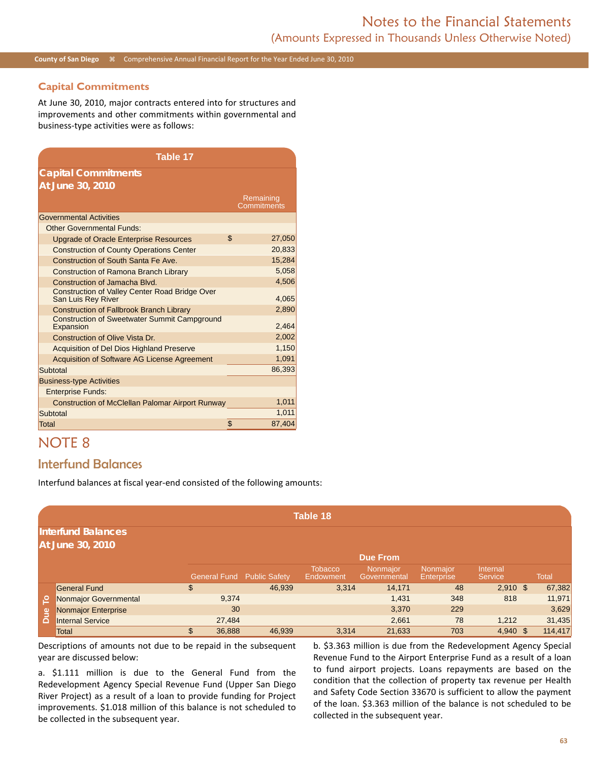### **Capital Commitments**

At June 30, 2010, major contracts entered into for structures and improvements and other commitments within governmental and business-type activities were as follows:

| Table 17                                                                    |                          |
|-----------------------------------------------------------------------------|--------------------------|
| <b>Capital Commitments</b>                                                  |                          |
| At June 30, 2010                                                            |                          |
|                                                                             | Remaining<br>Commitments |
| <b>Governmental Activities</b>                                              |                          |
| <b>Other Governmental Funds:</b>                                            |                          |
| <b>Upgrade of Oracle Enterprise Resources</b>                               | \$<br>27,050             |
| <b>Construction of County Operations Center</b>                             | 20,833                   |
| Construction of South Santa Fe Ave.                                         | 15,284                   |
| Construction of Ramona Branch Library                                       | 5,058                    |
| Construction of Jamacha Blvd.                                               | 4,506                    |
| <b>Construction of Valley Center Road Bridge Over</b><br>San Luis Rey River | 4,065                    |
| <b>Construction of Fallbrook Branch Library</b>                             | 2,890                    |
| <b>Construction of Sweetwater Summit Campground</b><br>Expansion            | 2,464                    |
| Construction of Olive Vista Dr.                                             | 2,002                    |
| Acquisition of Del Dios Highland Preserve                                   | 1,150                    |
| Acquisition of Software AG License Agreement                                | 1,091                    |
| Subtotal                                                                    | 86,393                   |
| <b>Business-type Activities</b>                                             |                          |
| <b>Enterprise Funds:</b>                                                    |                          |
| Construction of McClellan Palomar Airport Runway                            | 1,011                    |
| Subtotal                                                                    | 1.011                    |
| <b>Total</b>                                                                | \$<br>87,404             |

# NOTE 8

## Interfund Balances

Interfund balances at fiscal year-end consisted of the following amounts:

|     |                                               |                     |                      | Table 18                    |                          |                          |                     |              |
|-----|-----------------------------------------------|---------------------|----------------------|-----------------------------|--------------------------|--------------------------|---------------------|--------------|
|     | <b>Interfund Balances</b><br>At June 30, 2010 |                     |                      |                             | <b>Due From</b>          |                          |                     |              |
|     |                                               | <b>General Fund</b> | <b>Public Safety</b> | <b>Tobacco</b><br>Endowment | Nonmajor<br>Governmental | Nonmajor<br>'Enterprise, | Internal<br>Service | <b>Total</b> |
|     | <b>General Fund</b>                           | \$                  | 46,939               | 3,314                       | 14,171                   | 48                       | $2,910$ \$          | 67,382       |
| ٩   | Nonmajor Governmental                         |                     | 9,374                |                             | 1,431                    | 348                      | 818                 | 11,971       |
|     | Nonmajor Enterprise                           |                     | 30                   |                             | 3,370                    | 229                      |                     | 3,629        |
| Due | <b>Internal Service</b>                       | 27,484              |                      |                             | 2,661                    | 78                       | 1,212               | 31,435       |
|     | Total                                         | \$<br>36,888        | 46,939               | 3,314                       | 21,633                   | 703                      | $4,940$ \$          | 114,417      |

Descriptions of amounts not due to be repaid in the subsequent year are discussed below:

a. \$1.111 million is due to the General Fund from the Redevelopment Agency Special Revenue Fund (Upper San Diego River Project) as a result of a loan to provide funding for Project improvements. \$1.018 million of this balance is not scheduled to be collected in the subsequent year.

b. \$3.363 million is due from the Redevelopment Agency Special Revenue Fund to the Airport Enterprise Fund as a result of a loan to fund airport projects. Loans repayments are based on the condition that the collection of property tax revenue per Health and Safety Code Section 33670 is sufficient to allow the payment of the loan. \$3.363 million of the balance is not scheduled to be collected in the subsequent year.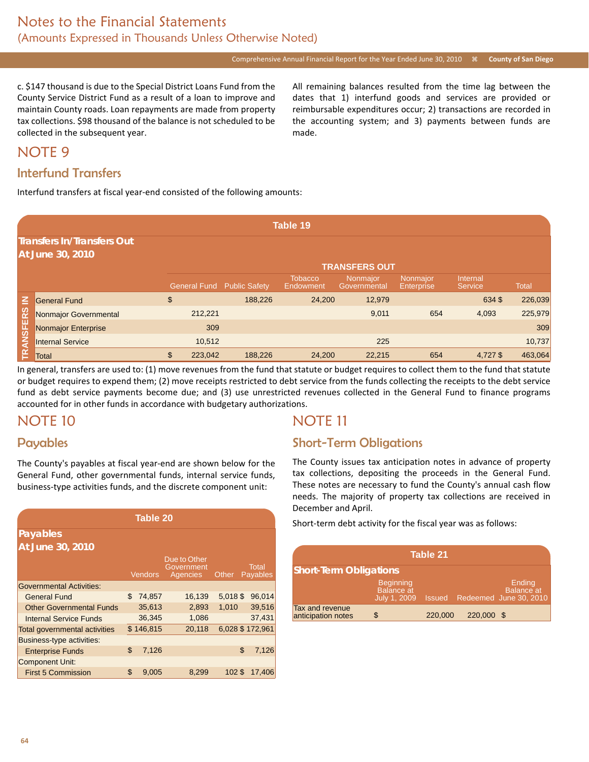Comprehensive Annual Financial Report for the Year Ended June 30, 2010 **<b>E** County of San Diego

c. \$147 thousand is due to the Special District Loans Fund from the County Service District Fund as a result of a loan to improve and maintain County roads. Loan repayments are made from property tax collections. \$98 thousand of the balance is not scheduled to be collected in the subsequent year.

All remaining balances resulted from the time lag between the dates that 1) interfund goods and services are provided or reimbursable expenditures occur; 2) transactions are recorded in the accounting system; and 3) payments between funds are made.

# NOTE 9

## Interfund Transfers

Interfund transfers at fiscal year-end consisted of the following amounts:

|                  |                                                       |                     |                      | Table 19                    |                                 |                               |                            |              |
|------------------|-------------------------------------------------------|---------------------|----------------------|-----------------------------|---------------------------------|-------------------------------|----------------------------|--------------|
|                  | <b>Transfers In/Transfers Out</b><br>At June 30, 2010 |                     |                      |                             |                                 |                               |                            |              |
|                  |                                                       |                     |                      |                             | <b>TRANSFERS OUT</b>            |                               |                            |              |
|                  |                                                       | <b>General Fund</b> | <b>Public Safety</b> | <b>Tobacco</b><br>Endowment | <b>Nonmajor</b><br>Governmental | Nonmajor<br><b>Enterprise</b> | Internal<br><b>Service</b> | <b>Total</b> |
| 즈                | <b>General Fund</b>                                   | \$                  | 188,226              | 24,200                      | 12,979                          |                               | 634\$                      | 226,039      |
|                  | Nonmajor Governmental                                 | 212,221             |                      |                             | 9,011                           | 654                           | 4,093                      | 225,979      |
| <b>TRANSFERS</b> | Nonmajor Enterprise                                   | 309                 |                      |                             |                                 |                               |                            | 309          |
|                  | <b>Internal Service</b>                               | 10,512              |                      |                             | 225                             |                               |                            | 10,737       |
|                  | Total                                                 | \$<br>223,042       | 188,226              | 24,200                      | 22,215                          | 654                           | 4.727\$                    | 463,064      |

In general, transfers are used to: (1) move revenues from the fund that statute or budget requires to collect them to the fund that statute or budget requires to expend them; (2) move receipts restricted to debt service from the funds collecting the receipts to the debt service fund as debt service payments become due; and (3) use unrestricted revenues collected in the General Fund to finance programs accounted for in other funds in accordance with budgetary authorizations.

## NOTE 10

### Payables

The County's payables at fiscal year-end are shown below for the General Fund, other governmental funds, internal service funds, business-type activities funds, and the discrete component unit:

|                                      | <b>Table 20</b> |                |                                        |         |                                 |  |  |
|--------------------------------------|-----------------|----------------|----------------------------------------|---------|---------------------------------|--|--|
| Payables                             |                 |                |                                        |         |                                 |  |  |
| At June 30, 2010                     |                 |                |                                        |         |                                 |  |  |
|                                      |                 | <b>Vendors</b> | Due to Other<br>Government<br>Agencies | Other   | <b>Total</b><br><b>Payables</b> |  |  |
| <b>Governmental Activities:</b>      |                 |                |                                        |         |                                 |  |  |
| <b>General Fund</b>                  | \$              | 74,857         | 16,139                                 | 5,018\$ | 96,014                          |  |  |
| <b>Other Governmental Funds</b>      |                 | 35,613         | 2,893                                  | 1,010   | 39,516                          |  |  |
| Internal Service Funds               |                 | 36,345         | 1,086                                  |         | 37,431                          |  |  |
| <b>Total governmental activities</b> |                 | \$146,815      | 20,118                                 |         | 6,028 \$172,961                 |  |  |
| Business-type activities:            |                 |                |                                        |         |                                 |  |  |
| <b>Enterprise Funds</b>              | \$              | 7,126          |                                        | \$      | 7,126                           |  |  |
| <b>Component Unit:</b>               |                 |                |                                        |         |                                 |  |  |
| <b>First 5 Commission</b>            | \$              | 9,005          | 8,299                                  | 102S    | 17,406                          |  |  |

# NOTE 11

## Short-Term Obligations

The County issues tax anticipation notes in advance of property tax collections, depositing the proceeds in the General Fund. These notes are necessary to fund the County's annual cash flow needs. The majority of property tax collections are received in December and April.

Short-term debt activity for the fiscal year was as follows:

| Table 21                              |                                                       |         |            |                                                              |  |  |  |  |
|---------------------------------------|-------------------------------------------------------|---------|------------|--------------------------------------------------------------|--|--|--|--|
| <b>Short-Term Obligations</b>         |                                                       |         |            |                                                              |  |  |  |  |
|                                       | <b>Beginning</b><br><b>Balance</b> at<br>July 1, 2009 |         |            | Ending<br><b>Balance</b> at<br>Issued Redeemed June 30, 2010 |  |  |  |  |
| Tax and revenue<br>anticipation notes | \$                                                    | 220,000 | 220,000 \$ |                                                              |  |  |  |  |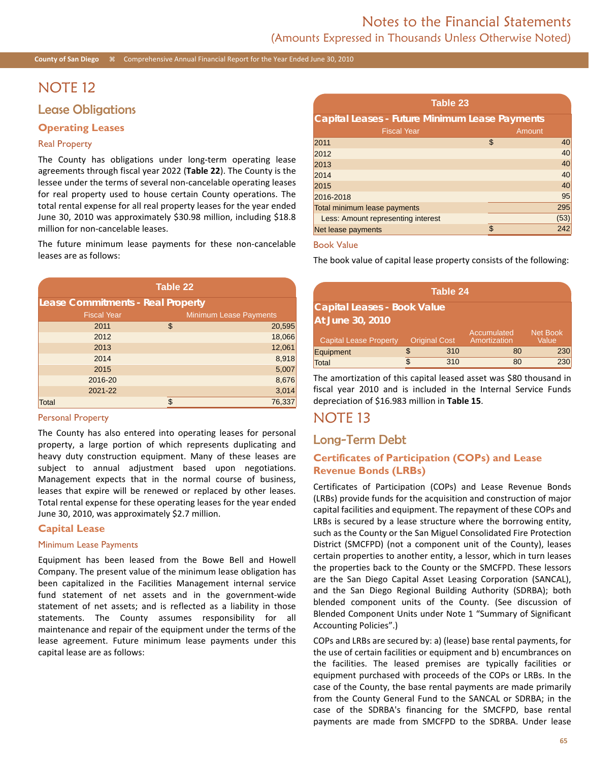## NOTE 12

### Lease Obligations

### **Operating Leases**

#### Real Property

The County has obligations under long-term operating lease agreements through fiscal year 2022 (**Table 22**). The County is the lessee under the terms of several non-cancelable operating leases for real property used to house certain County operations. The total rental expense for all real property leases for the year ended June 30, 2010 was approximately \$30.98 million, including \$18.8 million for non-cancelable leases.

The future minimum lease payments for these non-cancelable leases are as follows:

| Table 22                                 |                               |  |  |  |  |  |
|------------------------------------------|-------------------------------|--|--|--|--|--|
| <b>Lease Commitments - Real Property</b> |                               |  |  |  |  |  |
| <b>Fiscal Year</b>                       | <b>Minimum Lease Payments</b> |  |  |  |  |  |
| 2011                                     | \$<br>20,595                  |  |  |  |  |  |
| 2012                                     | 18,066                        |  |  |  |  |  |
| 2013                                     | 12,061                        |  |  |  |  |  |
| 2014                                     | 8,918                         |  |  |  |  |  |
| 2015                                     | 5,007                         |  |  |  |  |  |
| 2016-20                                  | 8,676                         |  |  |  |  |  |
| 2021-22                                  | 3,014                         |  |  |  |  |  |
| <b>Total</b>                             | \$<br>76,337                  |  |  |  |  |  |

#### Personal Property

The County has also entered into operating leases for personal property, a large portion of which represents duplicating and heavy duty construction equipment. Many of these leases are subject to annual adjustment based upon negotiations. Management expects that in the normal course of business, leases that expire will be renewed or replaced by other leases. Total rental expense for these operating leases for the year ended June 30, 2010, was approximately \$2.7 million.

#### **Capital Lease**

#### Minimum Lease Payments

Equipment has been leased from the Bowe Bell and Howell Company. The present value of the minimum lease obligation has been capitalized in the Facilities Management internal service fund statement of net assets and in the government-wide statement of net assets; and is reflected as a liability in those statements. The County assumes responsibility for all maintenance and repair of the equipment under the terms of the lease agreement. Future minimum lease payments under this capital lease are as follows:

| Table 23                                              |    |        |  |  |  |  |  |
|-------------------------------------------------------|----|--------|--|--|--|--|--|
| <b>Capital Leases - Future Minimum Lease Payments</b> |    |        |  |  |  |  |  |
| <b>Fiscal Year</b>                                    |    | Amount |  |  |  |  |  |
| 2011                                                  | \$ | 40     |  |  |  |  |  |
| 2012                                                  |    | 40     |  |  |  |  |  |
| 2013                                                  |    | 40     |  |  |  |  |  |
| 2014                                                  |    | 40     |  |  |  |  |  |
| 2015                                                  |    | 40     |  |  |  |  |  |
| 2016-2018                                             |    | 95     |  |  |  |  |  |
| Total minimum lease payments                          |    | 295    |  |  |  |  |  |
| Less: Amount representing interest                    |    | (53)   |  |  |  |  |  |
| Net lease payments                                    | \$ | 242    |  |  |  |  |  |

#### Book Value

The book value of capital lease property consists of the following:

| Table 24                           |    |                      |                             |                          |  |  |  |  |  |
|------------------------------------|----|----------------------|-----------------------------|--------------------------|--|--|--|--|--|
| <b>Capital Leases - Book Value</b> |    |                      |                             |                          |  |  |  |  |  |
| <b>At June 30, 2010</b>            |    |                      |                             |                          |  |  |  |  |  |
| Capital Lease Property             |    | <b>Original Cost</b> | Accumulated<br>Amortization | <b>Net Book</b><br>Value |  |  |  |  |  |
| Equipment                          | \$ | 310                  | 80                          | 230                      |  |  |  |  |  |
| Total                              |    | 310                  | 80                          | 230                      |  |  |  |  |  |

The amortization of this capital leased asset was \$80 thousand in fiscal year 2010 and is included in the Internal Service Funds depreciation of \$16.983 million in **Table 15**.

## NOTE 13

## Long-Term Debt

### **Certificates of Participation (COPs) and Lease Revenue Bonds (LRBs)**

Certificates of Participation (COPs) and Lease Revenue Bonds (LRBs) provide funds for the acquisition and construction of major capital facilities and equipment. The repayment of these COPs and LRBs is secured by a lease structure where the borrowing entity, such as the County or the San Miguel Consolidated Fire Protection District (SMCFPD) (not a component unit of the County), leases certain properties to another entity, a lessor, which in turn leases the properties back to the County or the SMCFPD. These lessors are the San Diego Capital Asset Leasing Corporation (SANCAL), and the San Diego Regional Building Authority (SDRBA); both blended component units of the County. (See discussion of Blended Component Units under Note 1 "Summary of Significant Accounting Policies".)

COPs and LRBs are secured by: a) (lease) base rental payments, for the use of certain facilities or equipment and b) encumbrances on the facilities. The leased premises are typically facilities or equipment purchased with proceeds of the COPs or LRBs. In the case of the County, the base rental payments are made primarily from the County General Fund to the SANCAL or SDRBA; in the case of the SDRBA's financing for the SMCFPD, base rental payments are made from SMCFPD to the SDRBA. Under lease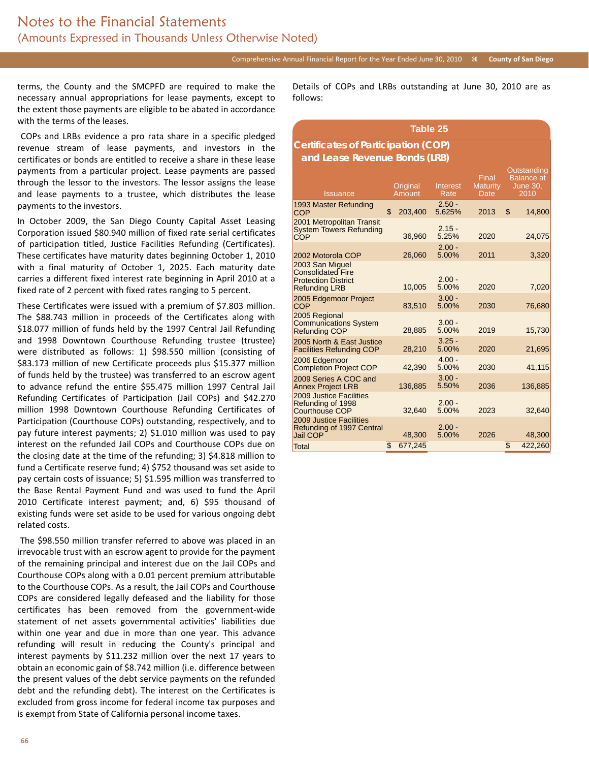terms, the County and the SMCPFD are required to make the necessary annual appropriations for lease payments, except to the extent those payments are eligible to be abated in accordance with the terms of the leases.

 COPs and LRBs evidence a pro rata share in a specific pledged revenue stream of lease payments, and investors in the certificates or bonds are entitled to receive a share in these lease payments from a particular project. Lease payments are passed through the lessor to the investors. The lessor assigns the lease and lease payments to a trustee, which distributes the lease payments to the investors.

In October 2009, the San Diego County Capital Asset Leasing Corporation issued \$80.940 million of fixed rate serial certificates of participation titled, Justice Facilities Refunding (Certificates). These certificates have maturity dates beginning October 1, 2010 with a final maturity of October 1, 2025. Each maturity date carries a different fixed interest rate beginning in April 2010 at a fixed rate of 2 percent with fixed rates ranging to 5 percent.

These Certificates were issued with a premium of \$7.803 million. The \$88.743 million in proceeds of the Certificates along with \$18.077 million of funds held by the 1997 Central Jail Refunding and 1998 Downtown Courthouse Refunding trustee (trustee) were distributed as follows: 1) \$98.550 million (consisting of \$83.173 million of new Certificate proceeds plus \$15.377 million of funds held by the trustee) was transferred to an escrow agent to advance refund the entire \$55.475 million 1997 Central Jail Refunding Certificates of Participation (Jail COPs) and \$42.270 million 1998 Downtown Courthouse Refunding Certificates of Participation (Courthouse COPs) outstanding, respectively, and to pay future interest payments; 2) \$1.010 million was used to pay interest on the refunded Jail COPs and Courthouse COPs due on the closing date at the time of the refunding; 3) \$4.818 million to fund a Certificate reserve fund; 4) \$752 thousand was set aside to pay certain costs of issuance; 5) \$1.595 million was transferred to the Base Rental Payment Fund and was used to fund the April 2010 Certificate interest payment; and, 6) \$95 thousand of existing funds were set aside to be used for various ongoing debt related costs.

 The \$98.550 million transfer referred to above was placed in an irrevocable trust with an escrow agent to provide for the payment of the remaining principal and interest due on the Jail COPs and Courthouse COPs along with a 0.01 percent premium attributable to the Courthouse COPs. As a result, the Jail COPs and Courthouse COPs are considered legally defeased and the liability for those certificates has been removed from the government-wide statement of net assets governmental activities' liabilities due within one year and due in more than one year. This advance refunding will result in reducing the County's principal and interest payments by \$11.232 million over the next 17 years to obtain an economic gain of \$8.742 million (i.e. difference between the present values of the debt service payments on the refunded debt and the refunding debt). The interest on the Certificates is excluded from gross income for federal income tax purposes and is exempt from State of California personal income taxes.

Details of COPs and LRBs outstanding at June 30, 2010 are as follows:

#### **Table 25 Certificates of Participation (COP) and Lease Revenue Bonds (LRB) Issuance Original Amount** Interest Rate Final Maturity Date **Outstanding** Balance at June 30, 2010 1993 Master Refunding<br>COP  $$ 203,400$  $2.50 -$ 5.625% 2013 \$ 14,800 2001 Metropolitan Transit System Towers Refunding<br>COP 36,960  $2.15 - 5.25%$ 5.25% 2020 24,075 2002 Motorola COP 26,060  $2.00 - 5.00%$ 5.00% 2011 3,320 2003 San Miguel Consolidated Fire **Protection District** Refunding LRB 10,005  $2.00 -$ 5.00% 2020 7,020 2005 Edgemoor Project 83,510  $3.00 -$ 5.00% 2030 76,680 2005 Regional Communications System Refunding COP 28,885 3.00 - 5.00% 2019 15,730 2005 North & East Justice Facilities Refunding COP 28,210  $3.25 - 5.00%$ 5.00% 2020 21,695 2006 Edgemoor Completion Project COP 42,390 4.00 -<br>5.00% 5.00% 2030 41,115 2009 Series A COC and Annex Project LRB 136,885 3.00 - 5.50% 2036 136,885 2009 Justice Facilities Refunding of 1998 Courthouse COP 32,640 2.00 -<br>5.00% 5.00% 2023 32,640 2009 Justice Facilities Refunding of 1997 Central Jail COP<sup>3</sup> 48,300  $2.00 -$ 5.00% 2026 48,300 Total \$ 677,245 \$ 422,260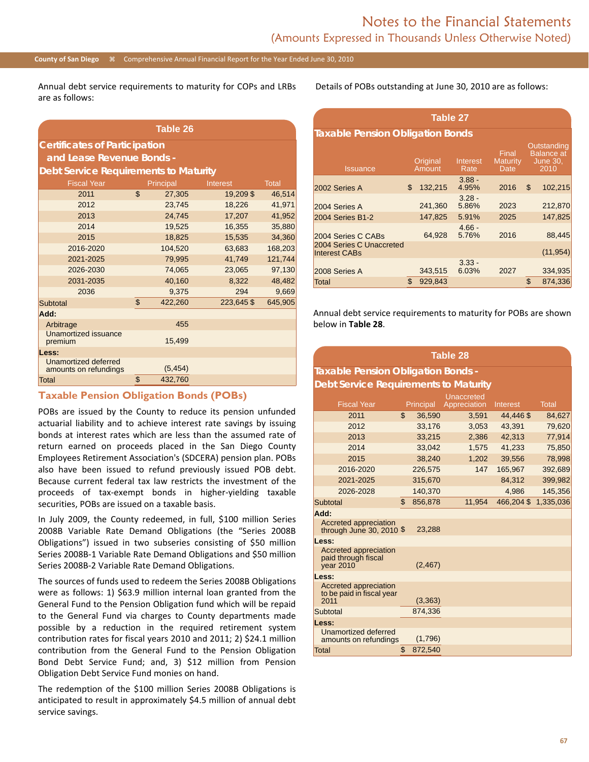#### **County of San Diego** Comprehensive Annual Financial Report for the Year Ended June 30, 2010

Annual debt service requirements to maturity for COPs and LRBs are as follows:

| Table 26                                      |    |           |                 |              |  |  |  |  |  |
|-----------------------------------------------|----|-----------|-----------------|--------------|--|--|--|--|--|
| <b>Certificates of Participation</b>          |    |           |                 |              |  |  |  |  |  |
| and Lease Revenue Bonds -                     |    |           |                 |              |  |  |  |  |  |
| <b>Debt Service Requirements to Maturity</b>  |    |           |                 |              |  |  |  |  |  |
| <b>Fiscal Year</b>                            |    | Principal | <b>Interest</b> | <b>Total</b> |  |  |  |  |  |
| 2011                                          | \$ | 27,305    | 19,209 \$       | 46,514       |  |  |  |  |  |
| 2012                                          |    | 23.745    | 18.226          | 41.971       |  |  |  |  |  |
| 2013                                          |    | 24,745    | 17,207          | 41,952       |  |  |  |  |  |
| 2014                                          |    | 19,525    | 16,355          | 35,880       |  |  |  |  |  |
| 2015                                          |    | 18,825    | 15,535          | 34,360       |  |  |  |  |  |
| 2016-2020                                     |    | 104,520   | 63,683          | 168,203      |  |  |  |  |  |
| 2021-2025                                     |    | 79,995    | 41,749          | 121,744      |  |  |  |  |  |
| 2026-2030                                     |    | 74,065    | 23,065          | 97,130       |  |  |  |  |  |
| 2031-2035                                     |    | 40,160    | 8,322           | 48,482       |  |  |  |  |  |
| 2036                                          |    | 9,375     | 294             | 9,669        |  |  |  |  |  |
| Subtotal                                      | \$ | 422,260   | 223,645\$       | 645,905      |  |  |  |  |  |
| Add:                                          |    |           |                 |              |  |  |  |  |  |
| Arbitrage                                     |    | 455       |                 |              |  |  |  |  |  |
| Unamortized issuance<br>premium               |    | 15,499    |                 |              |  |  |  |  |  |
| Less:                                         |    |           |                 |              |  |  |  |  |  |
| Unamortized deferred<br>amounts on refundings |    | (5, 454)  |                 |              |  |  |  |  |  |
| <b>Total</b>                                  | \$ | 432,760   |                 |              |  |  |  |  |  |

#### **Taxable Pension Obligation Bonds (POBs)**

POBs are issued by the County to reduce its pension unfunded actuarial liability and to achieve interest rate savings by issuing bonds at interest rates which are less than the assumed rate of return earned on proceeds placed in the San Diego County Employees Retirement Association's (SDCERA) pension plan. POBs also have been issued to refund previously issued POB debt. Because current federal tax law restricts the investment of the proceeds of tax-exempt bonds in higher-yielding taxable securities, POBs are issued on a taxable basis.

In July 2009, the County redeemed, in full, \$100 million Series 2008B Variable Rate Demand Obligations (the "Series 2008B Obligations") issued in two subseries consisting of \$50 million Series 2008B-1 Variable Rate Demand Obligations and \$50 million Series 2008B-2 Variable Rate Demand Obligations.

The sources of funds used to redeem the Series 2008B Obligations were as follows: 1) \$63.9 million internal loan granted from the General Fund to the Pension Obligation fund which will be repaid to the General Fund via charges to County departments made possible by a reduction in the required retirement system contribution rates for fiscal years 2010 and 2011; 2) \$24.1 million contribution from the General Fund to the Pension Obligation Bond Debt Service Fund; and, 3) \$12 million from Pension Obligation Debt Service Fund monies on hand.

The redemption of the \$100 million Series 2008B Obligations is anticipated to result in approximately \$4.5 million of annual debt service savings.

Details of POBs outstanding at June 30, 2010 are as follows:

| <b>Table 27</b>                                  |    |                    |                   |                                  |    |                                                             |  |  |  |  |
|--------------------------------------------------|----|--------------------|-------------------|----------------------------------|----|-------------------------------------------------------------|--|--|--|--|
| <b>Taxable Pension Obligation Bonds</b>          |    |                    |                   |                                  |    |                                                             |  |  |  |  |
| <b>Issuance</b>                                  |    | Original<br>Amount | Interest<br>Rate  | Final<br><b>Maturity</b><br>Date |    | Outstanding<br><b>Balance</b> at<br><b>June 30,</b><br>2010 |  |  |  |  |
| 2002 Series A                                    | \$ | 132,215            | $3.88 -$<br>4.95% | 2016                             | \$ | 102,215                                                     |  |  |  |  |
| 2004 Series A                                    |    | 241.360            | $3.28 -$<br>5.86% | 2023                             |    | 212,870                                                     |  |  |  |  |
| 2004 Series B1-2                                 |    | 147,825            | 5.91%             | 2025                             |    | 147,825                                                     |  |  |  |  |
| 2004 Series C CABs                               |    | 64,928             | $4.66 -$<br>5.76% | 2016                             |    | 88,445                                                      |  |  |  |  |
| 2004 Series C Unaccreted<br><b>Interest CABs</b> |    |                    |                   |                                  |    | (11, 954)                                                   |  |  |  |  |
| 2008 Series A                                    |    | 343,515            | $3.33 -$<br>6.03% | 2027                             |    | 334,935                                                     |  |  |  |  |
| <b>Total</b>                                     | S  | 929,843            |                   |                                  | \$ | 874.336                                                     |  |  |  |  |

Annual debt service requirements to maturity for POBs are shown below in **Table 28**.

**Table 28**

## **Taxable Pension Obligation Bonds - Debt Service Requirements to Maturity**

|                                                            |               | Unaccreted   |           |              |
|------------------------------------------------------------|---------------|--------------|-----------|--------------|
| <b>Fiscal Year</b>                                         | Principal     | Appreciation | Interest  | <b>Total</b> |
| 2011                                                       | \$<br>36,590  | 3,591        | 44,446\$  | 84,627       |
| 2012                                                       | 33,176        | 3,053        | 43,391    | 79,620       |
| 2013                                                       | 33,215        | 2,386        | 42,313    | 77,914       |
| 2014                                                       | 33.042        | 1,575        | 41,233    | 75,850       |
| 2015                                                       | 38.240        | 1.202        | 39.556    | 78,998       |
| 2016-2020                                                  | 226,575       | 147          | 165,967   | 392,689      |
| 2021-2025                                                  | 315,670       |              | 84.312    | 399,982      |
| 2026-2028                                                  | 140,370       |              | 4,986     | 145,356      |
| Subtotal                                                   | \$<br>856,878 | 11.954       | 466,204\$ | 1,335,036    |
| Add:                                                       |               |              |           |              |
| Accreted appreciation<br>through June 30, $2010$ \$        | 23,288        |              |           |              |
| Less:                                                      |               |              |           |              |
| Accreted appreciation<br>paid through fiscal<br>year 2010  | (2, 467)      |              |           |              |
| Less:                                                      |               |              |           |              |
| Accreted appreciation<br>to be paid in fiscal year<br>2011 | (3, 363)      |              |           |              |
| Subtotal                                                   | 874,336       |              |           |              |
| Less:                                                      |               |              |           |              |
| Unamortized deferred                                       |               |              |           |              |
| amounts on refundings                                      | (1,796)       |              |           |              |
| <b>Total</b>                                               | \$<br>872,540 |              |           |              |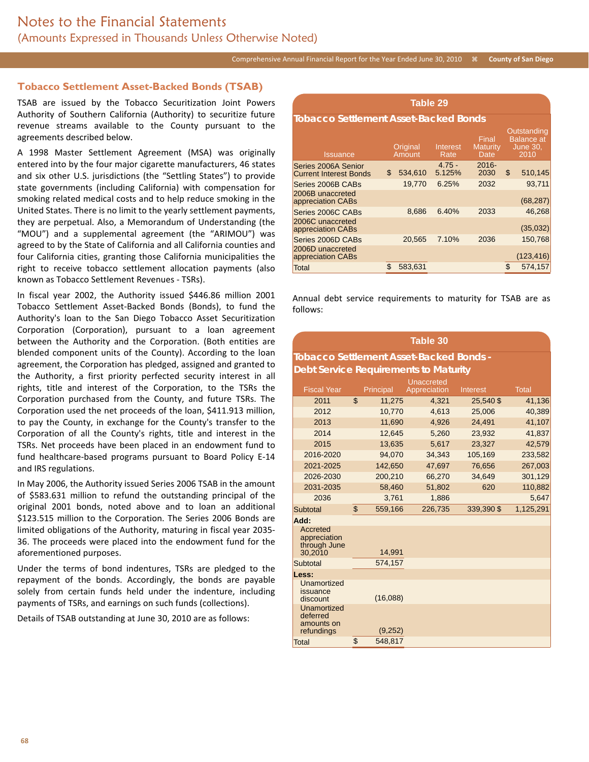### **Tobacco Settlement Asset-Backed Bonds (TSAB)**

TSAB are issued by the Tobacco Securitization Joint Powers Authority of Southern California (Authority) to securitize future revenue streams available to the County pursuant to the agreements described below.

A 1998 Master Settlement Agreement (MSA) was originally entered into by the four major cigarette manufacturers, 46 states and six other U.S. jurisdictions (the "Settling States") to provide state governments (including California) with compensation for smoking related medical costs and to help reduce smoking in the United States. There is no limit to the yearly settlement payments, they are perpetual. Also, a Memorandum of Understanding (the "MOU") and a supplemental agreement (the "ARIMOU") was agreed to by the State of California and all California counties and four California cities, granting those California municipalities the right to receive tobacco settlement allocation payments (also known as Tobacco Settlement Revenues - TSRs).

In fiscal year 2002, the Authority issued \$446.86 million 2001 Tobacco Settlement Asset-Backed Bonds (Bonds), to fund the Authority's loan to the San Diego Tobacco Asset Securitization Corporation (Corporation), pursuant to a loan agreement between the Authority and the Corporation. (Both entities are blended component units of the County). According to the loan agreement, the Corporation has pledged, assigned and granted to the Authority, a first priority perfected security interest in all rights, title and interest of the Corporation, to the TSRs the Corporation purchased from the County, and future TSRs. The Corporation used the net proceeds of the loan, \$411.913 million, to pay the County, in exchange for the County's transfer to the Corporation of all the County's rights, title and interest in the TSRs. Net proceeds have been placed in an endowment fund to fund healthcare-based programs pursuant to Board Policy E-14 and IRS regulations.

In May 2006, the Authority issued Series 2006 TSAB in the amount of \$583.631 million to refund the outstanding principal of the original 2001 bonds, noted above and to loan an additional \$123.515 million to the Corporation. The Series 2006 Bonds are limited obligations of the Authority, maturing in fiscal year 2035- 36. The proceeds were placed into the endowment fund for the aforementioned purposes.

Under the terms of bond indentures, TSRs are pledged to the repayment of the bonds. Accordingly, the bonds are payable solely from certain funds held under the indenture, including payments of TSRs, and earnings on such funds (collections).

Details of TSAB outstanding at June 30, 2010 are as follows:

| Table 29                                             |    |                    |                         |                                  |    |                                                             |  |  |  |  |
|------------------------------------------------------|----|--------------------|-------------------------|----------------------------------|----|-------------------------------------------------------------|--|--|--|--|
| <b>Tobacco Settlement Asset-Backed Bonds</b>         |    |                    |                         |                                  |    |                                                             |  |  |  |  |
| <b>Issuance</b>                                      |    | Original<br>Amount | <b>Interest</b><br>Rate | Final<br><b>Maturity</b><br>Date |    | Outstanding<br><b>Balance</b> at<br><b>June 30,</b><br>2010 |  |  |  |  |
| Series 2006A Senior<br><b>Current Interest Bonds</b> | \$ | 534,610            | $4.75 -$<br>5.125%      | $2016 -$<br>2030                 | \$ | 510,145                                                     |  |  |  |  |
| Series 2006B CABs                                    |    | 19,770             | 6.25%                   | 2032                             |    | 93,711                                                      |  |  |  |  |
| 2006B unaccreted<br>appreciation CABs                |    |                    |                         |                                  |    | (68, 287)                                                   |  |  |  |  |
| Series 2006C CABs                                    |    | 8.686              | 6.40%                   | 2033                             |    | 46.268                                                      |  |  |  |  |
| 2006C unaccreted<br>appreciation CABs                |    |                    |                         |                                  |    | (35,032)                                                    |  |  |  |  |
| Series 2006D CABs                                    |    | 20,565             | 7.10%                   | 2036                             |    | 150,768                                                     |  |  |  |  |
| 2006D unaccreted<br>appreciation CABs                |    |                    |                         |                                  |    | (123, 416)                                                  |  |  |  |  |
| Total                                                | \$ | 583,631            |                         |                                  | \$ | 574.157                                                     |  |  |  |  |

Annual debt service requirements to maturity for TSAB are as follows:

| Table 30                                            |    |           |              |           |              |  |  |  |  |  |  |
|-----------------------------------------------------|----|-----------|--------------|-----------|--------------|--|--|--|--|--|--|
| <b>Tobacco Settlement Asset-Backed Bonds -</b>      |    |           |              |           |              |  |  |  |  |  |  |
| <b>Debt Service Requirements to Maturity</b>        |    |           |              |           |              |  |  |  |  |  |  |
| Unaccreted                                          |    |           |              |           |              |  |  |  |  |  |  |
| <b>Fiscal Year</b>                                  |    | Principal | Appreciation | Interest  | <b>Total</b> |  |  |  |  |  |  |
| 2011                                                | \$ | 11.275    | 4.321        | 25,540\$  | 41,136       |  |  |  |  |  |  |
| 2012                                                |    | 10.770    | 4.613        | 25.006    | 40,389       |  |  |  |  |  |  |
| 2013                                                |    | 11,690    | 4,926        | 24,491    | 41,107       |  |  |  |  |  |  |
| 2014                                                |    | 12,645    | 5,260        | 23,932    | 41,837       |  |  |  |  |  |  |
| 2015                                                |    | 13,635    | 5,617        | 23,327    | 42,579       |  |  |  |  |  |  |
| 2016-2020                                           |    | 94,070    | 34,343       | 105,169   | 233,582      |  |  |  |  |  |  |
| 2021-2025                                           |    | 142,650   | 47,697       | 76,656    | 267,003      |  |  |  |  |  |  |
| 2026-2030                                           |    | 200,210   | 66,270       | 34,649    | 301,129      |  |  |  |  |  |  |
| 2031-2035                                           |    | 58,460    | 51,802       | 620       | 110,882      |  |  |  |  |  |  |
| 2036                                                |    | 3.761     | 1,886        |           | 5,647        |  |  |  |  |  |  |
| Subtotal                                            | \$ | 559,166   | 226,735      | 339,390\$ | 1,125,291    |  |  |  |  |  |  |
| Add:                                                |    |           |              |           |              |  |  |  |  |  |  |
| Accreted<br>appreciation<br>through June<br>30.2010 |    | 14,991    |              |           |              |  |  |  |  |  |  |
| Subtotal                                            |    | 574,157   |              |           |              |  |  |  |  |  |  |
| Less:                                               |    |           |              |           |              |  |  |  |  |  |  |
| Unamortized<br>issuance<br>discount                 |    | (16,088)  |              |           |              |  |  |  |  |  |  |
| Unamortized<br>deferred<br>amounts on<br>refundings |    | (9,252)   |              |           |              |  |  |  |  |  |  |
| Total                                               | \$ | 548,817   |              |           |              |  |  |  |  |  |  |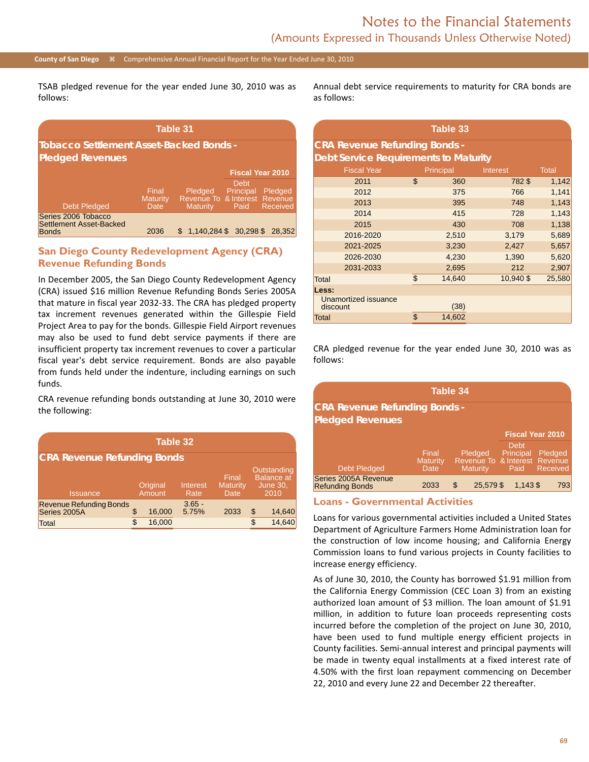#### **County of San Diego** Comprehensive Annual Financial Report for the Year Ended June 30, 2010

TSAB pledged revenue for the year ended June 30, 2010 was as follows:

| Table 31                                                       |                                  |                                                             |                                  |                            |  |  |  |  |  |
|----------------------------------------------------------------|----------------------------------|-------------------------------------------------------------|----------------------------------|----------------------------|--|--|--|--|--|
| <b>Tobacco Settlement Asset-Backed Bonds -</b>                 |                                  |                                                             |                                  |                            |  |  |  |  |  |
| <b>Pledged Revenues</b>                                        |                                  |                                                             |                                  |                            |  |  |  |  |  |
|                                                                |                                  |                                                             |                                  | <b>Fiscal Year 2010</b>    |  |  |  |  |  |
| <b>Debt Pledged</b>                                            | Final<br><b>Maturity</b><br>Date | Pledged<br>Revenue To & Interest Revenue<br><b>Maturity</b> | <b>Debt</b><br>Principal<br>Paid | Pledged<br><b>Received</b> |  |  |  |  |  |
| Series 2006 Tobacco<br>Settlement Asset-Backed<br><b>Bonds</b> | 2036                             | \$1.140.284 \$30.298 \$                                     |                                  | 28.352                     |  |  |  |  |  |

### **San Diego County Redevelopment Agency (CRA) Revenue Refunding Bonds**

In December 2005, the San Diego County Redevelopment Agency (CRA) issued \$16 million Revenue Refunding Bonds Series 2005A that mature in fiscal year 2032-33. The CRA has pledged property tax increment revenues generated within the Gillespie Field Project Area to pay for the bonds. Gillespie Field Airport revenues may also be used to fund debt service payments if there are insufficient property tax increment revenues to cover a particular fiscal year's debt service requirement. Bonds are also payable from funds held under the indenture, including earnings on such funds.

CRA revenue refunding bonds outstanding at June 30, 2010 were the following:

| Table 32                                       |                                        |        |                   |                           |                                                             |        |  |  |  |  |
|------------------------------------------------|----------------------------------------|--------|-------------------|---------------------------|-------------------------------------------------------------|--------|--|--|--|--|
| <b>CRA Revenue Refunding Bonds</b>             |                                        |        |                   |                           |                                                             |        |  |  |  |  |
| <b>Issuance</b>                                | Original<br>Interest<br>Amount<br>Rate |        |                   | Final<br>Maturity<br>Date | Outstanding<br><b>Balance at</b><br><b>June 30,</b><br>2010 |        |  |  |  |  |
| <b>Revenue Refunding Bonds</b><br>Series 2005A |                                        | 16,000 | $3.65 -$<br>5.75% | 2033                      | \$                                                          | 14,640 |  |  |  |  |
| Total                                          |                                        | 16,000 |                   |                           |                                                             | 14.640 |  |  |  |  |

Annual debt service requirements to maturity for CRA bonds are as follows:

| Table 33                                     |                                       |        |           |        |  |  |  |  |  |  |
|----------------------------------------------|---------------------------------------|--------|-----------|--------|--|--|--|--|--|--|
| <b>CRA Revenue Refunding Bonds -</b>         |                                       |        |           |        |  |  |  |  |  |  |
| <b>Debt Service Requirements to Maturity</b> |                                       |        |           |        |  |  |  |  |  |  |
| <b>Fiscal Year</b>                           | Principal<br><b>Total</b><br>Interest |        |           |        |  |  |  |  |  |  |
| 2011                                         | \$                                    | 360    | 782\$     | 1,142  |  |  |  |  |  |  |
| 2012                                         |                                       | 375    | 766       | 1,141  |  |  |  |  |  |  |
| 2013                                         |                                       | 395    | 748       | 1,143  |  |  |  |  |  |  |
| 2014                                         |                                       | 415    | 728       | 1,143  |  |  |  |  |  |  |
| 2015                                         |                                       | 430    | 708       | 1,138  |  |  |  |  |  |  |
| 2016-2020                                    |                                       | 2,510  | 3,179     | 5,689  |  |  |  |  |  |  |
| 2021-2025                                    |                                       | 3,230  | 2,427     | 5,657  |  |  |  |  |  |  |
| 2026-2030                                    |                                       | 4,230  | 1,390     | 5,620  |  |  |  |  |  |  |
| 2031-2033                                    |                                       | 2,695  | 212       | 2,907  |  |  |  |  |  |  |
| <b>Total</b>                                 | \$                                    | 14,640 | 10,940 \$ | 25,580 |  |  |  |  |  |  |
| Less:                                        |                                       |        |           |        |  |  |  |  |  |  |
| Unamortized issuance<br>discount             |                                       | (38)   |           |        |  |  |  |  |  |  |
| Total                                        | \$                                    | 14,602 |           |        |  |  |  |  |  |  |

CRA pledged revenue for the year ended June 30, 2010 was as follows:

| Table 34                                       |                           |                                                      |                           |                         |  |  |  |  |
|------------------------------------------------|---------------------------|------------------------------------------------------|---------------------------|-------------------------|--|--|--|--|
| <b>CRA Revenue Refunding Bonds -</b>           |                           |                                                      |                           |                         |  |  |  |  |
| <b>Pledged Revenues</b>                        |                           |                                                      |                           |                         |  |  |  |  |
|                                                |                           |                                                      |                           | <b>Fiscal Year 2010</b> |  |  |  |  |
| <b>Debt Pledged</b>                            | Final<br>Maturity<br>Date | Pledged<br>Revenue To & Interest Revenue<br>Maturity | Debt<br>Principal<br>Paid | Pledged<br>Received     |  |  |  |  |
| Series 2005A Revenue<br><b>Refunding Bonds</b> | 2033                      | 25.579\$<br>\$                                       | $1.143$ \$                | 793                     |  |  |  |  |

#### **Loans - Governmental Activities**

Loans for various governmental activities included a United States Department of Agriculture Farmers Home Administration loan for the construction of low income housing; and California Energy Commission loans to fund various projects in County facilities to increase energy efficiency.

As of June 30, 2010, the County has borrowed \$1.91 million from the California Energy Commission (CEC Loan 3) from an existing authorized loan amount of \$3 million. The loan amount of \$1.91 million, in addition to future loan proceeds representing costs incurred before the completion of the project on June 30, 2010, have been used to fund multiple energy efficient projects in County facilities. Semi-annual interest and principal payments will be made in twenty equal installments at a fixed interest rate of 4.50% with the first loan repayment commencing on December 22, 2010 and every June 22 and December 22 thereafter.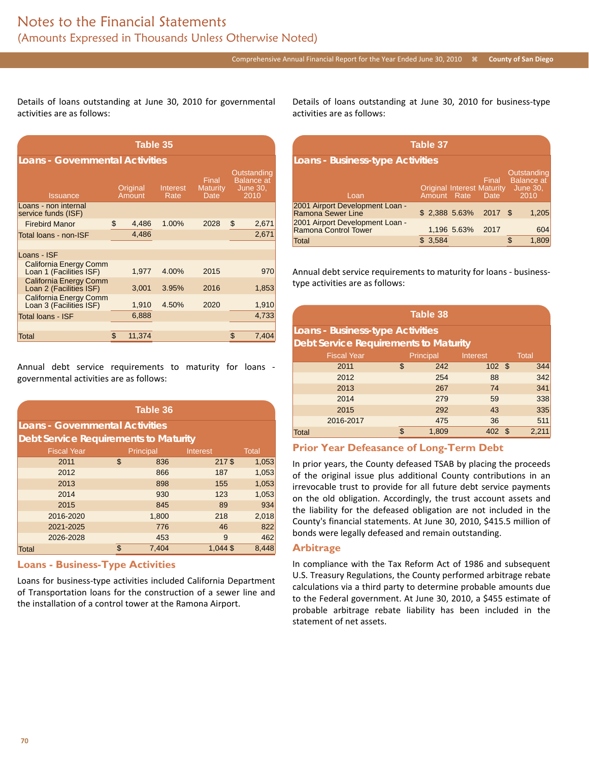Details of loans outstanding at June 30, 2010 for governmental activities are as follows:

| Table 35                                                 |    |                    |                  |                                         |    |                                                             |  |  |  |  |
|----------------------------------------------------------|----|--------------------|------------------|-----------------------------------------|----|-------------------------------------------------------------|--|--|--|--|
| <b>Loans - Governmental Activities</b>                   |    |                    |                  |                                         |    |                                                             |  |  |  |  |
| <b>Issuance</b>                                          |    | Original<br>Amount | Interest<br>Rate | Final<br><b>Maturity</b><br><b>Date</b> |    | Outstanding<br><b>Balance</b> at<br><b>June 30,</b><br>2010 |  |  |  |  |
| Loans - non internal<br>service funds (ISF)              |    |                    |                  |                                         |    |                                                             |  |  |  |  |
| <b>Firebird Manor</b>                                    | \$ | 4,486              | 1.00%            | 2028                                    | \$ | 2,671                                                       |  |  |  |  |
| Total loans - non-ISF                                    |    | 4,486              |                  |                                         |    | 2,671                                                       |  |  |  |  |
|                                                          |    |                    |                  |                                         |    |                                                             |  |  |  |  |
| Loans - ISF                                              |    |                    |                  |                                         |    |                                                             |  |  |  |  |
| <b>California Energy Comm</b><br>Loan 1 (Facilities ISF) |    | 1,977              | 4.00%            | 2015                                    |    | 970                                                         |  |  |  |  |
| <b>California Energy Comm</b><br>Loan 2 (Facilities ISF) |    | 3,001              | 3.95%            | 2016                                    |    | 1,853                                                       |  |  |  |  |
| <b>California Energy Comm</b><br>Loan 3 (Facilities ISF) |    | 1,910              | 4.50%            | 2020                                    |    | 1,910                                                       |  |  |  |  |
| Total Ioans - ISF                                        |    | 6,888              |                  |                                         |    | 4,733                                                       |  |  |  |  |
|                                                          |    |                    |                  |                                         |    |                                                             |  |  |  |  |
| Total                                                    | \$ | 11,374             |                  |                                         | \$ | 7,404                                                       |  |  |  |  |

Annual debt service requirements to maturity for loans governmental activities are as follows:

|                                              | Table 36           |    |           |            |              |  |  |  |  |
|----------------------------------------------|--------------------|----|-----------|------------|--------------|--|--|--|--|
| <b>Loans - Governmental Activities</b>       |                    |    |           |            |              |  |  |  |  |
| <b>Debt Service Requirements to Maturity</b> |                    |    |           |            |              |  |  |  |  |
|                                              | <b>Fiscal Year</b> |    | Principal | Interest   | <b>Total</b> |  |  |  |  |
|                                              | 2011               | \$ | 836       | 217\$      | 1,053        |  |  |  |  |
|                                              | 2012               |    | 866       | 187        | 1,053        |  |  |  |  |
|                                              | 2013               |    | 898       | 155        | 1,053        |  |  |  |  |
|                                              | 2014               |    | 930       | 123        | 1,053        |  |  |  |  |
|                                              | 2015               |    | 845       | 89         | 934          |  |  |  |  |
|                                              | 2016-2020          |    | 1,800     | 218        | 2,018        |  |  |  |  |
|                                              | 2021-2025          |    | 776       | 46         | 822          |  |  |  |  |
|                                              | 2026-2028          |    | 453       | 9          | 462          |  |  |  |  |
| Total                                        |                    | \$ | 7.404     | $1.044$ \$ | 8.448        |  |  |  |  |

#### **Loans - Business-Type Activities**

Loans for business-type activities included California Department of Transportation loans for the construction of a sewer line and the installation of a control tower at the Ramona Airport.

Details of loans outstanding at June 30, 2010 for business-type activities are as follows:

| Table 37                                                |                        |             |                                                    |                                                             |     |  |  |  |
|---------------------------------------------------------|------------------------|-------------|----------------------------------------------------|-------------------------------------------------------------|-----|--|--|--|
| <b>Loans - Business-type Activities</b>                 |                        |             |                                                    |                                                             |     |  |  |  |
| Loan                                                    | Amount Rate            |             | Final<br><b>Original Interest Maturity</b><br>Date | Outstanding<br><b>Balance at</b><br><b>June 30.</b><br>2010 |     |  |  |  |
| 2001 Airport Development Loan -<br>Ramona Sewer Line    | $$2,388$ 5.63% 2017 \$ |             |                                                    | 1,205                                                       |     |  |  |  |
| 2001 Airport Development Loan -<br>Ramona Control Tower |                        | 1,196 5.63% | 2017                                               |                                                             | 604 |  |  |  |
| Total                                                   | 3,584                  |             |                                                    | 1,809<br>£.                                                 |     |  |  |  |

Annual debt service requirements to maturity for loans - businesstype activities are as follows:

| <b>Table 38</b>                              |                                       |       |        |  |       |  |  |  |
|----------------------------------------------|---------------------------------------|-------|--------|--|-------|--|--|--|
| Loans - Business-type Activities             |                                       |       |        |  |       |  |  |  |
| <b>Debt Service Requirements to Maturity</b> |                                       |       |        |  |       |  |  |  |
| <b>Fiscal Year</b>                           | Principal<br>Interest<br><b>Total</b> |       |        |  |       |  |  |  |
| 2011                                         | \$                                    | 242   | 102S   |  | 344   |  |  |  |
| 2012                                         |                                       | 254   | 88     |  | 342   |  |  |  |
| 2013                                         |                                       | 267   | 74     |  | 341   |  |  |  |
| 2014                                         |                                       | 279   | 59     |  | 338   |  |  |  |
| 2015                                         |                                       | 292   | 43     |  | 335   |  |  |  |
| 2016-2017                                    |                                       | 475   | 36     |  | 511   |  |  |  |
| <b>Total</b>                                 | \$                                    | 1,809 | 402 \$ |  | 2,211 |  |  |  |

#### **Prior Year Defeasance of Long-Term Debt**

In prior years, the County defeased TSAB by placing the proceeds of the original issue plus additional County contributions in an irrevocable trust to provide for all future debt service payments on the old obligation. Accordingly, the trust account assets and the liability for the defeased obligation are not included in the County's financial statements. At June 30, 2010, \$415.5 million of bonds were legally defeased and remain outstanding.

#### **Arbitrage**

In compliance with the Tax Reform Act of 1986 and subsequent U.S. Treasury Regulations, the County performed arbitrage rebate calculations via a third party to determine probable amounts due to the Federal government. At June 30, 2010, a \$455 estimate of probable arbitrage rebate liability has been included in the statement of net assets.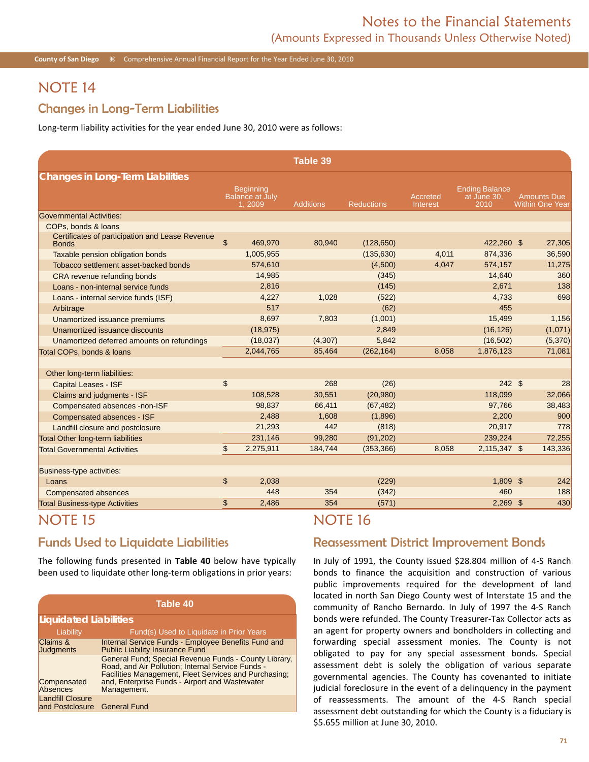**County of San Diego**  $\frac{1}{26}$  Comprehensive Annual Financial Report for the Year Ended June 30, 2010

## NOTE 14

### Changes in Long-Term Liabilities

Long-term liability activities for the year ended June 30, 2010 were as follows:

|                                                                                        |                                                      | Table 39         |                   |                      |                                              |                                              |
|----------------------------------------------------------------------------------------|------------------------------------------------------|------------------|-------------------|----------------------|----------------------------------------------|----------------------------------------------|
| <b>Changes in Long-Term Liabilities</b>                                                |                                                      |                  |                   |                      |                                              |                                              |
|                                                                                        | <b>Beginning</b><br><b>Balance at July</b><br>1,2009 | <b>Additions</b> | <b>Reductions</b> | Accreted<br>Interest | <b>Ending Balance</b><br>at June 30,<br>2010 | <b>Amounts Due</b><br><b>Within One Year</b> |
| <b>Governmental Activities:</b>                                                        |                                                      |                  |                   |                      |                                              |                                              |
| COPs. bonds & loans<br>Certificates of participation and Lease Revenue<br><b>Bonds</b> | \$<br>469,970                                        | 80,940           | (128, 650)        |                      | 422,260 \$                                   | 27,305                                       |
| Taxable pension obligation bonds                                                       | 1,005,955                                            |                  | (135, 630)        | 4,011                | 874,336                                      | 36,590                                       |
| Tobacco settlement asset-backed bonds                                                  | 574,610                                              |                  | (4,500)           | 4,047                | 574,157                                      | 11,275                                       |
| CRA revenue refunding bonds                                                            | 14,985                                               |                  | (345)             |                      | 14,640                                       | 360                                          |
| Loans - non-internal service funds                                                     | 2,816                                                |                  | (145)             |                      | 2,671                                        | 138                                          |
| Loans - internal service funds (ISF)                                                   | 4,227                                                | 1,028            | (522)             |                      | 4,733                                        | 698                                          |
| Arbitrage                                                                              | 517                                                  |                  | (62)              |                      | 455                                          |                                              |
| Unamortized issuance premiums                                                          | 8,697                                                | 7,803            | (1,001)           |                      | 15,499                                       | 1,156                                        |
| Unamortized issuance discounts                                                         | (18, 975)                                            |                  | 2,849             |                      | (16, 126)                                    | (1,071)                                      |
| Unamortized deferred amounts on refundings                                             | (18,037)                                             | (4, 307)         | 5,842             |                      | (16, 502)                                    | (5,370)                                      |
| Total COPs, bonds & loans                                                              | 2,044,765                                            | 85,464           | (262, 164)        | 8.058                | 1,876,123                                    | 71,081                                       |
| Other long-term liabilities:                                                           |                                                      |                  |                   |                      |                                              |                                              |
| <b>Capital Leases - ISF</b>                                                            | \$                                                   | 268              | (26)              |                      | 242S                                         | 28                                           |
| Claims and judgments - ISF                                                             | 108,528                                              | 30,551           | (20, 980)         |                      | 118,099                                      | 32,066                                       |
| Compensated absences -non-ISF                                                          | 98,837                                               | 66,411           | (67, 482)         |                      | 97,766                                       | 38,483                                       |
| Compensated absences - ISF                                                             | 2,488                                                | 1,608            | (1,896)           |                      | 2,200                                        | 900                                          |
| Landfill closure and postclosure                                                       | 21,293                                               | 442              | (818)             |                      | 20,917                                       | 778                                          |
| <b>Total Other long-term liabilities</b>                                               | 231,146                                              | 99,280           | (91, 202)         |                      | 239,224                                      | 72,255                                       |
| <b>Total Governmental Activities</b>                                                   | \$<br>2,275,911                                      | 184,744          | (353, 366)        | 8,058                | 2,115,347 \$                                 | 143,336                                      |
| Business-type activities:                                                              |                                                      |                  |                   |                      |                                              |                                              |
| Loans                                                                                  | \$<br>2,038                                          |                  | (229)             |                      | $1,809$ \$                                   | 242                                          |
| <b>Compensated absences</b>                                                            | 448                                                  | 354              | (342)             |                      | 460                                          | 188                                          |
| <b>Total Business-type Activities</b>                                                  | \$<br>2,486                                          | 354              | (571)             |                      | $2,269$ \$                                   | 430                                          |

## NOTE 15

## Funds Used to Liquidate Liabilities

The following funds presented in **Table 40** below have typically been used to liquidate other long-term obligations in prior years:

| Table 40                                   |                                                                                                                                                                                                                                      |  |  |  |  |  |  |  |  |
|--------------------------------------------|--------------------------------------------------------------------------------------------------------------------------------------------------------------------------------------------------------------------------------------|--|--|--|--|--|--|--|--|
| <b>Liquidated Liabilities</b>              |                                                                                                                                                                                                                                      |  |  |  |  |  |  |  |  |
| Liability                                  | Fund(s) Used to Liquidate in Prior Years                                                                                                                                                                                             |  |  |  |  |  |  |  |  |
| Claims &<br><b>Judgments</b>               | Internal Service Funds - Employee Benefits Fund and<br><b>Public Liability Insurance Fund</b>                                                                                                                                        |  |  |  |  |  |  |  |  |
| Compensated<br><b>Absences</b>             | General Fund; Special Revenue Funds - County Library,<br>Road, and Air Pollution; Internal Service Funds -<br>Facilities Management, Fleet Services and Purchasing;<br>and, Enterprise Funds - Airport and Wastewater<br>Management. |  |  |  |  |  |  |  |  |
| <b>Landfill Closure</b><br>and Postclosure | <b>General Fund</b>                                                                                                                                                                                                                  |  |  |  |  |  |  |  |  |

## NOTE 16

### Reassessment District Improvement Bonds

In July of 1991, the County issued \$28.804 million of 4-S Ranch bonds to finance the acquisition and construction of various public improvements required for the development of land located in north San Diego County west of Interstate 15 and the community of Rancho Bernardo. In July of 1997 the 4-S Ranch bonds were refunded. The County Treasurer-Tax Collector acts as an agent for property owners and bondholders in collecting and forwarding special assessment monies. The County is not obligated to pay for any special assessment bonds. Special assessment debt is solely the obligation of various separate governmental agencies. The County has covenanted to initiate judicial foreclosure in the event of a delinquency in the payment of reassessments. The amount of the 4-S Ranch special assessment debt outstanding for which the County is a fiduciary is \$5.655 million at June 30, 2010.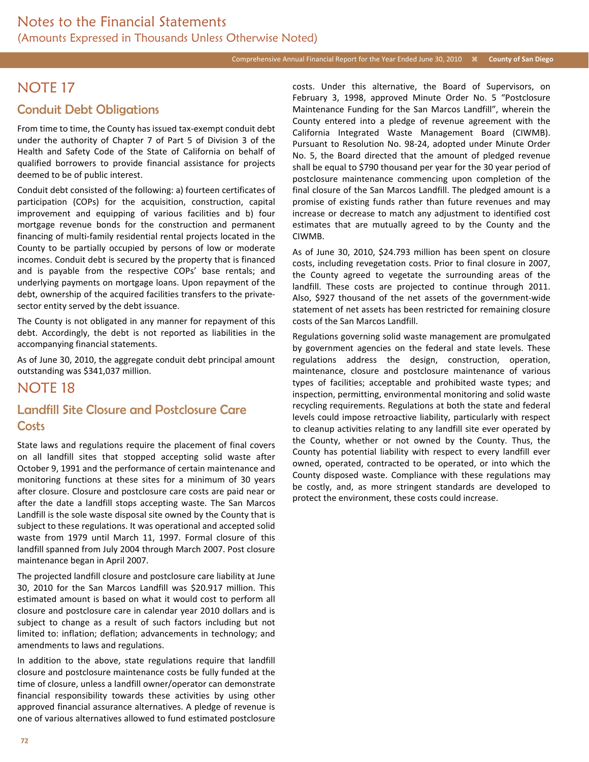## NOTE 17

### Conduit Debt Obligations

From time to time, the County has issued tax-exempt conduit debt under the authority of Chapter 7 of Part 5 of Division 3 of the Health and Safety Code of the State of California on behalf of qualified borrowers to provide financial assistance for projects deemed to be of public interest.

Conduit debt consisted of the following: a) fourteen certificates of participation (COPs) for the acquisition, construction, capital improvement and equipping of various facilities and b) four mortgage revenue bonds for the construction and permanent financing of multi-family residential rental projects located in the County to be partially occupied by persons of low or moderate incomes. Conduit debt is secured by the property that is financed and is payable from the respective COPs' base rentals; and underlying payments on mortgage loans. Upon repayment of the debt, ownership of the acquired facilities transfers to the privatesector entity served by the debt issuance.

The County is not obligated in any manner for repayment of this debt. Accordingly, the debt is not reported as liabilities in the accompanying financial statements.

As of June 30, 2010, the aggregate conduit debt principal amount outstanding was \$341,037 million.

## NOTE 18

## Landfill Site Closure and Postclosure Care **Costs**

State laws and regulations require the placement of final covers on all landfill sites that stopped accepting solid waste after October 9, 1991 and the performance of certain maintenance and monitoring functions at these sites for a minimum of 30 years after closure. Closure and postclosure care costs are paid near or after the date a landfill stops accepting waste. The San Marcos Landfill is the sole waste disposal site owned by the County that is subject to these regulations. It was operational and accepted solid waste from 1979 until March 11, 1997. Formal closure of this landfill spanned from July 2004 through March 2007. Post closure maintenance began in April 2007.

The projected landfill closure and postclosure care liability at June 30, 2010 for the San Marcos Landfill was \$20.917 million. This estimated amount is based on what it would cost to perform all closure and postclosure care in calendar year 2010 dollars and is subject to change as a result of such factors including but not limited to: inflation; deflation; advancements in technology; and amendments to laws and regulations.

In addition to the above, state regulations require that landfill closure and postclosure maintenance costs be fully funded at the time of closure, unless a landfill owner/operator can demonstrate financial responsibility towards these activities by using other approved financial assurance alternatives. A pledge of revenue is one of various alternatives allowed to fund estimated postclosure

costs. Under this alternative, the Board of Supervisors, on February 3, 1998, approved Minute Order No. 5 "Postclosure Maintenance Funding for the San Marcos Landfill", wherein the County entered into a pledge of revenue agreement with the California Integrated Waste Management Board (CIWMB). Pursuant to Resolution No. 98-24, adopted under Minute Order No. 5, the Board directed that the amount of pledged revenue shall be equal to \$790 thousand per year for the 30 year period of postclosure maintenance commencing upon completion of the final closure of the San Marcos Landfill. The pledged amount is a promise of existing funds rather than future revenues and may increase or decrease to match any adjustment to identified cost estimates that are mutually agreed to by the County and the CIWMB.

As of June 30, 2010, \$24.793 million has been spent on closure costs, including revegetation costs. Prior to final closure in 2007, the County agreed to vegetate the surrounding areas of the landfill. These costs are projected to continue through 2011. Also, \$927 thousand of the net assets of the government-wide statement of net assets has been restricted for remaining closure costs of the San Marcos Landfill.

Regulations governing solid waste management are promulgated by government agencies on the federal and state levels. These regulations address the design, construction, operation, maintenance, closure and postclosure maintenance of various types of facilities; acceptable and prohibited waste types; and inspection, permitting, environmental monitoring and solid waste recycling requirements. Regulations at both the state and federal levels could impose retroactive liability, particularly with respect to cleanup activities relating to any landfill site ever operated by the County, whether or not owned by the County. Thus, the County has potential liability with respect to every landfill ever owned, operated, contracted to be operated, or into which the County disposed waste. Compliance with these regulations may be costly, and, as more stringent standards are developed to protect the environment, these costs could increase.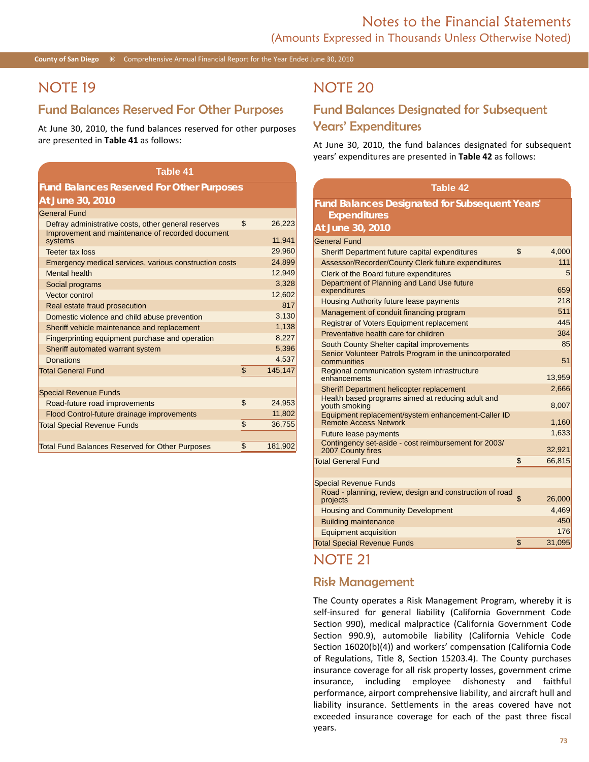**County of San Diego**  $\frac{1}{26}$  Comprehensive Annual Financial Report for the Year Ended June 30, 2010

## NOTE 19

### Fund Balances Reserved For Other Purposes

At June 30, 2010, the fund balances reserved for other purposes are presented in **Table 41** as follows:

#### **Table 41**

### **Fund Balances Reserved For Other Purposes At June 30, 2010**

| <b>General Fund</b>                                         |               |
|-------------------------------------------------------------|---------------|
| Defray administrative costs, other general reserves         | \$<br>26,223  |
| Improvement and maintenance of recorded document<br>systems | 11,941        |
| <b>Teeter tax loss</b>                                      | 29,960        |
| Emergency medical services, various construction costs      | 24,899        |
| <b>Mental health</b>                                        | 12,949        |
| Social programs                                             | 3,328         |
| Vector control                                              | 12,602        |
| Real estate fraud prosecution                               | 817           |
| Domestic violence and child abuse prevention                | 3,130         |
| Sheriff vehicle maintenance and replacement                 | 1,138         |
| Fingerprinting equipment purchase and operation             | 8,227         |
| Sheriff automated warrant system                            | 5,396         |
| Donations                                                   | 4,537         |
| <b>Total General Fund</b>                                   | \$<br>145,147 |
|                                                             |               |
| <b>Special Revenue Funds</b>                                |               |
| Road-future road improvements                               | \$<br>24,953  |
| Flood Control-future drainage improvements                  | 11,802        |
| <b>Total Special Revenue Funds</b>                          | \$<br>36,755  |
|                                                             |               |
| <b>Total Fund Balances Reserved for Other Purposes</b>      | \$<br>181,902 |
|                                                             |               |

## NOTE 20

## Fund Balances Designated for Subsequent Years' Expenditures

At June 30, 2010, the fund balances designated for subsequent years' expenditures are presented in **Table 42** as follows:

| <b>Table 42</b>                                                                    |              |
|------------------------------------------------------------------------------------|--------------|
| <b>Fund Balances Designated for Subsequent Years'</b>                              |              |
| <b>Expenditures</b>                                                                |              |
| At June 30, 2010                                                                   |              |
| <b>General Fund</b>                                                                |              |
| Sheriff Department future capital expenditures                                     | \$<br>4,000  |
| Assessor/Recorder/County Clerk future expenditures                                 | 111          |
| Clerk of the Board future expenditures                                             | 5            |
| Department of Planning and Land Use future<br>expenditures                         | 659          |
| <b>Housing Authority future lease payments</b>                                     | 218          |
| Management of conduit financing program                                            | 511          |
| Registrar of Voters Equipment replacement                                          | 445          |
| Preventative health care for children                                              | 384          |
| South County Shelter capital improvements                                          | 85           |
| Senior Volunteer Patrols Program in the unincorporated<br>communities              | 51           |
| Regional communication system infrastructure<br>enhancements                       | 13,959       |
| Sheriff Department helicopter replacement                                          | 2,666        |
| Health based programs aimed at reducing adult and<br>youth smoking                 | 8,007        |
| Equipment replacement/system enhancement-Caller ID<br><b>Remote Access Network</b> | 1,160        |
| <b>Future lease payments</b>                                                       | 1,633        |
| Contingency set-aside - cost reimbursement for 2003/<br>2007 County fires          | 32,921       |
| <b>Total General Fund</b>                                                          | \$<br>66,815 |
|                                                                                    |              |
| <b>Special Revenue Funds</b>                                                       |              |
| Road - planning, review, design and construction of road<br>projects               | \$<br>26,000 |
| <b>Housing and Community Development</b>                                           | 4,469        |
| <b>Building maintenance</b>                                                        | 450          |
| <b>Equipment acquisition</b>                                                       | 176          |
| <b>Total Special Revenue Funds</b>                                                 | \$<br>31,095 |
|                                                                                    |              |

## NOTE 21

### Risk Management

The County operates a Risk Management Program, whereby it is self-insured for general liability (California Government Code Section 990), medical malpractice (California Government Code Section 990.9), automobile liability (California Vehicle Code Section 16020(b)(4)) and workers' compensation (California Code of Regulations, Title 8, Section 15203.4). The County purchases insurance coverage for all risk property losses, government crime insurance, including employee dishonesty and faithful performance, airport comprehensive liability, and aircraft hull and liability insurance. Settlements in the areas covered have not exceeded insurance coverage for each of the past three fiscal years.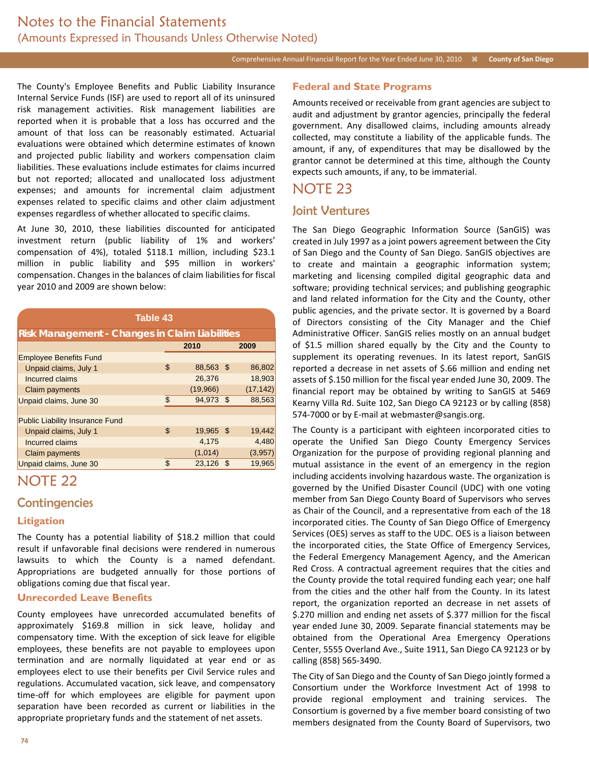#### Comprehensive Annual Financial Report for the Year Ended June 30, 2010 **County of San Diego**

The County's Employee Benefits and Public Liability Insurance Internal Service Funds (ISF) are used to report all of its uninsured risk management activities. Risk management liabilities are reported when it is probable that a loss has occurred and the amount of that loss can be reasonably estimated. Actuarial evaluations were obtained which determine estimates of known and projected public liability and workers compensation claim liabilities. These evaluations include estimates for claims incurred but not reported; allocated and unallocated loss adjustment expenses; and amounts for incremental claim adjustment expenses related to specific claims and other claim adjustment expenses regardless of whether allocated to specific claims.

At June 30, 2010, these liabilities discounted for anticipated investment return (public liability of 1% and workers' compensation of 4%), totaled \$118.1 million, including \$23.1 million in public liability and \$95 million in workers' compensation. Changes in the balances of claim liabilities for fiscal year 2010 and 2009 are shown below:

| <b>Table 43</b>                                       |                |           |  |           |  |  |  |  |  |
|-------------------------------------------------------|----------------|-----------|--|-----------|--|--|--|--|--|
| <b>Risk Management - Changes in Claim Liabilities</b> |                |           |  |           |  |  |  |  |  |
| 2010<br>2009                                          |                |           |  |           |  |  |  |  |  |
| <b>Employee Benefits Fund</b>                         |                |           |  |           |  |  |  |  |  |
| Unpaid claims, July 1                                 | \$             | 88,563 \$ |  | 86,802    |  |  |  |  |  |
| Incurred claims                                       |                | 26,376    |  | 18,903    |  |  |  |  |  |
| <b>Claim payments</b>                                 |                | (19,966)  |  | (17, 142) |  |  |  |  |  |
| Unpaid claims, June 30                                | $\mathfrak{L}$ | 94,973 \$ |  | 88,563    |  |  |  |  |  |
|                                                       |                |           |  |           |  |  |  |  |  |
| <b>Public Liability Insurance Fund</b>                |                |           |  |           |  |  |  |  |  |
| Unpaid claims, July 1                                 | \$             | 19,965 \$ |  | 19,442    |  |  |  |  |  |
| Incurred claims                                       |                | 4.175     |  | 4,480     |  |  |  |  |  |
| <b>Claim payments</b>                                 |                | (1,014)   |  | (3,957)   |  |  |  |  |  |
| Unpaid claims, June 30                                | \$             | 23,126 \$ |  | 19,965    |  |  |  |  |  |

## NOTE 22

### **Contingencies**

#### **Litigation**

The County has a potential liability of \$18.2 million that could result if unfavorable final decisions were rendered in numerous lawsuits to which the County is a named defendant. Appropriations are budgeted annually for those portions of obligations coming due that fiscal year.

#### **Unrecorded Leave Benefits**

County employees have unrecorded accumulated benefits of approximately \$169.8 million in sick leave, holiday and compensatory time. With the exception of sick leave for eligible employees, these benefits are not payable to employees upon termination and are normally liquidated at year end or as employees elect to use their benefits per Civil Service rules and regulations. Accumulated vacation, sick leave, and compensatory time-off for which employees are eligible for payment upon separation have been recorded as current or liabilities in the appropriate proprietary funds and the statement of net assets.

## **Federal and State Programs**

Amounts received or receivable from grant agencies are subject to audit and adjustment by grantor agencies, principally the federal government. Any disallowed claims, including amounts already collected, may constitute a liability of the applicable funds. The amount, if any, of expenditures that may be disallowed by the grantor cannot be determined at this time, although the County expects such amounts, if any, to be immaterial.

### NOTE 23

### Joint Ventures

The San Diego Geographic Information Source (SanGIS) was created in July 1997 as a joint powers agreement between the City of San Diego and the County of San Diego. SanGIS objectives are to create and maintain a geographic information system; marketing and licensing compiled digital geographic data and software; providing technical services; and publishing geographic and land related information for the City and the County, other public agencies, and the private sector. It is governed by a Board of Directors consisting of the City Manager and the Chief Administrative Officer. SanGIS relies mostly on an annual budget of \$1.5 million shared equally by the City and the County to supplement its operating revenues. In its latest report, SanGIS reported a decrease in net assets of \$.66 million and ending net assets of \$.150 million for the fiscal year ended June 30, 2009. The financial report may be obtained by writing to SanGIS at 5469 Kearny Villa Rd. Suite 102, San Diego CA 92123 or by calling (858) 574-7000 or by E-mail at webmaster@sangis.org.

The County is a participant with eighteen incorporated cities to operate the Unified San Diego County Emergency Services Organization for the purpose of providing regional planning and mutual assistance in the event of an emergency in the region including accidents involving hazardous waste. The organization is governed by the Unified Disaster Council (UDC) with one voting member from San Diego County Board of Supervisors who serves as Chair of the Council, and a representative from each of the 18 incorporated cities. The County of San Diego Office of Emergency Services (OES) serves as staff to the UDC. OES is a liaison between the incorporated cities, the State Office of Emergency Services, the Federal Emergency Management Agency, and the American Red Cross. A contractual agreement requires that the cities and the County provide the total required funding each year; one half from the cities and the other half from the County. In its latest report, the organization reported an decrease in net assets of \$.270 million and ending net assets of \$.377 million for the fiscal year ended June 30, 2009. Separate financial statements may be obtained from the Operational Area Emergency Operations Center, 5555 Overland Ave., Suite 1911, San Diego CA 92123 or by calling (858) 565-3490.

The City of San Diego and the County of San Diego jointly formed a Consortium under the Workforce Investment Act of 1998 to provide regional employment and training services. The Consortium is governed by a five member board consisting of two members designated from the County Board of Supervisors, two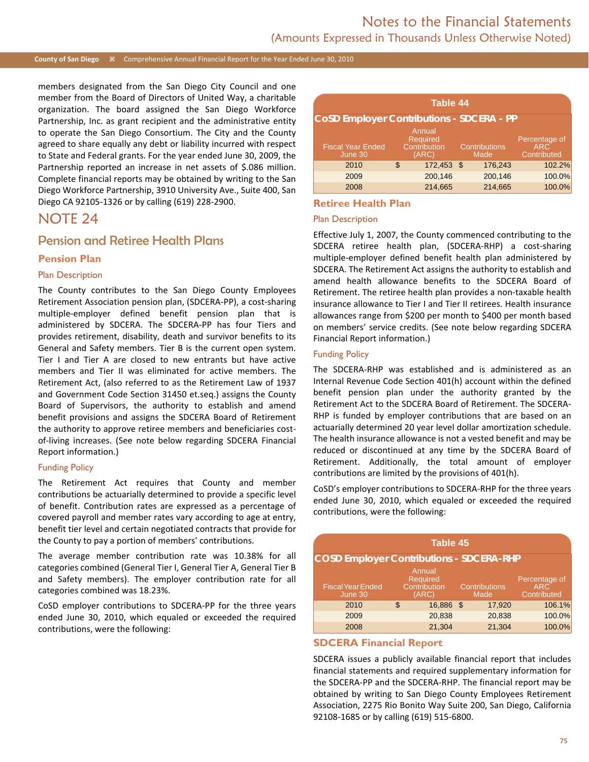#### **County of San Diego** Comprehensive Annual Financial Report for the Year Ended June 30, 2010

members designated from the San Diego City Council and one member from the Board of Directors of United Way, a charitable organization. The board assigned the San Diego Workforce Partnership, Inc. as grant recipient and the administrative entity to operate the San Diego Consortium. The City and the County agreed to share equally any debt or liability incurred with respect to State and Federal grants. For the year ended June 30, 2009, the Partnership reported an increase in net assets of \$.086 million. Complete financial reports may be obtained by writing to the San Diego Workforce Partnership, 3910 University Ave., Suite 400, San Diego CA 92105-1326 or by calling (619) 228-2900.

## NOTE 24

### Pension and Retiree Health Plans

#### **Pension Plan**

#### Plan Description

The County contributes to the San Diego County Employees Retirement Association pension plan, (SDCERA-PP), a cost-sharing multiple-employer defined benefit pension plan that is administered by SDCERA. The SDCERA-PP has four Tiers and provides retirement, disability, death and survivor benefits to its General and Safety members. Tier B is the current open system. Tier I and Tier A are closed to new entrants but have active members and Tier II was eliminated for active members. The Retirement Act, (also referred to as the Retirement Law of 1937 and Government Code Section 31450 et.seq.) assigns the County Board of Supervisors, the authority to establish and amend benefit provisions and assigns the SDCERA Board of Retirement the authority to approve retiree members and beneficiaries costof-living increases. (See note below regarding SDCERA Financial Report information.)

#### Funding Policy

The Retirement Act requires that County and member contributions be actuarially determined to provide a specific level of benefit. Contribution rates are expressed as a percentage of covered payroll and member rates vary according to age at entry, benefit tier level and certain negotiated contracts that provide for the County to pay a portion of members' contributions.

The average member contribution rate was 10.38% for all categories combined (General Tier I, General Tier A, General Tier B and Safety members). The employer contribution rate for all categories combined was 18.23%.

CoSD employer contributions to SDCERA-PP for the three years ended June 30, 2010, which equaled or exceeded the required contributions, were the following:

|                                                  |    | <b>Table 44</b>                                    |  |                              |                                                  |  |  |  |
|--------------------------------------------------|----|----------------------------------------------------|--|------------------------------|--------------------------------------------------|--|--|--|
| <b>CoSD Employer Contributions - SDCERA - PP</b> |    |                                                    |  |                              |                                                  |  |  |  |
| <b>Fiscal Year Ended</b><br>June 30              |    | Annual<br><b>Required</b><br>Contribution<br>(ARC) |  | <b>Contributions</b><br>Made | Percentage of<br>ARC <sup>1</sup><br>Contributed |  |  |  |
| 2010                                             | \$ | 172,453 \$                                         |  | 176,243                      | 102.2%                                           |  |  |  |
| 2009                                             |    | 200,146                                            |  | 200,146                      | 100.0%                                           |  |  |  |
| 2008                                             |    | 214,665                                            |  | 214,665                      | 100.0%                                           |  |  |  |

#### **Retiree Health Plan**

#### Plan Description

Effective July 1, 2007, the County commenced contributing to the SDCERA retiree health plan, (SDCERA-RHP) a cost-sharing multiple-employer defined benefit health plan administered by SDCERA. The Retirement Act assigns the authority to establish and amend health allowance benefits to the SDCERA Board of Retirement. The retiree health plan provides a non-taxable health insurance allowance to Tier I and Tier II retirees. Health insurance allowances range from \$200 per month to \$400 per month based on members' service credits. (See note below regarding SDCERA Financial Report information.)

#### Funding Policy

The SDCERA-RHP was established and is administered as an Internal Revenue Code Section 401(h) account within the defined benefit pension plan under the authority granted by the Retirement Act to the SDCERA Board of Retirement. The SDCERA-RHP is funded by employer contributions that are based on an actuarially determined 20 year level dollar amortization schedule. The health insurance allowance is not a vested benefit and may be reduced or discontinued at any time by the SDCERA Board of Retirement. Additionally, the total amount of employer contributions are limited by the provisions of 401(h).

CoSD's employer contributions to SDCERA-RHP for the three years ended June 30, 2010, which equaled or exceeded the required contributions, were the following:

| Table 45                                        |    |                                                    |      |                              |                                                  |  |  |  |
|-------------------------------------------------|----|----------------------------------------------------|------|------------------------------|--------------------------------------------------|--|--|--|
| <b>COSD Employer Contributions - SDCERA-RHP</b> |    |                                                    |      |                              |                                                  |  |  |  |
| <b>Fiscal Year Ended</b><br>June 30             |    | Annual<br><b>Required</b><br>Contribution<br>(ARC) |      | <b>Contributions</b><br>Made | Percentage of<br>ARC <sup>1</sup><br>Contributed |  |  |  |
| 2010                                            | \$ | 16,886                                             | - \$ | 17,920                       | 106.1%                                           |  |  |  |
| 2009                                            |    | 20,838                                             |      | 20,838                       | 100.0%                                           |  |  |  |
| 2008                                            |    | 21,304                                             |      | 21,304                       | 100.0%                                           |  |  |  |

#### **SDCERA Financial Report**

SDCERA issues a publicly available financial report that includes financial statements and required supplementary information for the SDCERA-PP and the SDCERA-RHP. The financial report may be obtained by writing to San Diego County Employees Retirement Association, 2275 Rio Bonito Way Suite 200, San Diego, California 92108-1685 or by calling (619) 515-6800.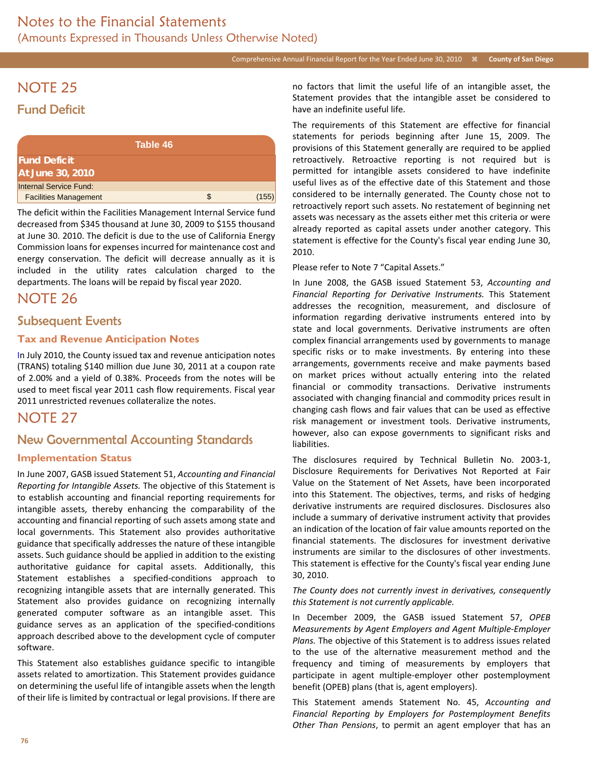# NOTE 25 Fund Deficit

| Table 46                     |   |       |
|------------------------------|---|-------|
| <b>Fund Deficit</b>          |   |       |
| At June 30, 2010             |   |       |
| Internal Service Fund:       |   |       |
| <b>Facilities Management</b> | S | (155) |

The deficit within the Facilities Management Internal Service fund decreased from \$345 thousand at June 30, 2009 to \$155 thousand at June 30. 2010. The deficit is due to the use of California Energy Commission loans for expenses incurred for maintenance cost and energy conservation. The deficit will decrease annually as it is included in the utility rates calculation charged to the departments. The loans will be repaid by fiscal year 2020.

## NOTE 26

### Subsequent Events

### **Tax and Revenue Anticipation Notes**

In July 2010, the County issued tax and revenue anticipation notes (TRANS) totaling \$140 million due June 30, 2011 at a coupon rate of 2.00% and a yield of 0.38%. Proceeds from the notes will be used to meet fiscal year 2011 cash flow requirements. Fiscal year 2011 unrestricted revenues collateralize the notes.

## NOTE 27

## New Governmental Accounting Standards

#### **Implementation Status**

In June 2007, GASB issued Statement 51, *Accounting and Financial Reporting for Intangible Assets.* The objective of this Statement is to establish accounting and financial reporting requirements for intangible assets, thereby enhancing the comparability of the accounting and financial reporting of such assets among state and local governments. This Statement also provides authoritative guidance that specifically addresses the nature of these intangible assets. Such guidance should be applied in addition to the existing authoritative guidance for capital assets. Additionally, this Statement establishes a specified-conditions approach to recognizing intangible assets that are internally generated. This Statement also provides guidance on recognizing internally generated computer software as an intangible asset. This guidance serves as an application of the specified-conditions approach described above to the development cycle of computer software.

This Statement also establishes guidance specific to intangible assets related to amortization. This Statement provides guidance on determining the useful life of intangible assets when the length of their life is limited by contractual or legal provisions. If there are no factors that limit the useful life of an intangible asset, the Statement provides that the intangible asset be considered to have an indefinite useful life.

The requirements of this Statement are effective for financial statements for periods beginning after June 15, 2009. The provisions of this Statement generally are required to be applied retroactively. Retroactive reporting is not required but is permitted for intangible assets considered to have indefinite useful lives as of the effective date of this Statement and those considered to be internally generated. The County chose not to retroactively report such assets. No restatement of beginning net assets was necessary as the assets either met this criteria or were already reported as capital assets under another category. This statement is effective for the County's fiscal year ending June 30, 2010.

#### Please refer to Note 7 "Capital Assets."

In June 2008, the GASB issued Statement 53, *Accounting and Financial Reporting for Derivative Instruments.* This Statement addresses the recognition, measurement, and disclosure of information regarding derivative instruments entered into by state and local governments. Derivative instruments are often complex financial arrangements used by governments to manage specific risks or to make investments. By entering into these arrangements, governments receive and make payments based on market prices without actually entering into the related financial or commodity transactions. Derivative instruments associated with changing financial and commodity prices result in changing cash flows and fair values that can be used as effective risk management or investment tools. Derivative instruments, however, also can expose governments to significant risks and liabilities.

The disclosures required by Technical Bulletin No. 2003-1, Disclosure Requirements for Derivatives Not Reported at Fair Value on the Statement of Net Assets, have been incorporated into this Statement. The objectives, terms, and risks of hedging derivative instruments are required disclosures. Disclosures also include a summary of derivative instrument activity that provides an indication of the location of fair value amounts reported on the financial statements. The disclosures for investment derivative instruments are similar to the disclosures of other investments. This statement is effective for the County's fiscal year ending June 30, 2010.

#### *The County does not currently invest in derivatives, consequently this Statement is not currently applicable.*

In December 2009, the GASB issued Statement 57, *OPEB Measurements by Agent Employers and Agent Multiple-Employer Plans.* The objective of this Statement is to address issues related to the use of the alternative measurement method and the frequency and timing of measurements by employers that participate in agent multiple-employer other postemployment benefit (OPEB) plans (that is, agent employers).

This Statement amends Statement No. 45, *Accounting and Financial Reporting by Employers for Postemployment Benefits Other Than Pensions*, to permit an agent employer that has an